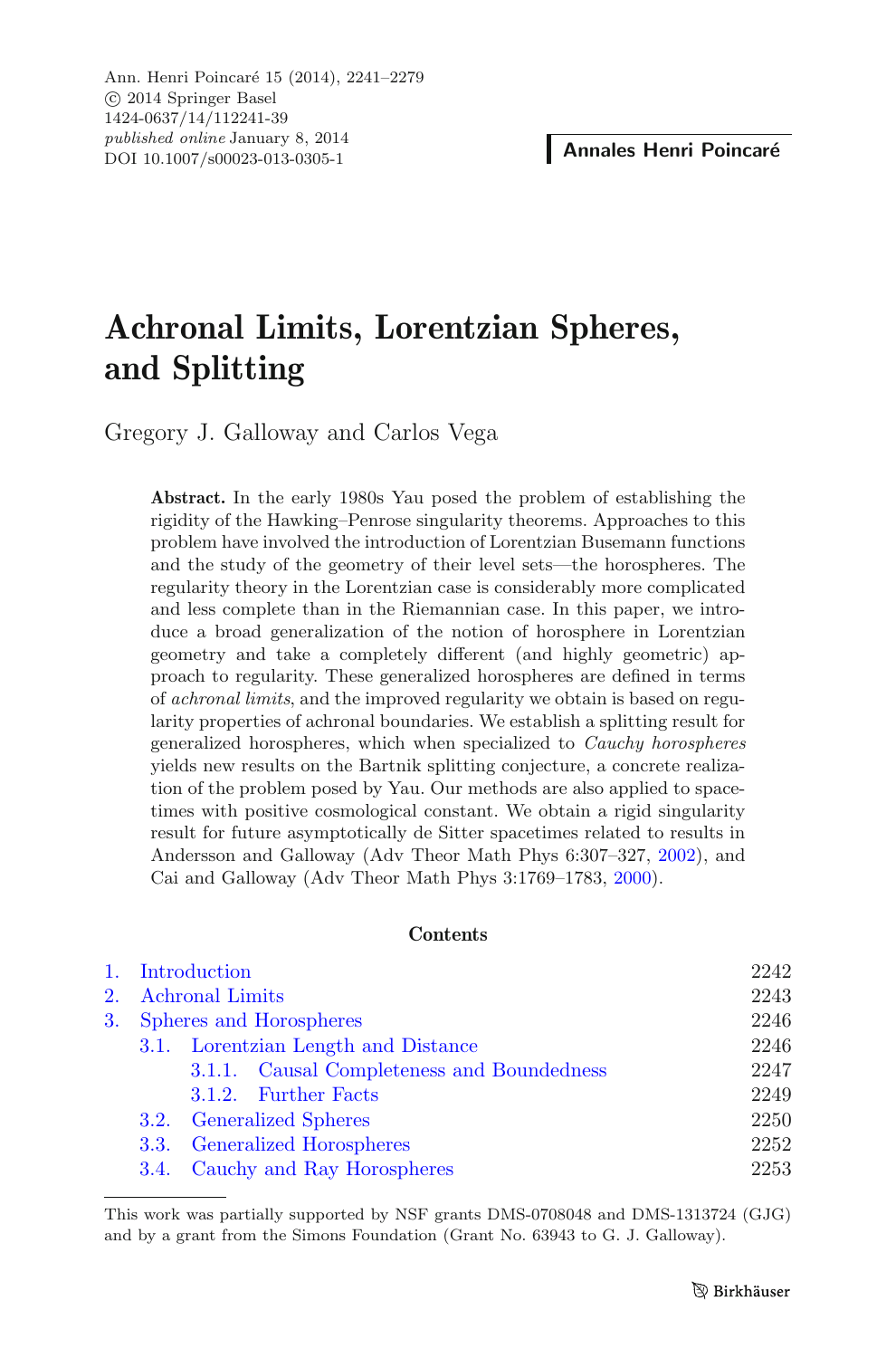# **Achronal Limits, Lorentzian Spheres, and Splitting**

Gregory J. Galloway and Carlos Vega

**Abstract.** In the early 1980s Yau posed the problem of establishing the rigidity of the Hawking–Penrose singularity theorems. Approaches to this problem have involved the introduction of Lorentzian Busemann functions and the study of the geometry of their level sets—the horospheres. The regularity theory in the Lorentzian case is considerably more complicated and less complete than in the Riemannian case. In this paper, we introduce a broad generalization of the notion of horosphere in Lorentzian geometry and take a completely different (and highly geometric) approach to regularity. These generalized horospheres are defined in terms of *achronal limits*, and the improved regularity we obtain is based on regularity properties of achronal boundaries. We establish a splitting result for generalized horospheres, which when specialized to *Cauchy horospheres* yields new results on the Bartnik splitting conjecture, a concrete realization of the problem posed by Yau. Our methods are also applied to spacetimes with positive cosmological constant. We obtain a rigid singularity result for future asymptotically de Sitter spacetimes related to results in Andersson and Galloway (Adv Theor Math Phys 6:307–327, [2002\)](#page-36-0), and Cai and Galloway (Adv Theor Math Phys 3:1769–1783, [2000\)](#page-36-1).

# **Contents**

|  |                            | 1. Introduction                            | 2242 |
|--|----------------------------|--------------------------------------------|------|
|  |                            | 2. Achronal Limits                         | 2243 |
|  | 3. Spheres and Horospheres |                                            | 2246 |
|  |                            | 3.1. Lorentzian Length and Distance        | 2246 |
|  |                            | 3.1.1. Causal Completeness and Boundedness | 2247 |
|  |                            | 3.1.2. Further Facts                       | 2249 |
|  |                            | 3.2. Generalized Spheres                   | 2250 |
|  |                            | 3.3. Generalized Horospheres               | 2252 |
|  |                            | 3.4. Cauchy and Ray Horospheres            | 2253 |

This work was partially supported by NSF grants DMS-0708048 and DMS-1313724 (GJG) and by a grant from the Simons Foundation (Grant No. 63943 to G. J. Galloway).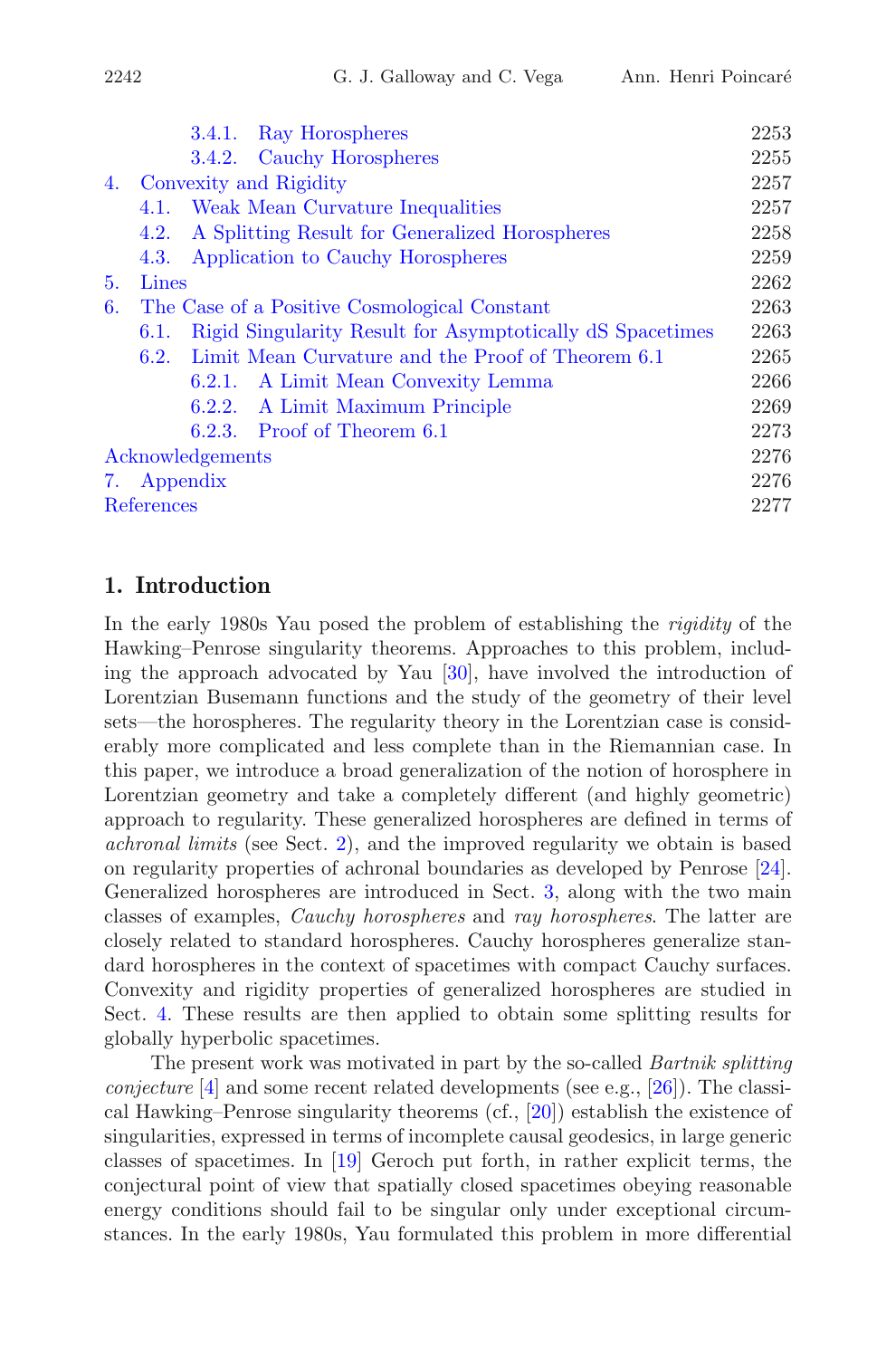|    |                                              | 3.4.1. Ray Horospheres                                    | 2253 |  |
|----|----------------------------------------------|-----------------------------------------------------------|------|--|
|    |                                              | 3.4.2. Cauchy Horospheres                                 | 2255 |  |
|    | 4. Convexity and Rigidity                    |                                                           |      |  |
|    | 4.1.                                         | 2257<br>Weak Mean Curvature Inequalities                  |      |  |
|    | 4.2.                                         | A Splitting Result for Generalized Horospheres            | 2258 |  |
|    | 4.3.                                         | Application to Cauchy Horospheres                         | 2259 |  |
| 5. | Lines                                        |                                                           | 2262 |  |
| 6. | The Case of a Positive Cosmological Constant |                                                           |      |  |
|    | 6.1.                                         | Rigid Singularity Result for Asymptotically dS Spacetimes | 2263 |  |
|    | 6.2.                                         | Limit Mean Curvature and the Proof of Theorem 6.1         | 2265 |  |
|    |                                              | 6.2.1. A Limit Mean Convexity Lemma                       | 2266 |  |
|    |                                              | A Limit Maximum Principle<br>6.2.2.                       | 2269 |  |
|    |                                              | $6.2.3.$ Proof of Theorem $6.1$                           | 2273 |  |
|    | Acknowledgements                             |                                                           |      |  |
|    | 7. Appendix                                  |                                                           |      |  |
|    | References                                   |                                                           |      |  |
|    |                                              |                                                           |      |  |

# <span id="page-1-0"></span>**1. Introduction**

In the early 1980s Yau posed the problem of establishing the *rigidity* of the Hawking–Penrose singularity theorems. Approaches to this problem, including the approach advocated by Yau [\[30](#page-38-0)], have involved the introduction of Lorentzian Busemann functions and the study of the geometry of their level sets—the horospheres. The regularity theory in the Lorentzian case is considerably more complicated and less complete than in the Riemannian case. In this paper, we introduce a broad generalization of the notion of horosphere in Lorentzian geometry and take a completely different (and highly geometric) approach to regularity. These generalized horospheres are defined in terms of *achronal limits* (see Sect. [2\)](#page-2-0), and the improved regularity we obtain is based on regularity properties of achronal boundaries as developed by Penrose [\[24\]](#page-37-0). Generalized horospheres are introduced in Sect. [3,](#page-5-0) along with the two main classes of examples, *Cauchy horospheres* and *ray horospheres*. The latter are closely related to standard horospheres. Cauchy horospheres generalize standard horospheres in the context of spacetimes with compact Cauchy surfaces. Convexity and rigidity properties of generalized horospheres are studied in Sect. [4.](#page-16-0) These results are then applied to obtain some splitting results for globally hyperbolic spacetimes.

The present work was motivated in part by the so-called *Bartnik splitting conjecture* [\[4](#page-36-3)] and some recent related developments (see e.g., [\[26](#page-37-1)]). The classical Hawking–Penrose singularity theorems (cf., [\[20\]](#page-37-2)) establish the existence of singularities, expressed in terms of incomplete causal geodesics, in large generic classes of spacetimes. In [\[19](#page-37-3)] Geroch put forth, in rather explicit terms, the conjectural point of view that spatially closed spacetimes obeying reasonable energy conditions should fail to be singular only under exceptional circumstances. In the early 1980s, Yau formulated this problem in more differential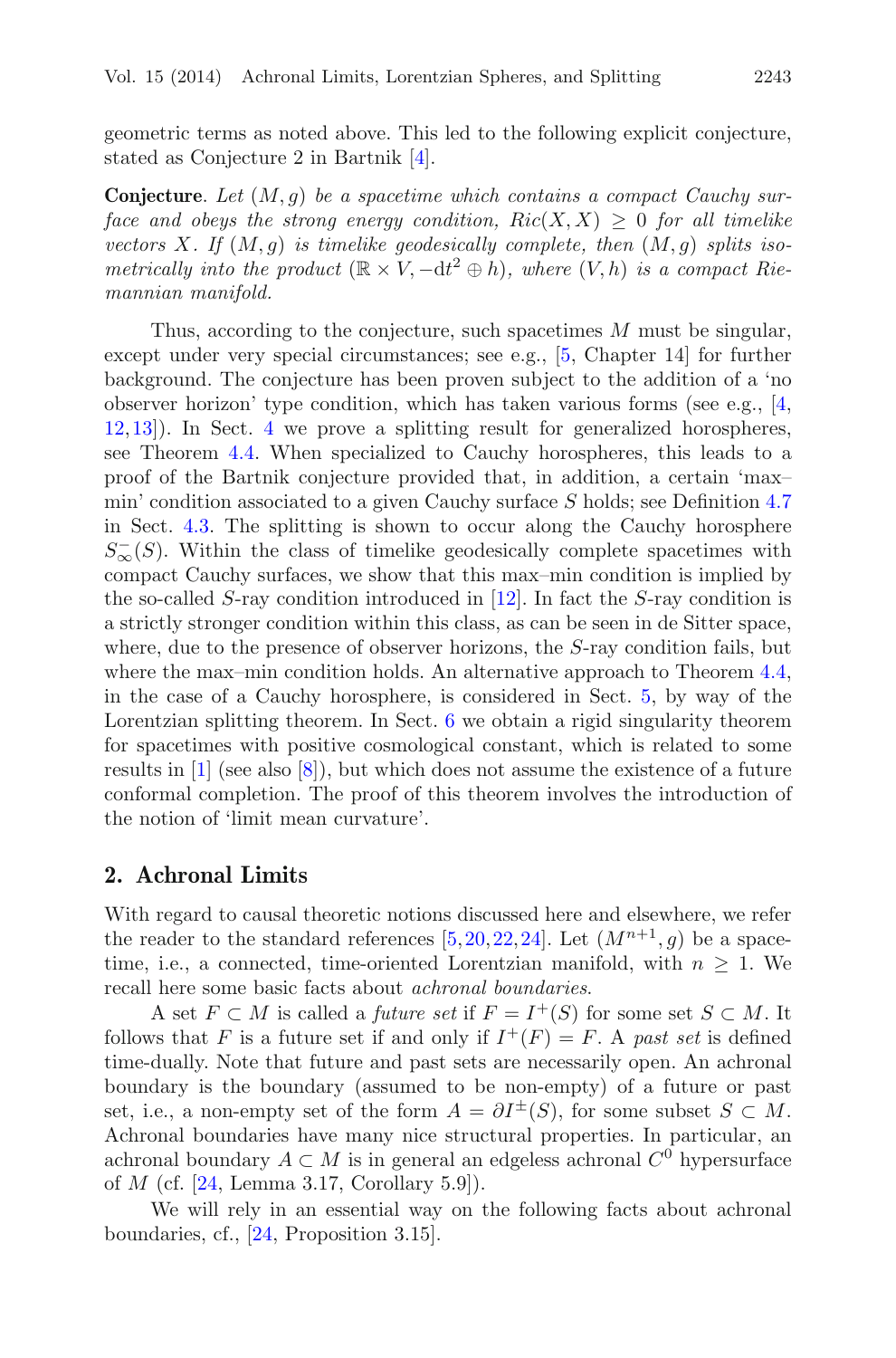geometric terms as noted above. This led to the following explicit conjecture, stated as Conjecture 2 in Bartnik [\[4](#page-36-3)].

**Conjecture**. *Let* (M,g) *be a spacetime which contains a compact Cauchy surface and obeys the strong energy condition,*  $Ric(X, X) \geq 0$  *for all timelike vectors*  $X$ *. If*  $(M, q)$  *is timelike geodesically complete, then*  $(M, q)$  *splits isometrically into the product*  $(\mathbb{R} \times V, -dt^2 \oplus h)$ *, where*  $(V, h)$  *is a compact Riemannian manifold.*

Thus, according to the conjecture, such spacetimes M must be singular, except under very special circumstances; see e.g., [\[5](#page-36-4), Chapter 14] for further background. The conjecture has been proven subject to the addition of a 'no observer horizon' type condition, which has taken various forms (see e.g., [\[4,](#page-36-3) [12](#page-37-4),[13\]](#page-37-5)). In Sect. [4](#page-16-0) we prove a splitting result for generalized horospheres, see Theorem [4.4.](#page-18-1) When specialized to Cauchy horospheres, this leads to a proof of the Bartnik conjecture provided that, in addition, a certain 'max– min' condition associated to a given Cauchy surface S holds; see Definition [4.7](#page-19-0) in Sect. [4.3.](#page-18-0) The splitting is shown to occur along the Cauchy horosphere  $S_{\infty}(S)$ . Within the class of timelike geodesically complete spacetimes with compact Cauchy surfaces, we show that this max–min condition is implied by the so-called S-ray condition introduced in [\[12](#page-37-4)]. In fact the S-ray condition is a strictly stronger condition within this class, as can be seen in de Sitter space, where, due to the presence of observer horizons, the S-ray condition fails, but where the max–min condition holds. An alternative approach to Theorem [4.4,](#page-18-1) in the case of a Cauchy horosphere, is considered in Sect. [5,](#page-21-0) by way of the Lorentzian splitting theorem. In Sect. [6](#page-22-0) we obtain a rigid singularity theorem for spacetimes with positive cosmological constant, which is related to some results in  $[1]$  $[1]$  (see also  $[8]$ ), but which does not assume the existence of a future conformal completion. The proof of this theorem involves the introduction of the notion of 'limit mean curvature'.

# <span id="page-2-0"></span>**2. Achronal Limits**

With regard to causal theoretic notions discussed here and elsewhere, we refer the reader to the standard references [\[5](#page-36-4)[,20](#page-37-2),[22,](#page-37-6)[24\]](#page-37-0). Let  $(M^{n+1}, g)$  be a spacetime, i.e., a connected, time-oriented Lorentzian manifold, with  $n \geq 1$ . We recall here some basic facts about *achronal boundaries*.

A set  $F \subset M$  is called a *future set* if  $F = I^+(S)$  for some set  $S \subset M$ . It follows that F is a future set if and only if  $I^+(F) = F$ . A *past set* is defined time-dually. Note that future and past sets are necessarily open. An achronal boundary is the boundary (assumed to be non-empty) of a future or past set, i.e., a non-empty set of the form  $A = \partial I^{\pm}(S)$ , for some subset  $S \subset M$ . Achronal boundaries have many nice structural properties. In particular, an achronal boundary  $A \subset M$  is in general an edgeless achronal  $C^0$  hypersurface of  $M$  (cf. [\[24,](#page-37-0) Lemma 3.17, Corollary 5.9]).

<span id="page-2-1"></span>We will rely in an essential way on the following facts about achronal boundaries, cf., [\[24,](#page-37-0) Proposition 3.15].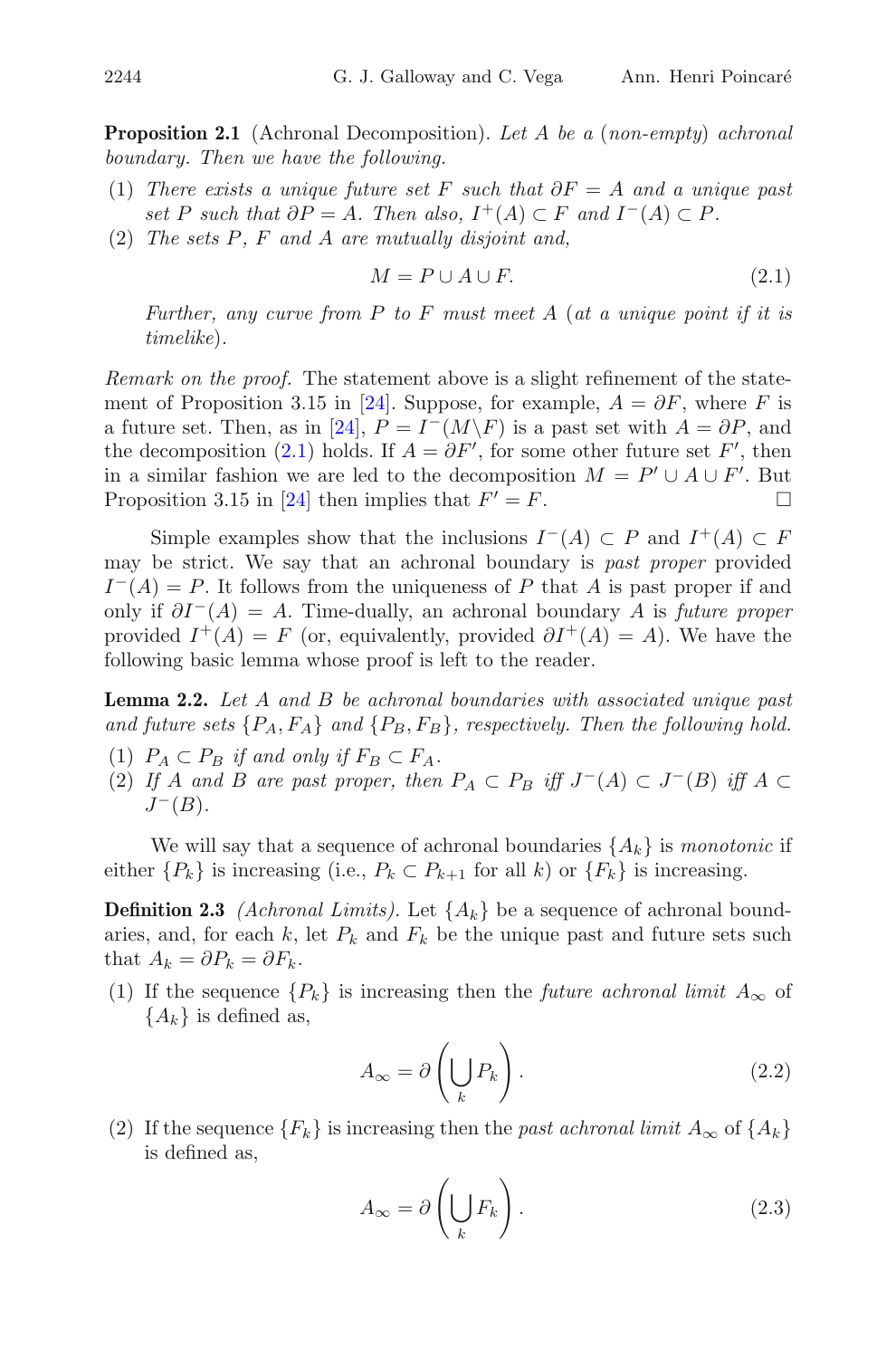- (1) *There exists a unique future set* F *such that* ∂F = A *and a unique past set* P *such that*  $\partial P = A$ *. Then also,*  $I^+(A) \subset F$  *and*  $I^-(A) \subset P$ *.*
- (2) *The sets* P*,* F *and* A *are mutually disjoint and,*

$$
M = P \cup A \cup F. \tag{2.1}
$$

<span id="page-3-0"></span>*Further, any curve from* P *to* F *must meet* A (*at a unique point if it is timelike*)*.*

*Remark on the proof.* The statement above is a slight refinement of the state-ment of Proposition 3.15 in [\[24\]](#page-37-0). Suppose, for example,  $A = \partial F$ , where F is a future set. Then, as in [\[24](#page-37-0)],  $P = I^{-}(M\backslash F)$  is a past set with  $A = \partial P$ , and the decomposition [\(2.1\)](#page-3-0) holds. If  $A = \partial F'$ , for some other future set  $F'$ , then in a similar fashion we are led to the decomposition  $M = P' \cup A \cup F'$ . But Proposition 3.15 in [\[24](#page-37-0)] then implies that  $F' = F$ .

Simple examples show that the inclusions  $I^-(A) \subset P$  and  $I^+(A) \subset F$ may be strict. We say that an achronal boundary is *past proper* provided  $I^{-}(A) = P$ . It follows from the uniqueness of P that A is past proper if and only if ∂I−(A) = A. Time-dually, an achronal boundary A is *future proper* provided  $I^+(A) = F$  (or, equivalently, provided  $\partial I^+(A) = A$ ). We have the following basic lemma whose proof is left to the reader.

<span id="page-3-1"></span>**Lemma 2.2.** *Let* A *and* B *be achronal boundaries with associated unique past* and future sets  $\{P_A, F_A\}$  and  $\{P_B, F_B\}$ , respectively. Then the following hold.

- (1)  $P_A \subset P_B$  *if and only if*  $F_B \subset F_A$ .
- (2) If A and B are past proper, then  $P_A \subset P_B$  iff  $J^{-}(A) \subset J^{-}(B)$  iff  $A \subset$  $J^-(B)$ *.*

<span id="page-3-2"></span>We will say that a sequence of achronal boundaries  $\{A_k\}$  is *monotonic* if either  $\{P_k\}$  is increasing (i.e.,  $P_k \subset P_{k+1}$  for all k) or  $\{F_k\}$  is increasing.

**Definition 2.3** *(Achronal Limits)*. Let  $\{A_k\}$  be a sequence of achronal boundaries, and, for each  $k$ , let  $P_k$  and  $F_k$  be the unique past and future sets such that  $A_k = \partial P_k = \partial F_k$ .

(1) If the sequence  $\{P_k\}$  is increasing then the *future achronal limit*  $A_{\infty}$  of  ${A_k}$  is defined as,

$$
A_{\infty} = \partial \left( \bigcup_{k} P_{k} \right). \tag{2.2}
$$

(2) If the sequence  ${F_k}$  is increasing then the *past achronal limit*  $A_{\infty}$  of  ${A_k}$ is defined as,

$$
A_{\infty} = \partial \left( \bigcup_{k} F_{k} \right). \tag{2.3}
$$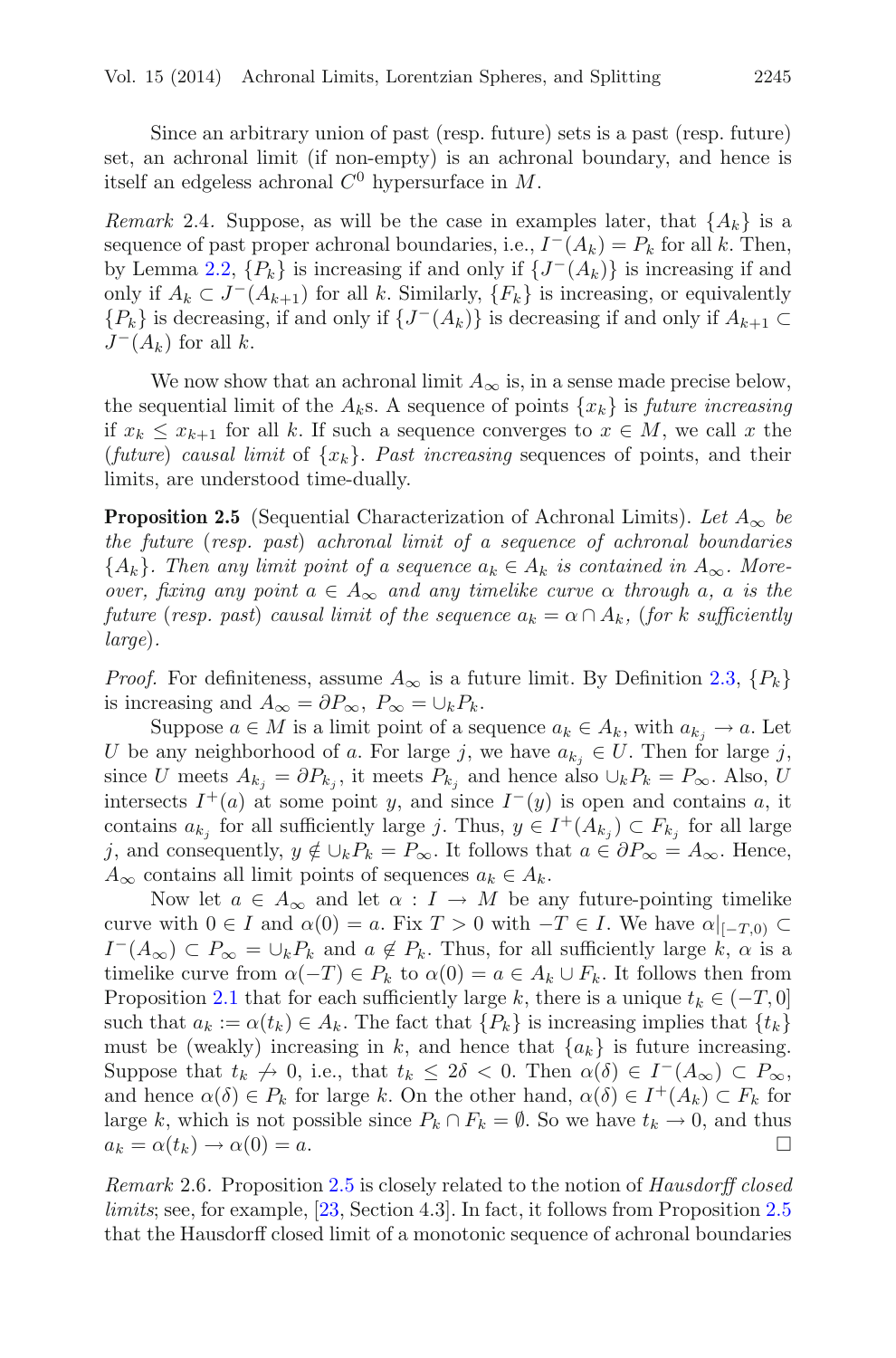Since an arbitrary union of past (resp. future) sets is a past (resp. future) set, an achronal limit (if non-empty) is an achronal boundary, and hence is itself an edgeless achronal  $C^0$  hypersurface in M.

<span id="page-4-1"></span>*Remark* 2.4. Suppose, as will be the case in examples later, that  $\{A_k\}$  is a sequence of past proper achronal boundaries, i.e.,  $I^-(A_k) = P_k$  for all k. Then, by Lemma [2.2,](#page-3-1)  $\{P_k\}$  is increasing if and only if  $\{J^-(A_k)\}\$ is increasing if and only if  $A_k \subset J^-(A_{k+1})$  for all k. Similarly,  $\{F_k\}$  is increasing, or equivalently  ${P_k}$  is decreasing, if and only if  ${J^-(A_k)}$  is decreasing if and only if  $A_{k+1} \subset$  $J^-(A_k)$  for all k.

We now show that an achronal limit  $A_{\infty}$  is, in a sense made precise below, the sequential limit of the  $A_k$ s. A sequence of points  $\{x_k\}$  is *future increasing* if  $x_k \leq x_{k+1}$  for all k. If such a sequence converges to  $x \in M$ , we call x the *(future) causal limit* of  $\{x_k\}$ . Past increasing sequences of points, and their limits, are understood time-dually.

<span id="page-4-0"></span>**Proposition 2.5** (Sequential Characterization of Achronal Limits). Let  $A_{\infty}$  be *the future* (*resp. past*) *achronal limit of a sequence of achronal boundaries*  ${A_k}$ . Then any limit point of a sequence  $a_k \in A_k$  is contained in  $A_{\infty}$ . More*over, fixing any point*  $a \in A_{\infty}$  *and any timelike curve*  $\alpha$  *through*  $a$ *,*  $a$  *is the future* (*resp. past*) *causal limit of the sequence*  $a_k = \alpha \cap A_k$ , (*for* k *sufficiently large*)*.*

*Proof.* For definiteness, assume  $A_{\infty}$  is a future limit. By Definition [2.3,](#page-3-2)  $\{P_k\}$ is increasing and  $A_{\infty} = \partial P_{\infty}$ ,  $P_{\infty} = \bigcup_k P_k$ .

Suppose  $a \in M$  is a limit point of a sequence  $a_k \in A_k$ , with  $a_{k_i} \to a$ . Let U be any neighborhood of a. For large j, we have  $a_{k_j} \in U$ . Then for large j, since U meets  $A_{k_j} = \partial P_{k_j}$ , it meets  $P_{k_j}$  and hence also  $\cup_k P_k = P_{\infty}$ . Also, U intersects  $I^+(a)$  at some point y, and since  $I^-(y)$  is open and contains a, it contains  $a_{k_i}$  for all sufficiently large j. Thus,  $y \in I^+(A_{k_i}) \subset F_{k_i}$  for all large j, and consequently,  $y \notin \bigcup_k P_k = P_{\infty}$ . It follows that  $a \in \partial P_{\infty} = A_{\infty}$ . Hence,  $A_{\infty}$  contains all limit points of sequences  $a_k \in A_k$ .

Now let  $a \in A_{\infty}$  and let  $\alpha : I \to M$  be any future-pointing timelike curve with  $0 \in I$  and  $\alpha(0) = a$ . Fix  $T > 0$  with  $-T \in I$ . We have  $\alpha|_{[-T,0)} \subset I$  $I^-(A_{\infty}) \subset P_{\infty} = \cup_k P_k$  and  $a \notin P_k$ . Thus, for all sufficiently large k,  $\alpha$  is a timelike curve from  $\alpha(-T) \in P_k$  to  $\alpha(0) = a \in A_k \cup F_k$ . It follows then from Proposition [2.1](#page-2-1) that for each sufficiently large k, there is a unique  $t_k \in (-T, 0]$ such that  $a_k := \alpha(t_k) \in A_k$ . The fact that  $\{P_k\}$  is increasing implies that  $\{t_k\}$ must be (weakly) increasing in k, and hence that  ${a_k}$  is future increasing. Suppose that  $t_k \nightharpoonup 0$ , i.e., that  $t_k \leq 2\delta < 0$ . Then  $\alpha(\delta) \in I^-(A_\infty) \subset P_\infty$ , and hence  $\alpha(\delta) \in P_k$  for large k. On the other hand,  $\alpha(\delta) \in I^+(A_k) \subset F_k$  for large k, which is not possible since  $P_k \cap F_k = \emptyset$ . So we have  $t_k \to 0$ , and thus  $a_k = \alpha(t_k) \rightarrow \alpha(0) = a.$ 

*Remark* 2.6*.* Proposition [2.5](#page-4-0) is closely related to the notion of *Hausdorff closed limits*; see, for example, [\[23](#page-37-7), Section 4.3]. In fact, it follows from Proposition [2.5](#page-4-0) that the Hausdorff closed limit of a monotonic sequence of achronal boundaries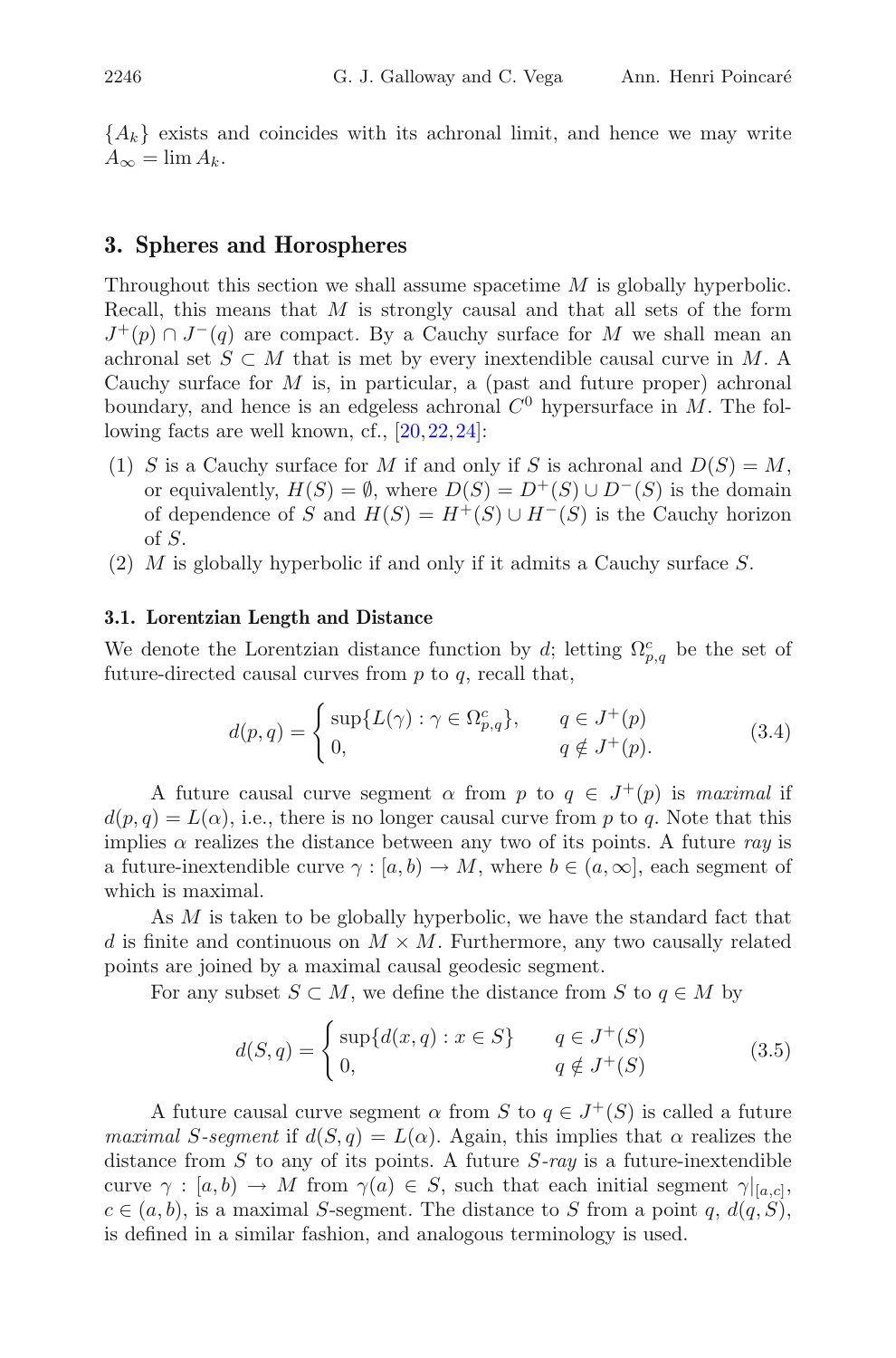${A_k}$  exists and coincides with its achronal limit, and hence we may write  $A_{\infty} = \lim A_{k}.$ 

# <span id="page-5-0"></span>**3. Spheres and Horospheres**

Throughout this section we shall assume spacetime M is globally hyperbolic. Recall, this means that  $M$  is strongly causal and that all sets of the form  $J^+(p) \cap J^-(q)$  are compact. By a Cauchy surface for M we shall mean an achronal set  $S \subset M$  that is met by every inextendible causal curve in M. A Cauchy surface for  $M$  is, in particular, a (past and future proper) achronal boundary, and hence is an edgeless achronal  $C<sup>0</sup>$  hypersurface in M. The following facts are well known, cf., [\[20](#page-37-2),[22,](#page-37-6)[24\]](#page-37-0):

- (1) S is a Cauchy surface for M if and only if S is achronal and  $D(S) = M$ , or equivalently,  $H(S) = \emptyset$ , where  $D(S) = D^{+}(S) \cup D^{-}(S)$  is the domain of dependence of S and  $H(S) = H^+(S) \cup H^-(S)$  is the Cauchy horizon of S.
- (2) M is globally hyperbolic if and only if it admits a Cauchy surface S.

#### <span id="page-5-1"></span>**3.1. Lorentzian Length and Distance**

We denote the Lorentzian distance function by d; letting  $\Omega_{p,q}^c$  be the set of future-directed causal curves from  $p$  to  $q$ , recall that,

$$
d(p,q) = \begin{cases} \sup\{L(\gamma) : \gamma \in \Omega_{p,q}^c\}, & q \in J^+(p) \\ 0, & q \notin J^+(p). \end{cases}
$$
(3.4)

A future causal curve segment  $\alpha$  from p to  $q \in J^+(p)$  is *maximal* if  $d(p,q) = L(\alpha)$ , i.e., there is no longer causal curve from p to q. Note that this implies  $\alpha$  realizes the distance between any two of its points. A future ray is a future-inextendible curve  $\gamma : [a, b) \to M$ , where  $b \in (a, \infty]$ , each segment of which is maximal.

As M is taken to be globally hyperbolic, we have the standard fact that d is finite and continuous on  $M \times M$ . Furthermore, any two causally related points are joined by a maximal causal geodesic segment.

For any subset  $S \subset M$ , we define the distance from S to  $q \in M$  by

$$
d(S, q) = \begin{cases} \sup\{d(x, q) : x \in S\} & q \in J^+(S) \\ 0, & q \notin J^+(S) \end{cases}
$$
(3.5)

A future causal curve segment  $\alpha$  from S to  $q \in J^+(S)$  is called a future *maximal* S-segment if  $d(S, q) = L(\alpha)$ . Again, this implies that  $\alpha$  realizes the distance from S to any of its points. A future S*-ray* is a future-inextendible curve  $\gamma : [a, b] \to M$  from  $\gamma(a) \in S$ , such that each initial segment  $\gamma|_{[a,c]},$  $c \in (a, b)$ , is a maximal S-segment. The distance to S from a point q,  $d(q, S)$ , is defined in a similar fashion, and analogous terminology is used.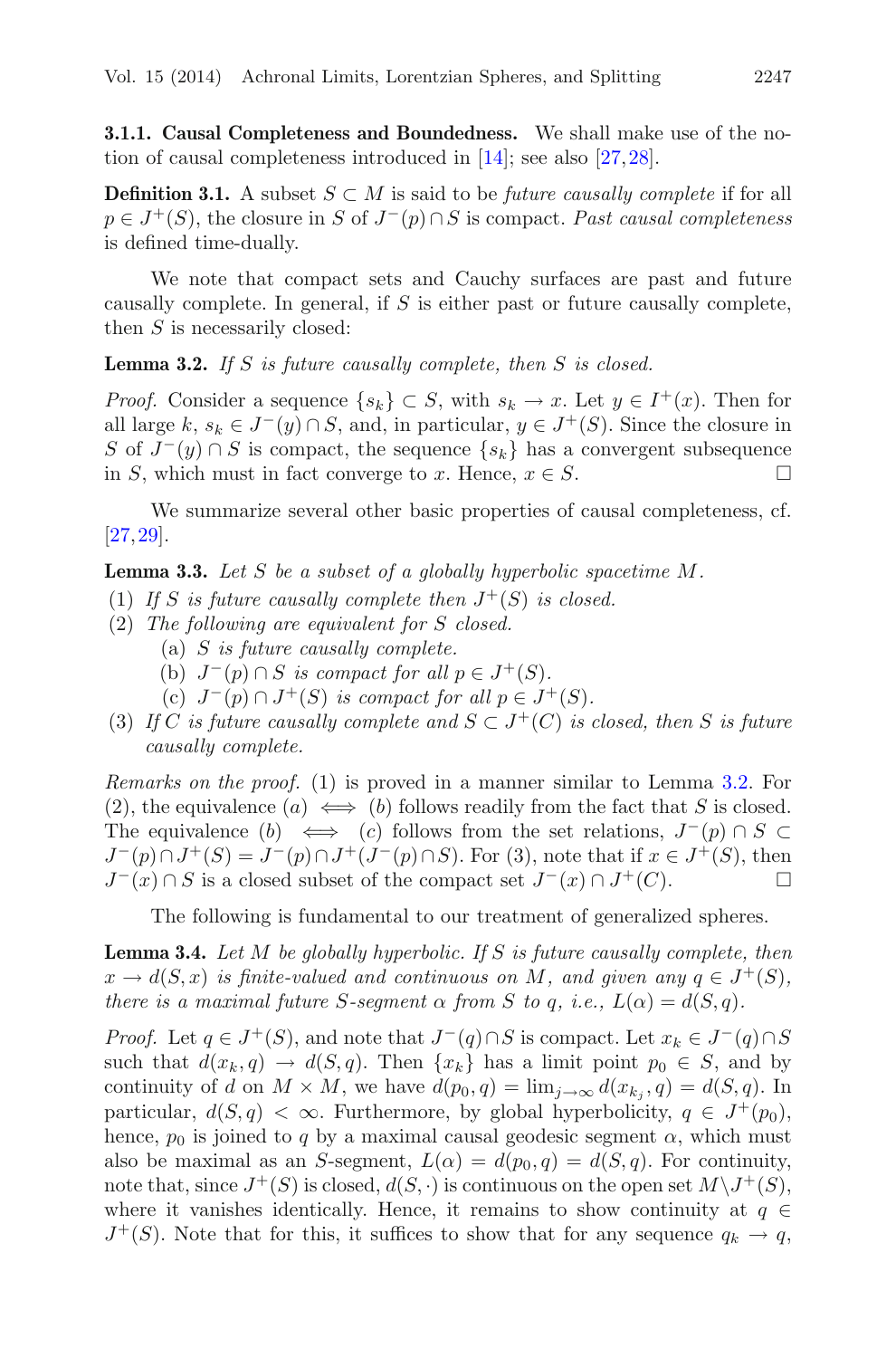<span id="page-6-0"></span>**3.1.1. Causal Completeness and Boundedness.** We shall make use of the notion of causal completeness introduced in [\[14](#page-37-8)]; see also [\[27](#page-37-9)[,28](#page-38-1)].

**Definition 3.1.** A subset  $S \subset M$  is said to be *future causally complete* if for all p ∈ J+(S), the closure in S of J−(p)∩S is compact. *Past causal completeness* is defined time-dually.

We note that compact sets and Cauchy surfaces are past and future causally complete. In general, if  $S$  is either past or future causally complete, then  $S$  is necessarily closed:

<span id="page-6-1"></span>**Lemma 3.2.** *If* S *is future causally complete, then* S *is closed.*

*Proof.* Consider a sequence  $\{s_k\} \subset S$ , with  $s_k \to x$ . Let  $y \in I^+(x)$ . Then for all large k,  $s_k \in J^-(y) \cap S$ , and, in particular,  $y \in J^+(S)$ . Since the closure in S of  $J^-(y) \cap S$  is compact, the sequence  $\{s_k\}$  has a convergent subsequence in S, which must in fact converge to x. Hence,  $x \in S$ .  $\Box$ 

<span id="page-6-3"></span>We summarize several other basic properties of causal completeness, cf. [\[27,](#page-37-9)[29\]](#page-38-2).

**Lemma 3.3.** *Let* S *be a subset of a globally hyperbolic spacetime* M*.*

- (1) If S is future causally complete then  $J^+(S)$  is closed.
- (2) *The following are equivalent for* S *closed.*
	- (a) S *is future causally complete.*
	- (b)  $J^-(p) \cap S$  *is compact for all*  $p \in J^+(S)$ *.*
	- (c)  $J^-(p) \cap J^+(S)$  *is compact for all*  $p \in J^+(S)$ *.*
- (3) *If* C *is future causally complete and*  $S \subset J^+(C)$  *is closed, then* S *is future causally complete.*

*Remarks on the proof.* (1) is proved in a manner similar to Lemma [3.2.](#page-6-1) For (2), the equivalence  $(a) \iff (b)$  follows readily from the fact that S is closed. The equivalence  $(b) \iff (c)$  follows from the set relations,  $J^-(p) \cap S \subset$  $J^-(p) \cap J^+(S) = J^-(p) \cap J^+(J^-(p) \cap S)$ . For (3), note that if  $x \in J^+(S)$ , then  $J^-(x) \cap S$  is a closed subset of the compact set  $J^-(x) \cap J^+(C)$ .  $\Box$ 

The following is fundamental to our treatment of generalized spheres.

<span id="page-6-2"></span>**Lemma 3.4.** *Let* M *be globally hyperbolic. If* S *is future causally complete, then*  $x \to d(S, x)$  *is finite-valued and continuous on* M, and given any  $q \in J^+(S)$ , *there is a maximal future* S-segment  $\alpha$  *from* S to q, *i.e.*,  $L(\alpha) = d(S, q)$ *.* 

*Proof.* Let  $q \in J^+(S)$ , and note that  $J^-(q) \cap S$  is compact. Let  $x_k \in J^-(q) \cap S$ such that  $d(x_k, q) \to d(S, q)$ . Then  $\{x_k\}$  has a limit point  $p_0 \in S$ , and by continuity of d on  $M \times M$ , we have  $d(p_0, q) = \lim_{j \to \infty} d(x_{k_j}, q) = d(S, q)$ . In particular,  $d(S, q) < \infty$ . Furthermore, by global hyperbolicity,  $q \in J^+(p_0)$ , hence,  $p_0$  is joined to q by a maximal causal geodesic segment  $\alpha$ , which must also be maximal as an S-segment,  $L(\alpha) = d(p_0, q) = d(S, q)$ . For continuity, note that, since  $J^+(S)$  is closed,  $d(S, \cdot)$  is continuous on the open set  $M\setminus J^+(S)$ , where it vanishes identically. Hence, it remains to show continuity at  $q \in$  $J^+(S)$ . Note that for this, it suffices to show that for any sequence  $q_k \to q$ ,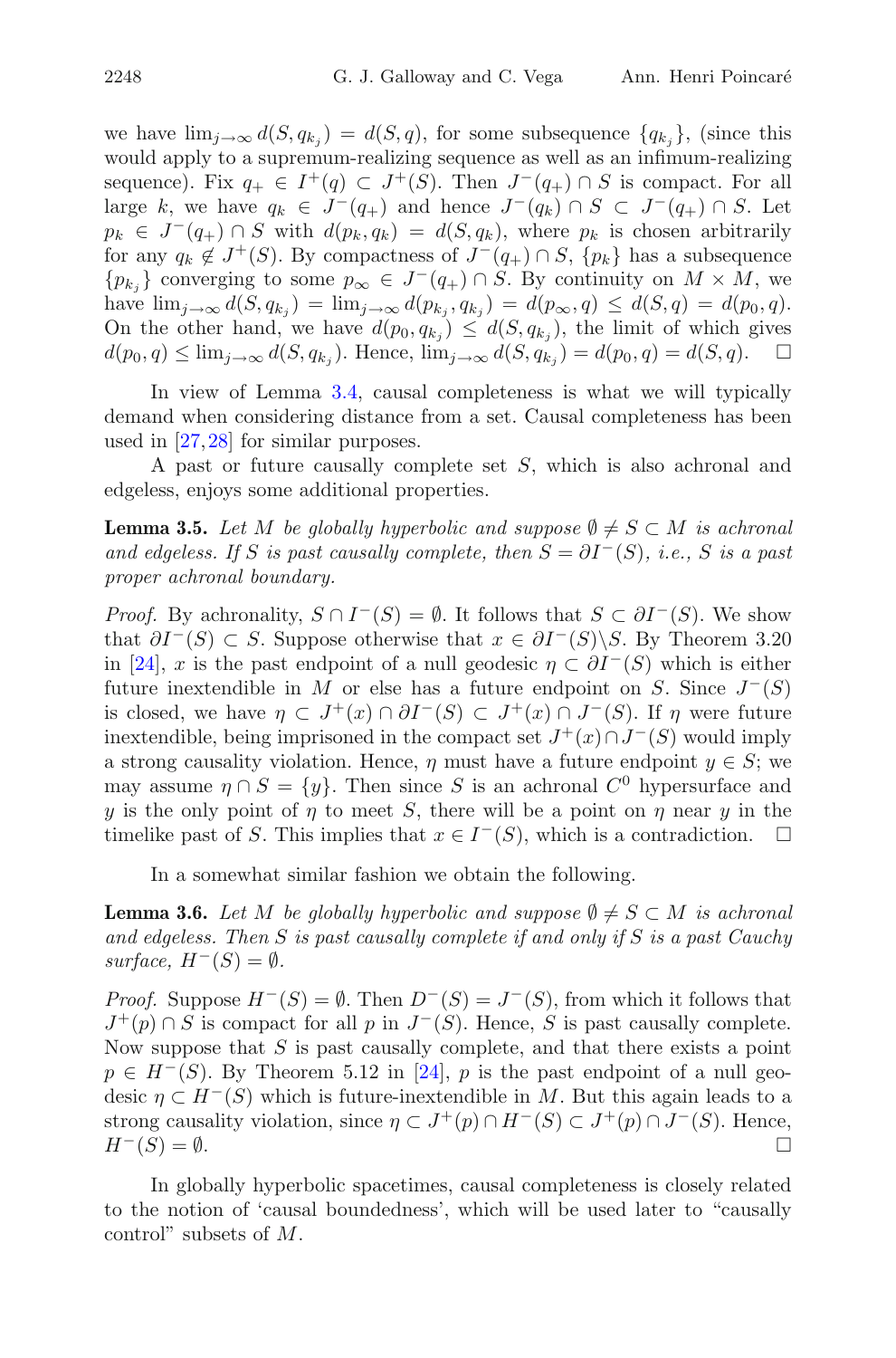we have  $\lim_{j\to\infty} d(S, q_{k_j}) = d(S, q)$ , for some subsequence  $\{q_{k_j}\}\$ , (since this would apply to a supremum-realizing sequence as well as an infimum-realizing sequence). Fix  $q_+ \in I^+(q) \subset J^+(S)$ . Then  $J^-(q_+) \cap S$  is compact. For all large k, we have  $q_k \in J^-(q_+)$  and hence  $J^-(q_k) \cap S \subset J^-(q_+) \cap S$ . Let  $p_k \in J^-(q_+) \cap S$  with  $d(p_k, q_k) = d(S, q_k)$ , where  $p_k$  is chosen arbitrarily for any  $q_k \notin J^+(S)$ . By compactness of  $J^-(q_+) \cap S$ ,  $\{p_k\}$  has a subsequence  ${p_{k_i}}$  converging to some  $p_{\infty} \in J^{-}(q_+) \cap S$ . By continuity on  $M \times M$ , we have  $\lim_{j \to \infty} d(S, q_{k_j}) = \lim_{j \to \infty} d(p_{k_j}, q_{k_j}) = d(p_{\infty}, q) \leq d(S, q) = d(p_0, q).$ On the other hand, we have  $d(p_0, q_{k_i}) \leq d(S, q_{k_i})$ , the limit of which gives  $d(p_0, q) \le \lim_{j \to \infty} d(S, q_{k_j})$ . Hence,  $\lim_{j \to \infty} d(S, q_{k_j}) = d(p_0, q) = d(S, q)$ .  $\Box$ 

In view of Lemma [3.4,](#page-6-2) causal completeness is what we will typically demand when considering distance from a set. Causal completeness has been used in [\[27](#page-37-9)[,28\]](#page-38-1) for similar purposes.

<span id="page-7-0"></span>A past or future causally complete set S, which is also achronal and edgeless, enjoys some additional properties.

**Lemma 3.5.** *Let*  $M$  *be globally hyperbolic and suppose*  $\emptyset \neq S \subset M$  *is achronal and edgeless. If* S *is past causally complete, then*  $S = \partial I^-(S)$ *, i.e.,* S *is a past proper achronal boundary.*

*Proof.* By achronality,  $S \cap I^-(S) = \emptyset$ . It follows that  $S \subset \partial I^-(S)$ . We show that  $\partial I^{-}(S) \subset S$ . Suppose otherwise that  $x \in \partial I^{-}(S) \backslash S$ . By Theorem 3.20 in [\[24](#page-37-0)], x is the past endpoint of a null geodesic  $\eta \subset \partial I^{-}(S)$  which is either future inextendible in M or else has a future endpoint on S. Since  $J^-(S)$ is closed, we have  $\eta \subset J^+(x) \cap \partial I^-(S) \subset J^+(x) \cap J^-(S)$ . If  $\eta$  were future inextendible, being imprisoned in the compact set  $J^+(x) \cap J^-(S)$  would imply a strong causality violation. Hence,  $\eta$  must have a future endpoint  $y \in S$ ; we may assume  $\eta \cap S = \{y\}$ . Then since S is an achronal  $C^0$  hypersurface and y is the only point of  $\eta$  to meet S, there will be a point on  $\eta$  near y in the timelike past of S. This implies that  $x \in I^-(S)$ , which is a contradiction.  $\Box$ 

In a somewhat similar fashion we obtain the following.

<span id="page-7-1"></span>**Lemma 3.6.** *Let*  $M$  *be globally hyperbolic and suppose*  $\emptyset \neq S \subset M$  *is achronal and edgeless. Then* S *is past causally complete if and only if* S *is a past Cauchy*  $surface, H^-(S) = \emptyset.$ 

*Proof.* Suppose  $H^{-}(S) = \emptyset$ . Then  $D^{-}(S) = J^{-}(S)$ , from which it follows that  $J^+(p) \cap S$  is compact for all p in  $J^-(S)$ . Hence, S is past causally complete. Now suppose that  $S$  is past causally complete, and that there exists a point  $p \in H^-(S)$ . By Theorem 5.12 in [\[24\]](#page-37-0), p is the past endpoint of a null geodesic  $\eta \subset H^{-1}(S)$  which is future-inextendible in M. But this again leads to a strong causality violation, since  $\eta \subset J^+(p) \cap H^-(S) \subset J^+(p) \cap J^-(S)$ . Hence,  $H^-(S) = \emptyset.$ 

In globally hyperbolic spacetimes, causal completeness is closely related to the notion of 'causal boundedness', which will be used later to "causally control" subsets of M.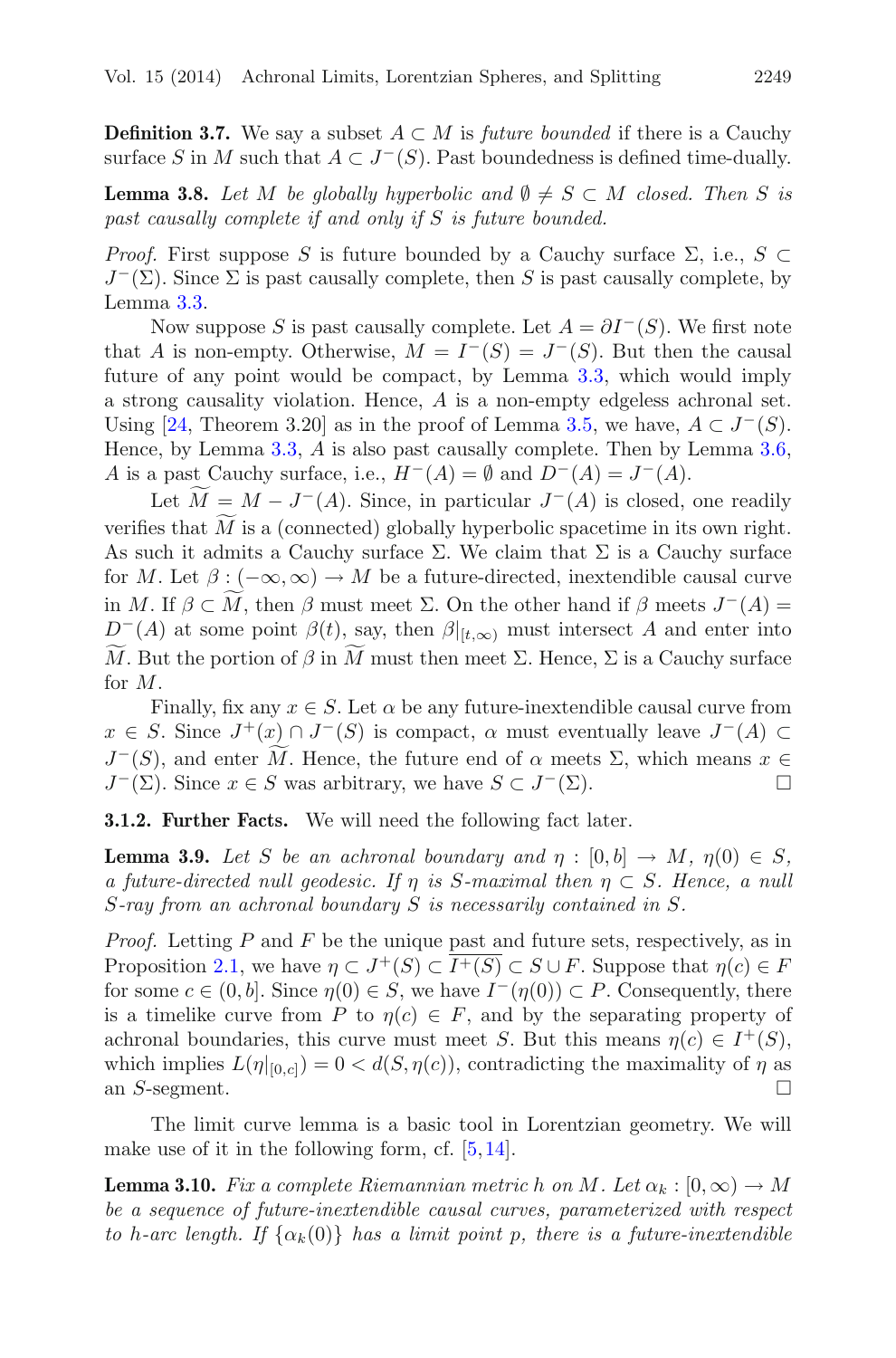**Definition 3.7.** We say a subset  $A \subset M$  is *future bounded* if there is a Cauchy surface S in M such that  $A \subset J^-(S)$ . Past boundedness is defined time-dually.

<span id="page-8-1"></span>**Lemma 3.8.** Let M be globally hyperbolic and  $\emptyset \neq S \subset M$  closed. Then S is *past causally complete if and only if* S *is future bounded.*

*Proof.* First suppose S is future bounded by a Cauchy surface  $\Sigma$ , i.e.,  $S \subset$  $J^{-}(\Sigma)$ . Since  $\Sigma$  is past causally complete, then S is past causally complete, by Lemma [3.3.](#page-6-3)

Now suppose S is past causally complete. Let  $A = \partial I^-(S)$ . We first note that A is non-empty. Otherwise,  $M = I^-(S) = J^-(S)$ . But then the causal future of any point would be compact, by Lemma [3.3,](#page-6-3) which would imply a strong causality violation. Hence, A is a non-empty edgeless achronal set. Using [\[24,](#page-37-0) Theorem 3.20] as in the proof of Lemma [3.5,](#page-7-0) we have,  $A \subset J^-(S)$ . Hence, by Lemma [3.3,](#page-6-3) A is also past causally complete. Then by Lemma [3.6,](#page-7-1) A is a past Cauchy surface, i.e.,  $H^-(A) = \emptyset$  and  $D^-(A) = J^-(A)$ .

Let  $M = M - J^-(A)$ . Since, in particular  $J^-(A)$  is closed, one readily verifies that  $M$  is a (connected) globally hyperbolic spacetime in its own right. As such it admits a Cauchy surface  $\Sigma$ . We claim that  $\Sigma$  is a Cauchy surface for M. Let  $\beta$ :  $(-\infty,\infty) \to M$  be a future-directed, inextendible causal curve in M. If  $\beta \subset M$ , then  $\beta$  must meet  $\Sigma$ . On the other hand if  $\beta$  meets  $J^{-}(A) =$  $D^{-}(A)$  at some point  $\beta(t)$ , say, then  $\beta|_{[t,\infty)}$  must intersect A and enter into M. But the portion of  $\beta$  in M must then meet  $\Sigma$ . Hence,  $\Sigma$  is a Cauchy surface for M.

Finally, fix any  $x \in S$ . Let  $\alpha$  be any future-inextendible causal curve from  $x \in S$ . Since  $J^+(x) \cap J^-(S)$  is compact,  $\alpha$  must eventually leave  $J^-(A) \subset$  $J^-(S)$ , and enter M. Hence, the future end of  $\alpha$  meets  $\Sigma$ , which means  $x \in$  $J^-(\Sigma)$ . Since  $x \in S$  was arbitrary, we have  $S \subset J^-(\Sigma)$ .

<span id="page-8-2"></span><span id="page-8-0"></span>**3.1.2. Further Facts.** We will need the following fact later.

**Lemma 3.9.** *Let* S *be an achronal boundary and*  $\eta : [0, b] \to M$ ,  $\eta(0) \in S$ , *a future-directed null geodesic. If* η *is* S*-maximal then* η ⊂ S*. Hence, a null* S*-ray from an achronal boundary* S *is necessarily contained in* S*.*

*Proof.* Letting P and F be the unique past and future sets, respectively, as in Proposition [2.1,](#page-2-1) we have  $\eta \subset J^+(S) \subset I^+(S) \subset S \cup F$ . Suppose that  $\eta(c) \in F$ for some  $c \in (0, b]$ . Since  $\eta(0) \in S$ , we have  $I^-(\eta(0)) \subset P$ . Consequently, there is a timelike curve from P to  $\eta(c) \in F$ , and by the separating property of achronal boundaries, this curve must meet S. But this means  $\eta(c) \in I^+(S)$ , which implies  $L(\eta|_{[0,c]})=0 < d(S, \eta(c))$ , contradicting the maximality of  $\eta$  as an S-segment.  $\Box$ 

The limit curve lemma is a basic tool in Lorentzian geometry. We will make use of it in the following form, cf.  $[5,14]$  $[5,14]$  $[5,14]$ .

**Lemma 3.10.** *Fix a complete Riemannian metric* h *on* M. Let  $\alpha_k : [0, \infty) \to M$ *be a sequence of future-inextendible causal curves, parameterized with respect to* h-arc length. If  $\{\alpha_k(0)\}\$  has a limit point p, there is a future-inextendible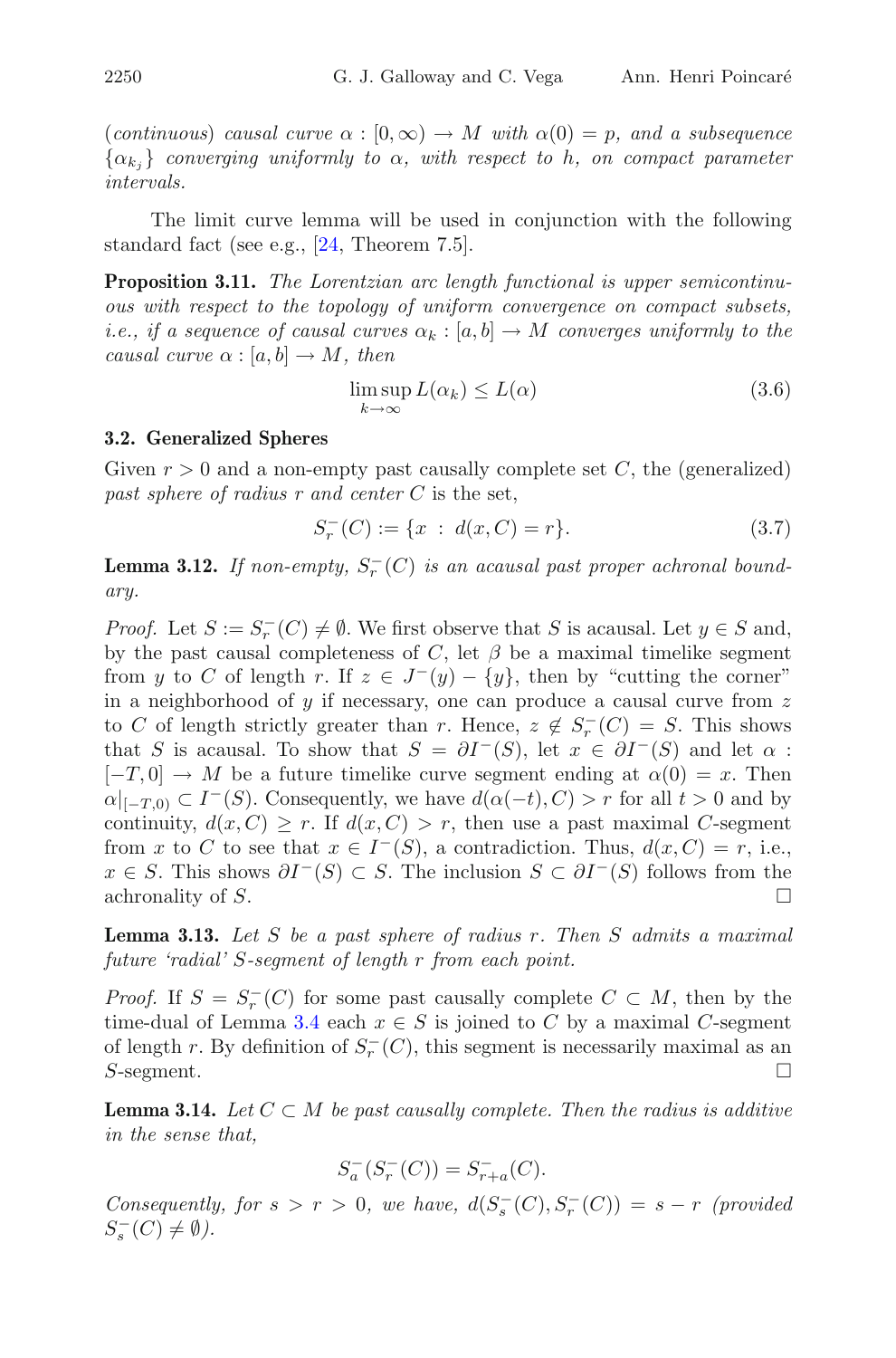(*continuous*) *causal curve*  $\alpha : [0, \infty) \to M$  *with*  $\alpha(0) = p$ *, and a subsequence*  ${\alpha_{k_i}}$  *converging uniformly to*  $\alpha$ *, with respect to* h, on compact parameter *intervals.*

The limit curve lemma will be used in conjunction with the following standard fact (see e.g., [\[24](#page-37-0), Theorem 7.5].

**Proposition 3.11.** *The Lorentzian arc length functional is upper semicontinuous with respect to the topology of uniform convergence on compact subsets, i.e., if a sequence of causal curves*  $\alpha_k : [a, b] \to M$  *converges uniformly to the causal curve*  $\alpha : [a, b] \to M$ *, then* 

$$
\limsup_{k \to \infty} L(\alpha_k) \le L(\alpha) \tag{3.6}
$$

# <span id="page-9-0"></span>**3.2. Generalized Spheres**

Given  $r > 0$  and a non-empty past causally complete set C, the (generalized) *past sphere of radius r and center* C is the set,

$$
S_r^-(C) := \{ x \; : \; d(x, C) = r \}. \tag{3.7}
$$

<span id="page-9-1"></span>**Lemma 3.12.** If non-empty,  $S_r^{-}(C)$  is an acausal past proper achronal bound*ary.*

*Proof.* Let  $S := S_r^{-1}(C) \neq \emptyset$ . We first observe that S is acausal. Let  $y \in S$  and, by the past causal completeness of  $C$ , let  $\beta$  be a maximal timelike segment from y to C of length r. If  $z \in J^-(y) - \{y\}$ , then by "cutting the corner" in a neighborhood of  $y$  if necessary, one can produce a causal curve from  $z$ to C of length strictly greater than r. Hence,  $z \notin S_r^{-}(C) = S$ . This shows that S is acausal. To show that  $S = \partial I^-(S)$ , let  $x \in \partial I^-(S)$  and let  $\alpha$ :  $[-T, 0] \rightarrow M$  be a future timelike curve segment ending at  $\alpha(0) = x$ . Then  $\alpha|_{[-T,0)} \subset I^-(S)$ . Consequently, we have  $d(\alpha(-t), C) > r$  for all  $t > 0$  and by continuity,  $d(x, C) \geq r$ . If  $d(x, C) > r$ , then use a past maximal C-segment from x to C to see that  $x \in I^-(S)$ , a contradiction. Thus,  $d(x, C) = r$ , i.e.,  $x \in S$ . This shows  $\partial I^{-}(S) \subset S$ . The inclusion  $S \subset \partial I^{-}(S)$  follows from the achronality of S.  $\Box$ 

<span id="page-9-2"></span>**Lemma 3.13.** *Let* S *be a past sphere of radius* r*. Then* S *admits a maximal future 'radial'* S*-segment of length* r *from each point.*

*Proof.* If  $S = S_r^{-}(C)$  for some past causally complete  $C \subset M$ , then by the time-dual of Lemma [3.4](#page-6-2) each  $x \in S$  is joined to C by a maximal C-segment of length r. By definition of  $S_r^-(C)$ , this segment is necessarily maximal as an S-segment.  $\Box$ 

<span id="page-9-3"></span>**Lemma 3.14.** Let  $C \subset M$  be past causally complete. Then the radius is additive *in the sense that,*

$$
S_a^-(S_r^-(C)) = S_{r+a}^-(C).
$$

*Consequently, for*  $s > r > 0$ *, we have,*  $d(S_{s}(C), S_{r}(C)) = s - r$  *(provided)*  $S_s^-(C) \neq \emptyset$ ).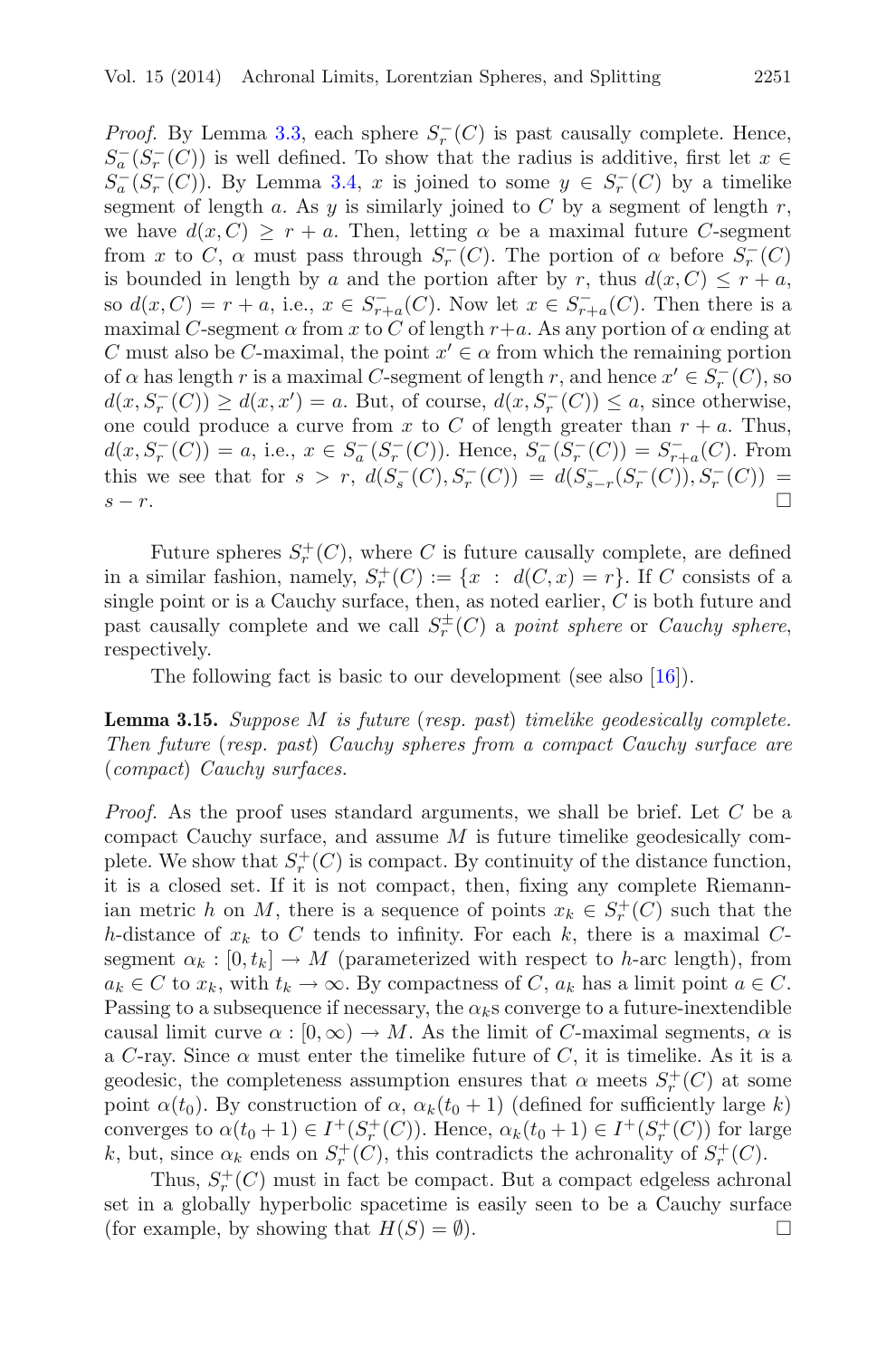*Proof.* By Lemma [3.3,](#page-6-3) each sphere  $S<sub>r</sub><sup>-</sup>(C)$  is past causally complete. Hence,  $S_a^-(S_r^-(C))$  is well defined. To show that the radius is additive, first let  $x \in$  $S_a^-(S_r^-(C))$ . By Lemma [3.4,](#page-6-2) x is joined to some  $y \in S_r^-(C)$  by a timelike segment of length a. As y is similarly joined to C by a segment of length  $r$ , we have  $d(x, C) > r + a$ . Then, letting  $\alpha$  be a maximal future C-segment from x to C,  $\alpha$  must pass through  $S_r^-(C)$ . The portion of  $\alpha$  before  $S_r^-(C)$ is bounded in length by a and the portion after by r, thus  $d(x, C) \leq r + a$ , so  $d(x, C) = r + a$ , i.e.,  $x \in S_{r+a}^-(C)$ . Now let  $x \in S_{r+a}^-(C)$ . Then there is a maximal C-segment  $\alpha$  from x to C of length  $r+a$ . As any portion of  $\alpha$  ending at C must also be C-maximal, the point  $x' \in \alpha$  from which the remaining portion of  $\alpha$  has length r is a maximal C-segment of length r, and hence  $x' \in S_r^-(C)$ , so  $d(x, S_r^-(C)) \ge d(x, x') = a$ . But, of course,  $d(x, S_r^-(C)) \le a$ , since otherwise, one could produce a curve from x to C of length greater than  $r + a$ . Thus,  $d(x, S_r^-(C)) = a$ , i.e.,  $x \in S_a^-(S_r^-(C))$ . Hence,  $S_a^-(S_r^-(C)) = S_{r+a}^-(C)$ . From this we see that for  $s > r$ ,  $d(S_s^-(C), S_r^-(C)) = d(S_{s-r}^-(S_r^-(C)), S_r^-(C)) =$  $s - r$ .

Future spheres  $S_r^+(C)$ , where C is future causally complete, are defined in a similar fashion, namely,  $S_r^+(C) := \{x : d(C, x) = r\}$ . If C consists of a single point or is a Cauchy surface, then, as noted earlier,  $C$  is both future and past causally complete and we call  $S_r^{\pm}(C)$  a *point sphere* or *Cauchy sphere*, respectively.

The following fact is basic to our development (see also [\[16](#page-37-10)]).

<span id="page-10-0"></span>**Lemma 3.15.** *Suppose* M *is future* (*resp. past*) *timelike geodesically complete. Then future* (*resp. past*) *Cauchy spheres from a compact Cauchy surface are* (*compact*) *Cauchy surfaces.*

*Proof.* As the proof uses standard arguments, we shall be brief. Let C be a compact Cauchy surface, and assume M is future timelike geodesically complete. We show that  $S_r^+(C)$  is compact. By continuity of the distance function, it is a closed set. If it is not compact, then, fixing any complete Riemannian metric h on M, there is a sequence of points  $x_k \in S_r^+(C)$  such that the h-distance of  $x_k$  to C tends to infinity. For each k, there is a maximal Csegment  $\alpha_k : [0, t_k] \to M$  (parameterized with respect to h-arc length), from  $a_k \in C$  to  $x_k$ , with  $t_k \to \infty$ . By compactness of C,  $a_k$  has a limit point  $a \in C$ . Passing to a subsequence if necessary, the  $\alpha_k$ s converge to a future-inextendible causal limit curve  $\alpha : [0, \infty) \to M$ . As the limit of C-maximal segments,  $\alpha$  is a C-ray. Since  $\alpha$  must enter the timelike future of C, it is timelike. As it is a geodesic, the completeness assumption ensures that  $\alpha$  meets  $S_r^+(C)$  at some point  $\alpha(t_0)$ . By construction of  $\alpha$ ,  $\alpha_k(t_0 + 1)$  (defined for sufficiently large k) converges to  $\alpha(t_0+1) \in I^+(S_r^+(C))$ . Hence,  $\alpha_k(t_0+1) \in I^+(S_r^+(C))$  for large k, but, since  $\alpha_k$  ends on  $S_r^+(C)$ , this contradicts the achronality of  $S_r^+(C)$ .

Thus,  $S_r^+(C)$  must in fact be compact. But a compact edgeless achronal set in a globally hyperbolic spacetime is easily seen to be a Cauchy surface (for example, by showing that  $H(S) = \emptyset$ ).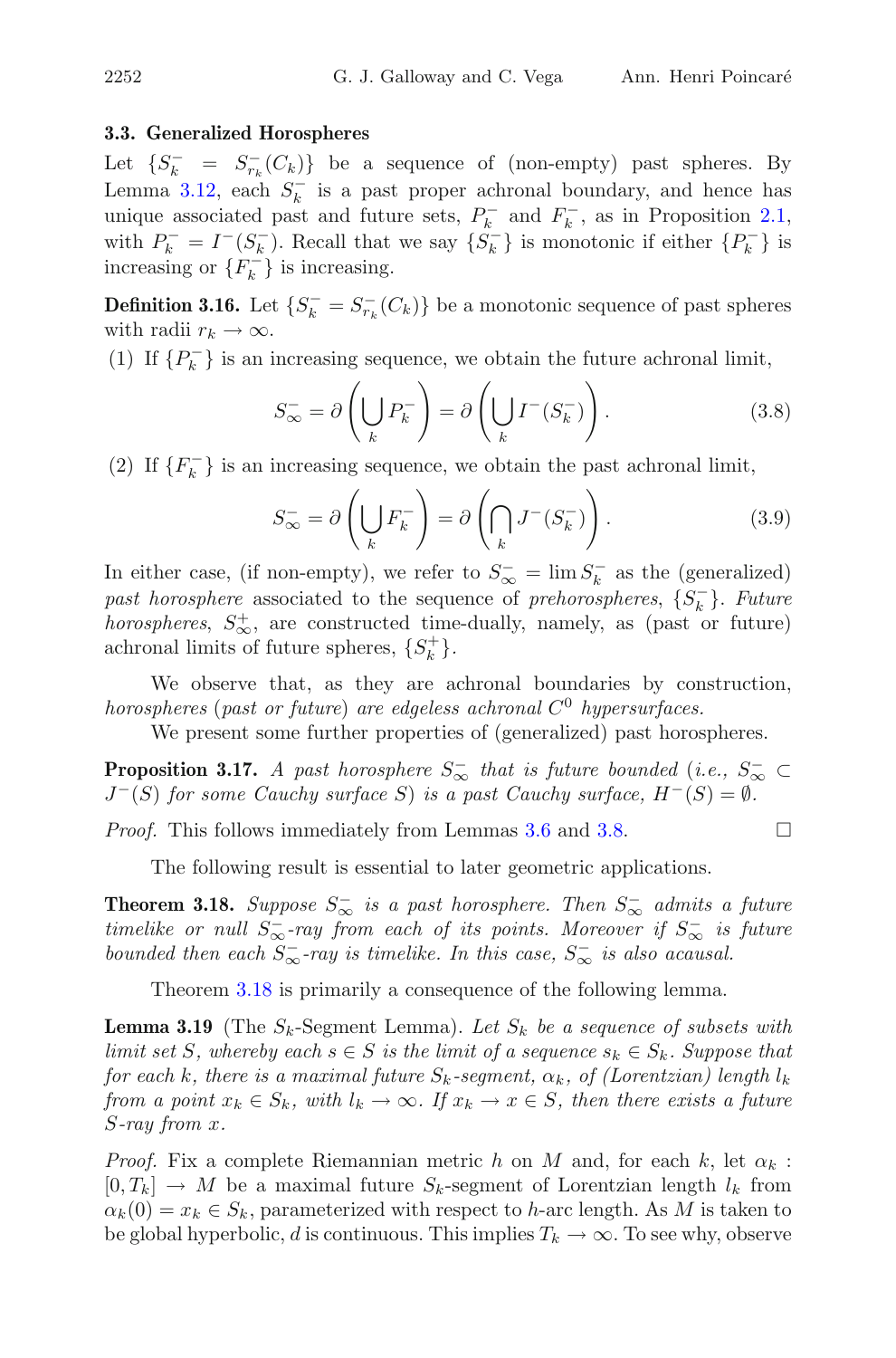## <span id="page-11-0"></span>**3.3. Generalized Horospheres**

Let  $\{S_k^- = S_{r_k}^-(C_k)\}\$ be a sequence of (non-empty) past spheres. By Lemma [3.12,](#page-9-1) each  $S_k^-$  is a past proper achronal boundary, and hence has unique associated past and future sets,  $P_k^-$  and  $F_k^-$ , as in Proposition [2.1,](#page-2-1) with  $P_k^- = I^-(S_k^-)$ . Recall that we say  $\{S_k^-\}$  is monotonic if either  $\{P_k^-\}$  is increasing or  $\{F_k^-\}$  is increasing.

**Definition 3.16.** Let  $\{S_k^- = S_{r_k}^- (C_k)\}\)$  be a monotonic sequence of past spheres with radii  $r_k \to \infty$ .

(1) If  $\{P_k^-\}$  is an increasing sequence, we obtain the future achronal limit,

$$
S_{\infty}^{-} = \partial \left( \bigcup_{k} P_{k}^{-} \right) = \partial \left( \bigcup_{k} I^{-} (S_{k}^{-}) \right). \tag{3.8}
$$

(2) If  $\{F_k^-\}$  is an increasing sequence, we obtain the past achronal limit,

$$
S_{\infty}^{-} = \partial \left( \bigcup_{k} F_{k}^{-} \right) = \partial \left( \bigcap_{k} J^{-} (S_{k}^{-}) \right). \tag{3.9}
$$

In either case, (if non-empty), we refer to  $S_{\infty}^- = \lim S_k^-$  as the (generalized)  $past\ horosphere$  associated to the sequence of *prehorospheres*,  $\{S_k^-\}$ . *Future horospheres*,  $S_{\infty}^{+}$ , are constructed time-dually, namely, as (past or future) achronal limits of future spheres,  $\{S_k^+\}$ .

We observe that, as they are achronal boundaries by construction, *horospheres* (*past or future*) *are edgeless achronal* C<sup>0</sup> *hypersurfaces.*

We present some further properties of (generalized) past horospheres.

<span id="page-11-3"></span>**Proposition 3.17.** *A past horosphere*  $S_{\infty}^-$  *that is future bounded* (*i.e.*,  $S_{\infty}^- \subset$  $J^-(S)$  *for some Cauchy surface* S) *is a past Cauchy surface,*  $H^-(S) = \emptyset$ *.* 

*Proof.* This follows immediately from Lemmas [3.6](#page-7-1) and [3.8.](#page-8-1)  $\Box$ 

The following result is essential to later geometric applications.

<span id="page-11-1"></span>**Theorem 3.18.** Suppose  $S_{\infty}^-$  is a past horosphere. Then  $S_{\infty}^-$  admits a future *timelike or null*  $S_{\infty}^-$ -ray from each of its points. Moreover if  $S_{\infty}^-$  is future *bounded then each*  $S_{\infty}^-$ -ray *is timelike. In this case,*  $S_{\infty}^-$  *is also acausal.* 

Theorem [3.18](#page-11-1) is primarily a consequence of the following lemma.

<span id="page-11-2"></span>**Lemma 3.19** (The  $S_k$ -Segment Lemma). Let  $S_k$  be a sequence of subsets with *limit set* S, whereby each  $s \in S$  *is the limit of a sequence*  $s_k \in S_k$ *. Suppose that for each* k*, there is a maximal future*  $S_k$ -segment,  $\alpha_k$ , of (Lorentzian) length  $l_k$ *from a point*  $x_k \in S_k$ *, with*  $l_k \to \infty$ *. If*  $x_k \to x \in S$ *, then there exists a future* S*-ray from* x*.*

*Proof.* Fix a complete Riemannian metric h on M and, for each k, let  $\alpha_k$ :  $[0, T_k] \to M$  be a maximal future  $S_k$ -segment of Lorentzian length  $l_k$  from  $\alpha_k(0) = x_k \in S_k$ , parameterized with respect to h-arc length. As M is taken to be global hyperbolic, d is continuous. This implies  $T_k \to \infty$ . To see why, observe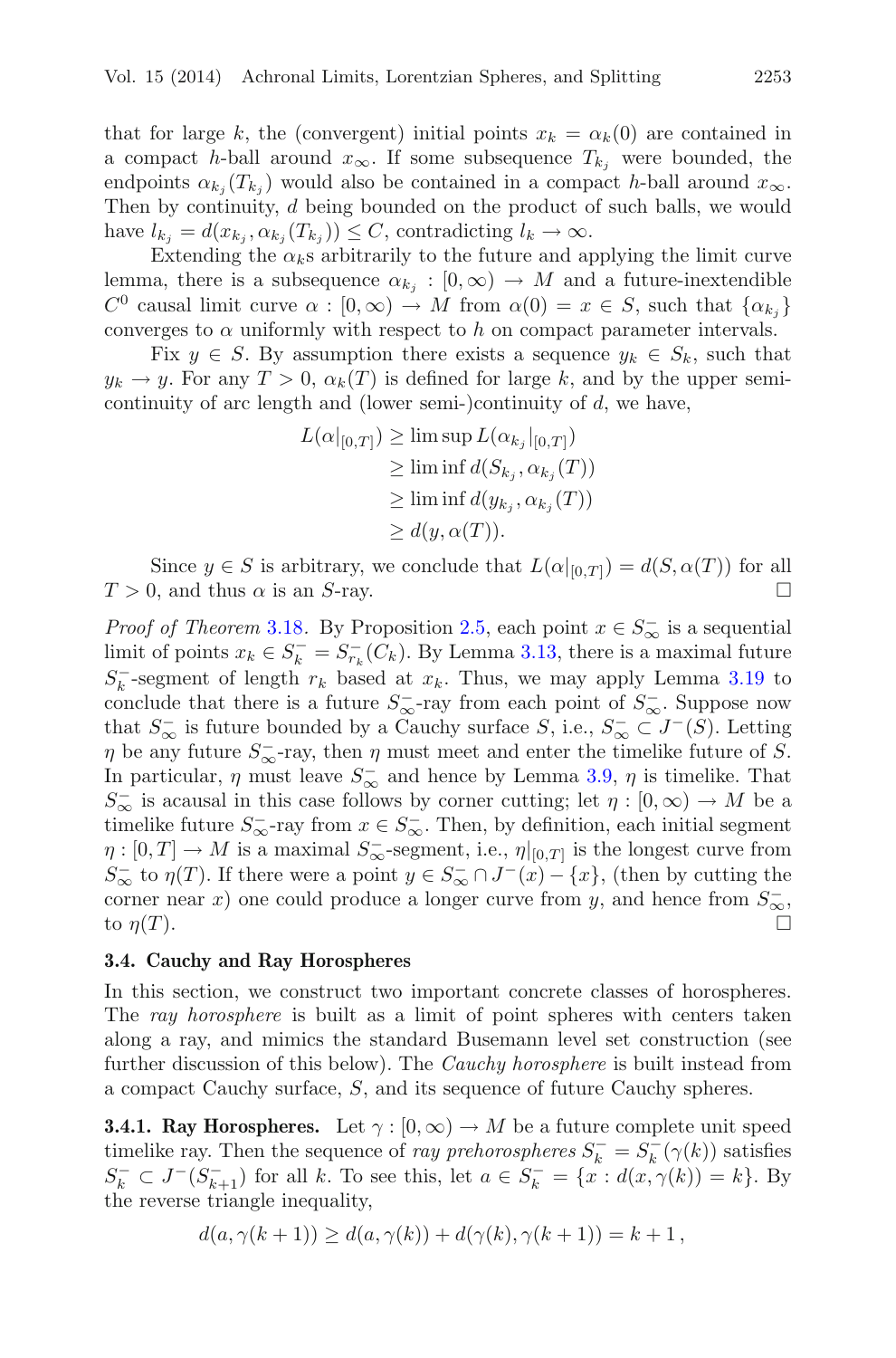that for large k, the (convergent) initial points  $x_k = \alpha_k(0)$  are contained in a compact h-ball around  $x_{\infty}$ . If some subsequence  $T_{k_j}$  were bounded, the endpoints  $\alpha_{k_i}(T_{k_i})$  would also be contained in a compact h-ball around  $x_{\infty}$ . Then by continuity, d being bounded on the product of such balls, we would have  $l_{k_i} = d(x_{k_i}, \alpha_{k_i}(T_{k_i})) \leq C$ , contradicting  $l_k \to \infty$ .

Extending the  $\alpha_k$ s arbitrarily to the future and applying the limit curve lemma, there is a subsequence  $\alpha_{k_i} : [0, \infty) \to M$  and a future-inextendible  $C^0$  causal limit curve  $\alpha : [0,\infty) \to M$  from  $\alpha(0) = x \in S$ , such that  $\{\alpha_{k_i}\}\$ converges to  $\alpha$  uniformly with respect to h on compact parameter intervals.

Fix  $y \in S$ . By assumption there exists a sequence  $y_k \in S_k$ , such that  $y_k \to y$ . For any  $T > 0$ ,  $\alpha_k(T)$  is defined for large k, and by the upper semicontinuity of arc length and (lower semi-)continuity of  $d$ , we have,

$$
L(\alpha|_{[0,T]}) \ge \limsup L(\alpha_{k_j}|_{[0,T]})
$$
  
\n
$$
\ge \liminf d(S_{k_j}, \alpha_{k_j}(T))
$$
  
\n
$$
\ge \liminf d(y_{k_j}, \alpha_{k_j}(T))
$$
  
\n
$$
\ge d(y, \alpha(T)).
$$

Since  $y \in S$  is arbitrary, we conclude that  $L(\alpha|_{[0,T]}) = d(S, \alpha(T))$  for all  $T > 0$ , and thus  $\alpha$  is an S-ray.

*Proof of Theorem* [3.18](#page-11-1)*.* By Proposition [2.5,](#page-4-0) each point  $x \in S_{\infty}^-$  is a sequential limit of points  $x_k \in S_k^- = S_{r_k}^-(C_k)$ . By Lemma [3.13,](#page-9-2) there is a maximal future  $S_k^-$ -segment of length  $r_k$  based at  $x_k$ . Thus, we may apply Lemma [3.19](#page-11-2) to conclude that there is a future  $S_{\infty}^-$ -ray from each point of  $S_{\infty}^-$ . Suppose now that  $S_{\infty}^-$  is future bounded by a Cauchy surface  $S$ , i.e.,  $S_{\infty}^- \subset J^-(S)$ . Letting  $\eta$  be any future  $S_{\infty}^-$ -ray, then  $\eta$  must meet and enter the timelike future of S. In particular,  $\eta$  must leave  $S_{\infty}^-$  and hence by Lemma [3.9,](#page-8-2)  $\eta$  is timelike. That  $S_{\infty}^-$  is acausal in this case follows by corner cutting; let  $\eta : [0, \infty) \to M$  be a timelike future  $S_{\infty}^-$ -ray from  $x \in S_{\infty}^-$ . Then, by definition, each initial segment  $\eta: [0,T] \to M$  is a maximal  $S_{\infty}^-$ -segment, i.e.,  $\eta|_{[0,T]}$  is the longest curve from  $S_{\infty}^-$  to  $\eta(T)$ . If there were a point  $y \in S_{\infty}^- \cap J^-(x) - \{x\}$ , (then by cutting the corner near x) one could produce a longer curve from y, and hence from  $S_{\infty}$ , to  $\eta(T)$ .

# <span id="page-12-0"></span>**3.4. Cauchy and Ray Horospheres**

In this section, we construct two important concrete classes of horospheres. The *ray horosphere* is built as a limit of point spheres with centers taken along a ray, and mimics the standard Busemann level set construction (see further discussion of this below). The *Cauchy horosphere* is built instead from a compact Cauchy surface, S, and its sequence of future Cauchy spheres.

<span id="page-12-1"></span>**3.4.1. Ray Horospheres.** Let  $\gamma : [0, \infty) \to M$  be a future complete unit speed timelike ray. Then the sequence of *ray prehorospheres*  $S_k^- = S_k^-(\gamma(k))$  satisfies  $S_k^- \subset J^-(S_{k+1}^-)$  for all k. To see this, let  $a \in S_k^- = \{x : d(x, \gamma(k)) = k\}$ . By the reverse triangle inequality,

$$
d(a, \gamma(k+1)) \ge d(a, \gamma(k)) + d(\gamma(k), \gamma(k+1)) = k+1,
$$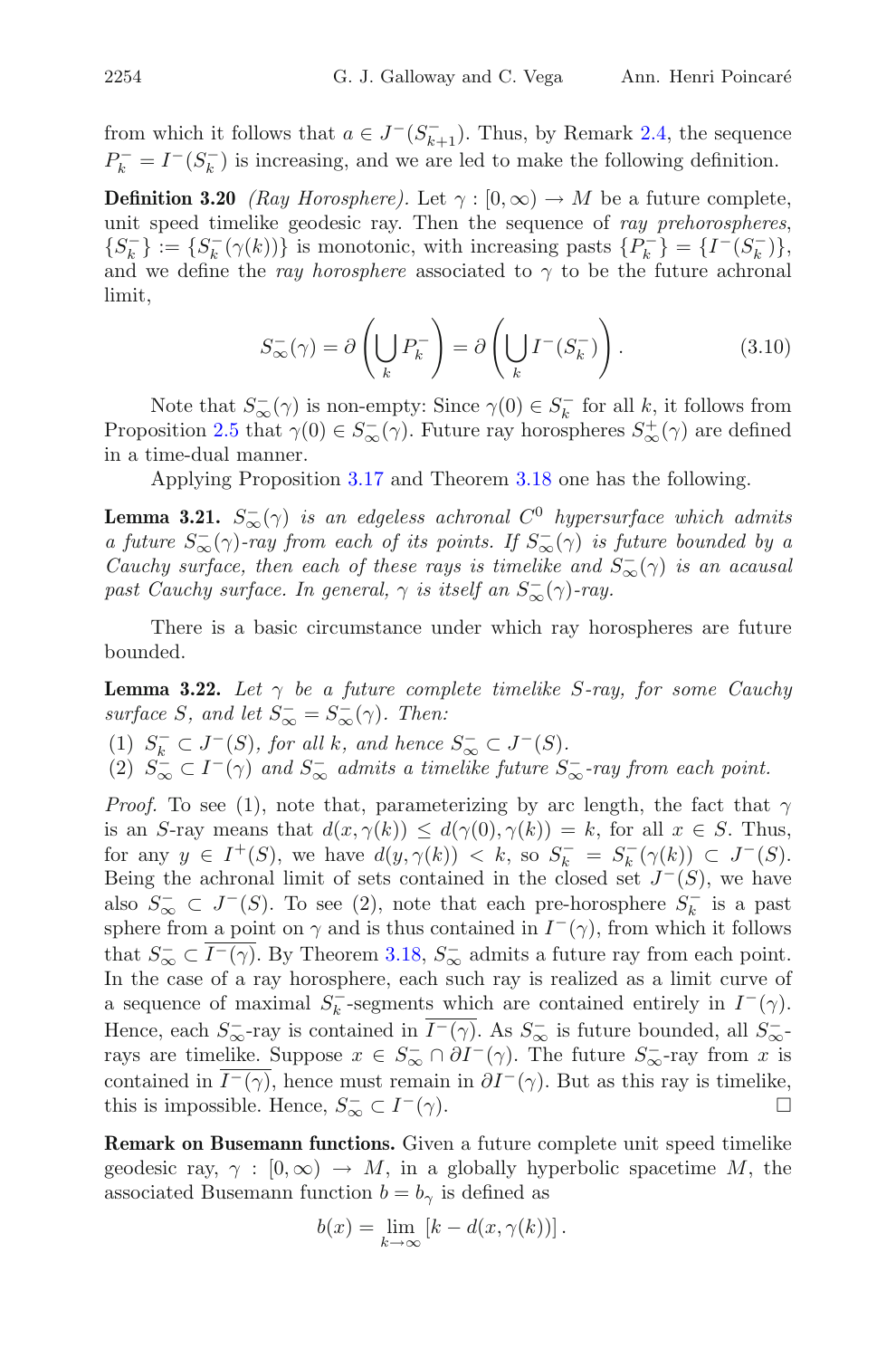from which it follows that  $a \in J^-(S^-_{k+1})$ . Thus, by Remark [2.4,](#page-4-1) the sequence  $P_k^- = I^-(S_k^-)$  is increasing, and we are led to make the following definition.

**Definition 3.20** *(Ray Horosphere)*. Let  $\gamma : [0, \infty) \to M$  be a future complete, unit speed timelike geodesic ray. Then the sequence of *ray prehorospheres*,  ${S_k^-} := {S_k^- (\gamma(k))}$  is monotonic, with increasing pasts  ${P_k^-} = {I^-(S_k^-)}$ , and we define the *ray horosphere* associated to  $\gamma$  to be the future achronal limit,

$$
S_{\infty}^{-}(\gamma) = \partial \left(\bigcup_{k} P_{k}^{-}\right) = \partial \left(\bigcup_{k} I^{-}(S_{k}^{-})\right). \tag{3.10}
$$

Note that  $S_{\infty}^{-}(\gamma)$  is non-empty: Since  $\gamma(0) \in S_{k}^{-}$  for all k, it follows from Proposition [2.5](#page-4-0) that  $\gamma(0) \in S_{\infty}^{-}(\gamma)$ . Future ray horospheres  $S_{\infty}^{+}(\gamma)$  are defined in a time-dual manner.

Applying Proposition [3.17](#page-11-3) and Theorem [3.18](#page-11-1) one has the following.

<span id="page-13-0"></span>**Lemma 3.21.**  $S_{\infty}^{-}(\gamma)$  *is an edgeless achronal*  $C^{0}$  *hypersurface which admits a future*  $S_{\infty}^{-}(\gamma)$ -ray from each of its points. If  $S_{\infty}^{-}(\gamma)$  is future bounded by a *Cauchy surface, then each of these rays is timelike and*  $S_{\infty}^{-}(\gamma)$  *is an acausal past Cauchy surface. In general,*  $\gamma$  *is itself an*  $S_{\infty}^{-}(\gamma)$ -ray.

<span id="page-13-1"></span>There is a basic circumstance under which ray horospheres are future bounded.

**Lemma 3.22.** Let  $\gamma$  be a future complete timelike S-ray, for some Cauchy *surface* S, and let  $S_{\infty}^{-} = S_{\infty}^{-}(\gamma)$ . Then:

(1)  $S_{\overline{\infty}}^{-} \subset J^{-}(S)$ , for all k, and hence  $S_{\infty}^{-} \subset J^{-}(S)$ .<br>
(2)  $S_{\infty}^{-} \subset I^{-}(\gamma)$  and  $S_{\infty}^{-}$  admits a timelike future  $S_{\infty}^{-}$ -ray from each point.

*Proof.* To see (1), note that, parameterizing by arc length, the fact that  $\gamma$ is an S-ray means that  $d(x, \gamma(k)) \leq d(\gamma(0), \gamma(k)) = k$ , for all  $x \in S$ . Thus, for any  $y \in I^+(S)$ , we have  $d(y, \gamma(k)) < k$ , so  $S_k^- = S_k^-(\gamma(k)) \subset J^-(S)$ . Being the achronal limit of sets contained in the closed set  $J^-(S)$ , we have also  $S_{\infty}^- \subset J^-(S)$ . To see (2), note that each pre-horosphere  $S_k^-$  is a past sphere from a point on  $\gamma$  and is thus contained in  $I^-(\gamma)$ , from which it follows that  $S_{\infty}^- \subset I^{-}(\gamma)$ . By Theorem [3.18,](#page-11-1)  $S_{\infty}^-$  admits a future ray from each point. In the case of a ray horosphere, each such ray is realized as a limit curve of a sequence of maximal  $S_k^-$ -segments which are contained entirely in  $I^-(\gamma)$ . Hence, each  $S_{\infty}^-$ -ray is contained in  $I^-(\gamma)$ . As  $S_{\infty}^-$  is future bounded, all  $S_{\infty}^-$ . rays are timelike. Suppose  $x \in S_{\infty}^- \cap \partial I^-(\gamma)$ . The future  $S_{\infty}^-$ -ray from x is contained in  $I^{-}(\gamma)$ , hence must remain in  $\partial I^{-}(\gamma)$ . But as this ray is timelike, this is impossible. Hence,  $S_{\infty}^- \subset I^-(\gamma)$ .

**Remark on Busemann functions.** Given a future complete unit speed timelike geodesic ray,  $\gamma : [0, \infty) \to M$ , in a globally hyperbolic spacetime M, the associated Busemann function  $b = b_{\gamma}$  is defined as

$$
b(x) = \lim_{k \to \infty} [k - d(x, \gamma(k))].
$$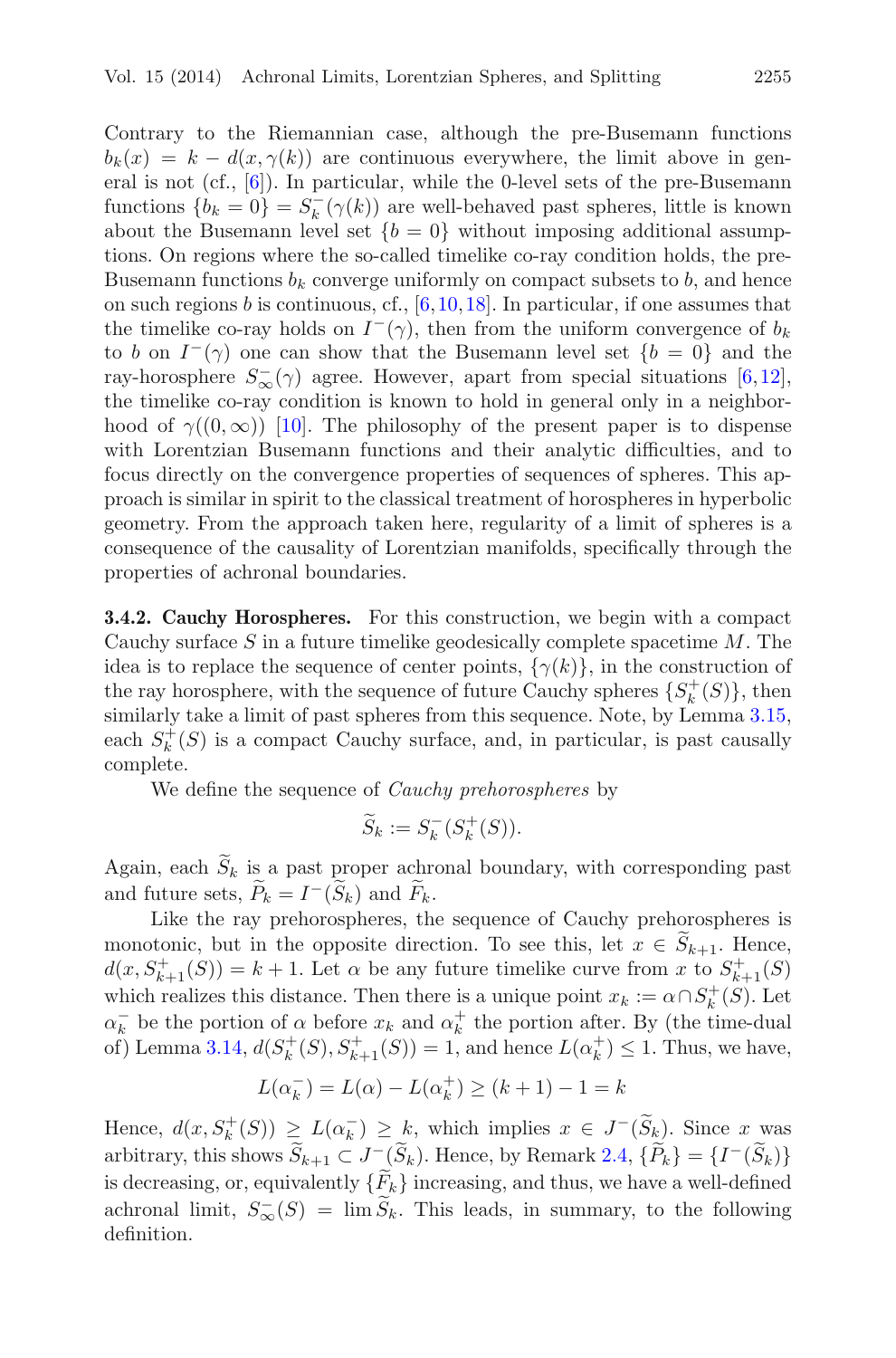Contrary to the Riemannian case, although the pre-Busemann functions  $b_k(x) = k - d(x, \gamma(k))$  are continuous everywhere, the limit above in general is not (cf.,  $[6]$  $[6]$ ). In particular, while the 0-level sets of the pre-Busemann functions  ${b_k = 0} = S_k^-(\gamma(k))$  are well-behaved past spheres, little is known about the Busemann level set  ${b = 0}$  without imposing additional assumptions. On regions where the so-called timelike co-ray condition holds, the pre-Busemann functions  $b_k$  converge uniformly on compact subsets to b, and hence on such regions b is continuous, cf.,  $[6,10,18]$  $[6,10,18]$  $[6,10,18]$  $[6,10,18]$ . In particular, if one assumes that the timelike co-ray holds on  $I^-(\gamma)$ , then from the uniform convergence of  $b_k$ to b on  $I^-(\gamma)$  one can show that the Busemann level set  $\{b = 0\}$  and the ray-horosphere  $S_{\infty}^{-}(\gamma)$  agree. However, apart from special situations [\[6](#page-36-5),[12\]](#page-37-4), the timelike co-ray condition is known to hold in general only in a neighborhood of  $\gamma((0,\infty))$  [\[10\]](#page-37-11). The philosophy of the present paper is to dispense with Lorentzian Busemann functions and their analytic difficulties, and to focus directly on the convergence properties of sequences of spheres. This approach is similar in spirit to the classical treatment of horospheres in hyperbolic geometry. From the approach taken here, regularity of a limit of spheres is a consequence of the causality of Lorentzian manifolds, specifically through the properties of achronal boundaries.

<span id="page-14-0"></span>**3.4.2. Cauchy Horospheres.** For this construction, we begin with a compact Cauchy surface  $S$  in a future timelike geodesically complete spacetime  $M$ . The idea is to replace the sequence of center points,  $\{\gamma(k)\}\,$  in the construction of the ray horosphere, with the sequence of future Cauchy spheres  $\{S_k^+(S)\}\$ , then similarly take a limit of past spheres from this sequence. Note, by Lemma [3.15,](#page-10-0) each  $S_k^+(S)$  is a compact Cauchy surface, and, in particular, is past causally complete.

We define the sequence of *Cauchy prehorospheres* by

$$
\widetilde{S}_k := S_k^-(S_k^+(S)).
$$

Again, each  $\widetilde{S}_k$  is a past proper achronal boundary, with corresponding past and future sets,  $\widetilde{P}_k = I^-(\widetilde{S}_k)$  and  $\widetilde{F}_k$ .

Like the ray prehorospheres, the sequence of Cauchy prehorospheres is monotonic, but in the opposite direction. To see this, let  $x \in S_{k+1}$ . Hence,  $d(x, S_{k+1}^+(S)) = k+1$ . Let  $\alpha$  be any future timelike curve from x to  $S_{k+1}^+(S)$ which realizes this distance. Then there is a unique point  $x_k := \alpha \cap S_k^+(S)$ . Let  $\alpha_k^-$  be the portion of  $\alpha$  before  $x_k$  and  $\alpha_k^+$  the portion after. By (the time-dual of) Lemma [3.14,](#page-9-3)  $d(S_k^+(S), S_{k+1}^+(S)) = 1$ , and hence  $L(\alpha_k^+) \leq 1$ . Thus, we have,

$$
L(\alpha_k^-)=L(\alpha)-L(\alpha_k^+)\geq (k+1)-1=k
$$

Hence,  $d(x, S_k^+(S)) \ge L(\alpha_k^-) \ge k$ , which implies  $x \in J^-(\widetilde{S}_k)$ . Since x was arbitrary, this shows  $\widetilde{S}_{k+1} \subset J^{-}(\widetilde{S}_{k})$ . Hence, by Remark [2.4,](#page-4-1)  $\{\widetilde{P}_{k}\} = \{I^{-}(\widetilde{S}_{k})\}$ is decreasing, or, equivalently  $\{\widetilde{F}_k\}$  increasing, and thus, we have a well-defined achronal limit,  $S_{\infty}^{-}(S) = \lim S_k$ . This leads, in summary, to the following definition.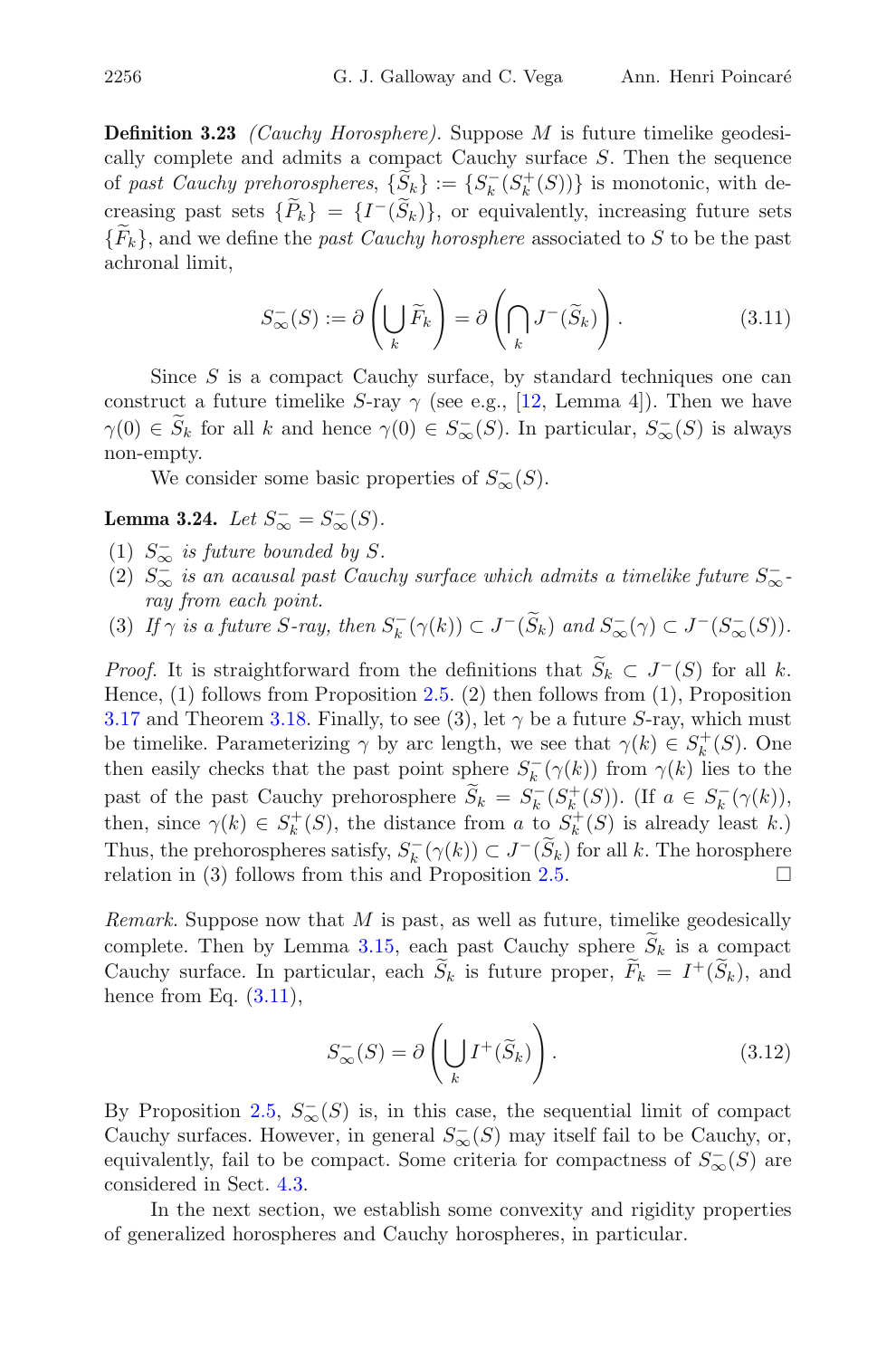**Definition 3.23** *(Cauchy Horosphere).* Suppose M is future timelike geodesically complete and admits a compact Cauchy surface S. Then the sequence of *past Cauchy prehorospheres*,  $\{\hat{S}_k\} := \{S_k^-(S_k^+(S))\}$  is monotonic, with decreasing past sets  $\{\widetilde{P}_k\} = \{I^-(\widetilde{S}_k)\}\,$ , or equivalently, increasing future sets  ${F_k}$ , and we define the *past Cauchy horosphere* associated to S to be the past achronal limit,

$$
S_{\infty}^{-}(S) := \partial \left(\bigcup_{k} \widetilde{F}_{k}\right) = \partial \left(\bigcap_{k} J^{-}(\widetilde{S}_{k})\right). \tag{3.11}
$$

<span id="page-15-0"></span>Since  $S$  is a compact Cauchy surface, by standard techniques one can construct a future timelike S-ray  $\gamma$  (see e.g., [\[12,](#page-37-4) Lemma 4]). Then we have  $\gamma(0) \in S_k$  for all k and hence  $\gamma(0) \in S_{\infty}^{-}(S)$ . In particular,  $S_{\infty}^{-}(S)$  is always non-empty.

We consider some basic properties of  $S_{\infty}^{-}(S)$ .

**Lemma 3.24.** *Let*  $S_{\infty}^{-} = S_{\infty}^{-}(S)$ *.* 

- (1)  $S_{\infty}^-$  *is future bounded by* S.
- (2)  $S_{\infty}^-$  *is an acausal past Cauchy surface which admits a timelike future*  $S_{\infty}^-$ . *ray from each point.*
- (3) If  $\gamma$  is a future S-ray, then  $S_k^-(\gamma(k)) \subset J^-(S_k)$  and  $S_\infty^-(\gamma) \subset J^-(S_\infty^-(S))$ .

*Proof.* It is straightforward from the definitions that  $\widetilde{S}_k \subset J^-(S)$  for all k. Hence, (1) follows from Proposition [2.5.](#page-4-0) (2) then follows from (1), Proposition [3.17](#page-11-3) and Theorem [3.18.](#page-11-1) Finally, to see (3), let  $\gamma$  be a future S-ray, which must be timelike. Parameterizing  $\gamma$  by arc length, we see that  $\gamma(k) \in S_k^+(S)$ . One then easily checks that the past point sphere  $S_k^-(\gamma(k))$  from  $\gamma(k)$  lies to the past of the past Cauchy prehorosphere  $\widetilde{S}_k = S_k^-(S_k^+(S))$ . (If  $a \in S_k^-(\gamma(k))$ , then, since  $\gamma(k) \in S_k^+(S)$ , the distance from a to  $S_k^+(S)$  is already least k.) Thus, the prehorospheres satisfy,  $S_k^{-}(\gamma(k)) \subset J^{-}(S_k)$  for all k. The horosphere relation in (3) follows from this and Proposition [2.5.](#page-4-0)  $\Box$ 

*Remark.* Suppose now that M is past, as well as future, timelike geodesically complete. Then by Lemma [3.15,](#page-10-0) each past Cauchy sphere  $\widetilde{S}_k$  is a compact Cauchy surface. In particular, each  $\widetilde{S}_k$  is future proper,  $\widetilde{F}_k = I^+(\widetilde{S}_k)$ , and hence from Eq.  $(3.11)$ ,

$$
S_{\infty}^{-}(S) = \partial \left( \bigcup_{k} I^{+}(\widetilde{S}_{k}) \right). \tag{3.12}
$$

By Proposition [2.5,](#page-4-0)  $S_{\infty}(S)$  is, in this case, the sequential limit of compact Cauchy surfaces. However, in general  $S_{\infty}^{-}(S)$  may itself fail to be Cauchy, or, equivalently, fail to be compact. Some criteria for compactness of  $S_{\infty}^{-}(S)$  are considered in Sect. [4.3.](#page-18-0)

In the next section, we establish some convexity and rigidity properties of generalized horospheres and Cauchy horospheres, in particular.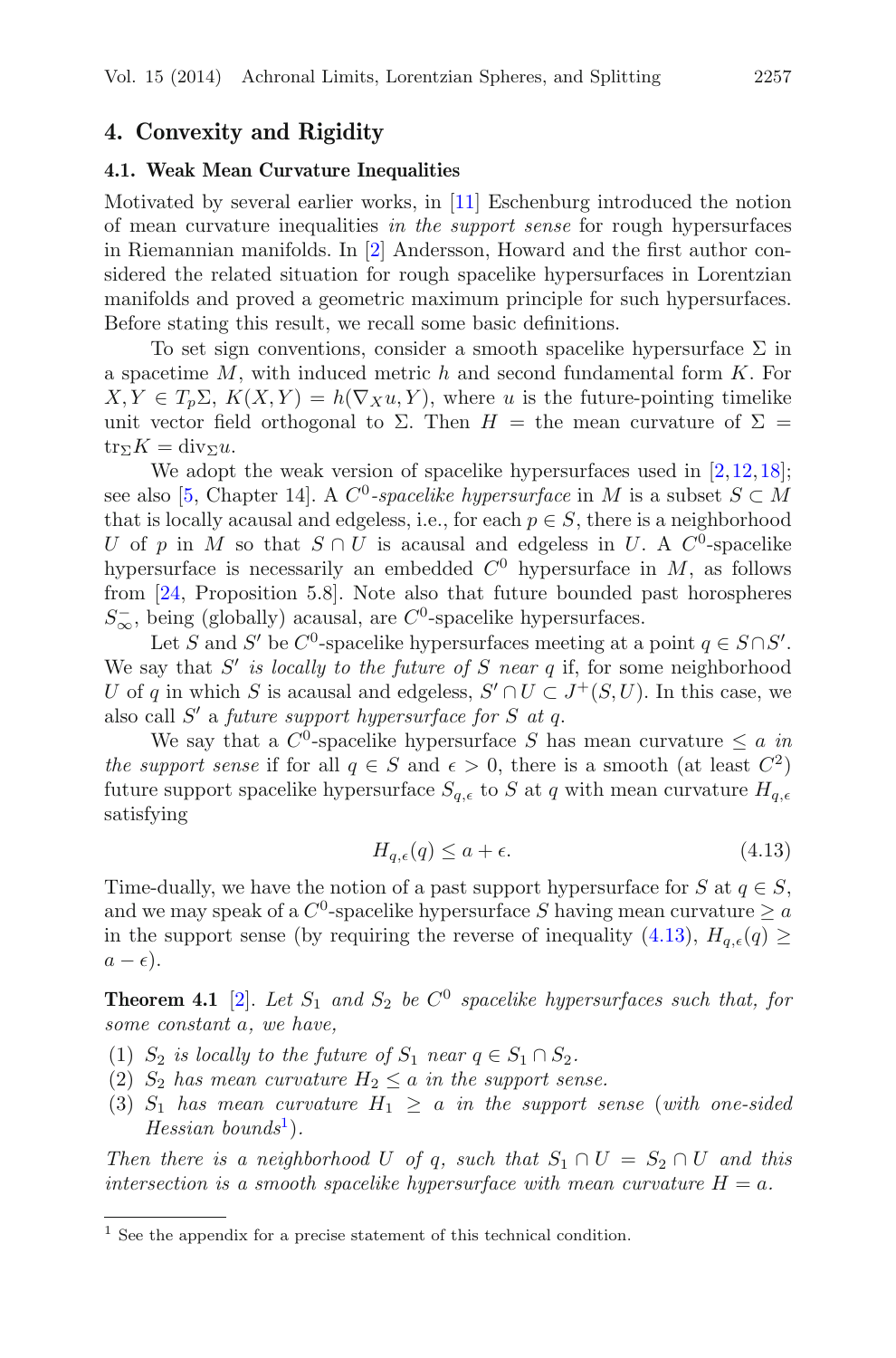# <span id="page-16-1"></span><span id="page-16-0"></span>**4. Convexity and Rigidity**

#### **4.1. Weak Mean Curvature Inequalities**

Motivated by several earlier works, in [\[11](#page-37-13)] Eschenburg introduced the notion of mean curvature inequalities *in the support sense* for rough hypersurfaces in Riemannian manifolds. In [\[2\]](#page-36-6) Andersson, Howard and the first author considered the related situation for rough spacelike hypersurfaces in Lorentzian manifolds and proved a geometric maximum principle for such hypersurfaces. Before stating this result, we recall some basic definitions.

To set sign conventions, consider a smooth spacelike hypersurface  $\Sigma$  in a spacetime  $M$ , with induced metric  $h$  and second fundamental form  $K$ . For  $X, Y \in T_p \Sigma$ ,  $K(X, Y) = h(\nabla_X u, Y)$ , where u is the future-pointing timelike unit vector field orthogonal to  $\Sigma$ . Then  $H =$  the mean curvature of  $\Sigma =$  $\text{tr}_{\Sigma}K = \text{div}_{\Sigma}u.$ 

We adopt the weak version of spacelike hypersurfaces used in  $[2,12,18]$  $[2,12,18]$  $[2,12,18]$  $[2,12,18]$ ; see also [\[5](#page-36-4), Chapter 14]. A  $C^0$ -spacelike hypersurface in M is a subset  $S \subset M$ that is locally acausal and edgeless, i.e., for each  $p \in S$ , there is a neighborhood U of p in M so that  $S \cap U$  is acausal and edgeless in U. A C<sup>0</sup>-spacelike hypersurface is necessarily an embedded  $C^0$  hypersurface in M, as follows from [\[24,](#page-37-0) Proposition 5.8]. Note also that future bounded past horospheres  $S_{\infty}$ , being (globally) acausal, are  $C^0$ -spacelike hypersurfaces.

Let S and S' be  $C^0$ -spacelike hypersurfaces meeting at a point  $q \in S \cap S'$ . We say that  $S'$  *is locally to the future of*  $S$  *near*  $q$  if, for some neighborhood U of q in which S is acausal and edgeless,  $S' \cap U \subset J^+(S, U)$ . In this case, we also call S' a *future support hypersurface for* S *at q*.

We say that a  $C^0$ -spacelike hypersurface S has mean curvature  $\leq a$  *in the support sense* if for all  $q \in S$  and  $\epsilon > 0$ , there is a smooth (at least  $C^2$ ) future support spacelike hypersurface  $S_{q,\epsilon}$  to S at q with mean curvature  $H_{q,\epsilon}$ satisfying

$$
H_{q,\epsilon}(q) \le a + \epsilon. \tag{4.13}
$$

<span id="page-16-2"></span>Time-dually, we have the notion of a past support hypersurface for S at  $q \in S$ , and we may speak of a  $C^0$ -spacelike hypersurface S having mean curvature  $\geq a$ in the support sense (by requiring the reverse of inequality [\(4.13\)](#page-16-2),  $H_{q,\epsilon}(q) \geq$  $a - \epsilon$ ).

<span id="page-16-4"></span>**Theorem 4.1** [\[2](#page-36-6)]. Let  $S_1$  and  $S_2$  be  $C^0$  spacelike hypersurfaces such that, for *some constant* a*, we have,*

- (1)  $S_2$  *is locally to the future of*  $S_1$  *near*  $q \in S_1 \cap S_2$ *.*
- (2)  $S_2$  *has mean curvature*  $H_2 \le a$  *in the support sense.*
- (3)  $S_1$  *has mean curvature*  $H_1 \geq a$  *in the support sense* (*with one-sided Hessian bounds*<sup>[1](#page-16-3)</sup>).

*Then there is a neighborhood* U of q, such that  $S_1 \cap U = S_2 \cap U$  and this *intersection is a smooth spacelike hypersurface with mean curvature*  $H = a$ .

<span id="page-16-3"></span><sup>1</sup> See the appendix for a precise statement of this technical condition.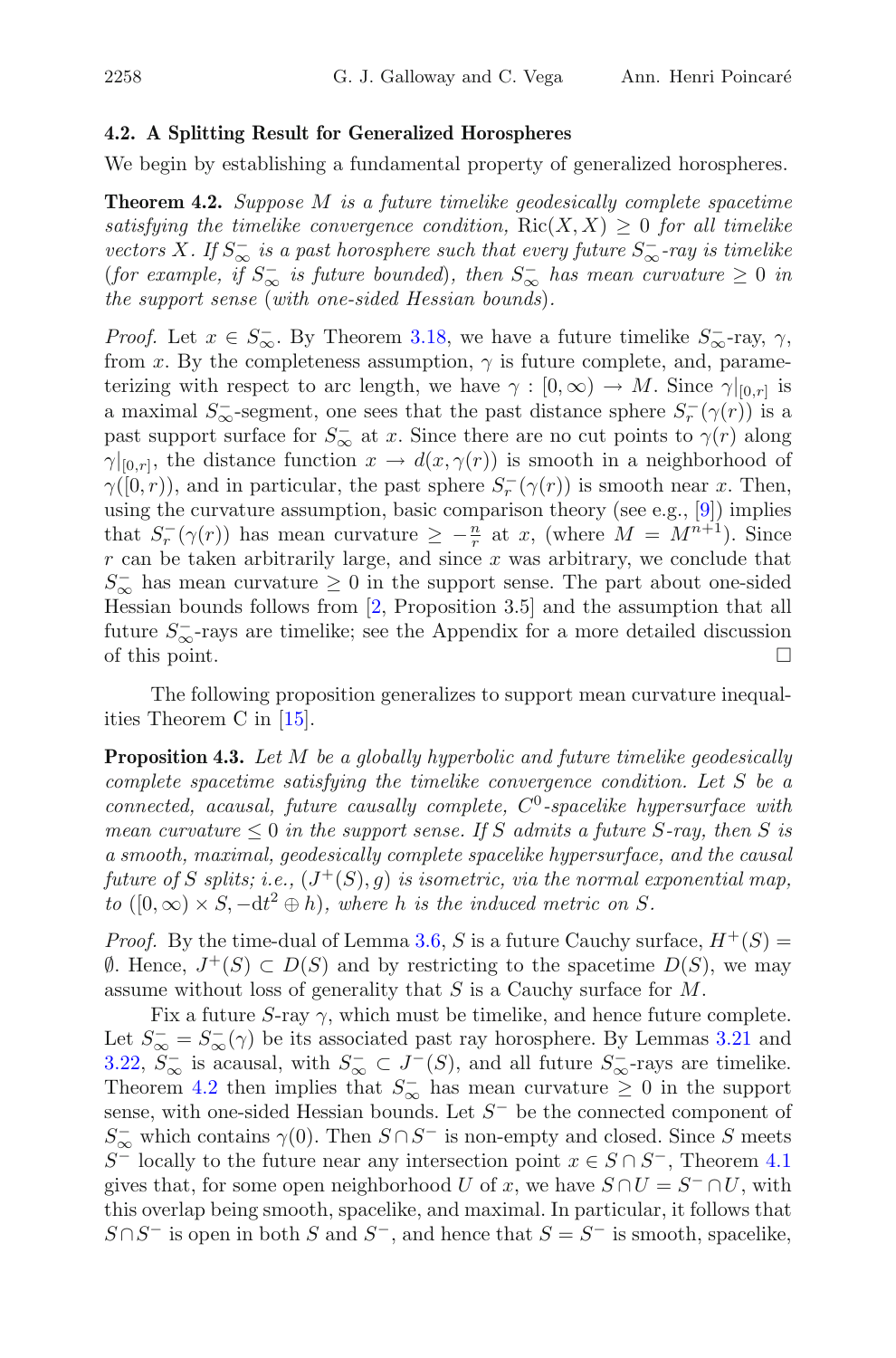#### <span id="page-17-0"></span>**4.2. A Splitting Result for Generalized Horospheres**

<span id="page-17-1"></span>We begin by establishing a fundamental property of generalized horospheres.

**Theorem 4.2.** *Suppose* M *is a future timelike geodesically complete spacetime satisfying the timelike convergence condition,*  $Ric(X, X) \geq 0$  *for all timelike vectors* X. If  $S_{\infty}^-$  *is a past horosphere such that every future*  $S_{\infty}^-$ -ray *is timelike* (*for example, if*  $S_{\infty}^-$  *is future bounded*)*, then*  $S_{\infty}^-$  *has mean curvature*  $\geq 0$  *in the support sense* (*with one-sided Hessian bounds*)*.*

*Proof.* Let  $x \in S_{\infty}^-$ . By Theorem [3.18,](#page-11-1) we have a future timelike  $S_{\infty}^-$ -ray,  $\gamma$ , from x. By the completeness assumption,  $\gamma$  is future complete, and, parameterizing with respect to arc length, we have  $\gamma : [0, \infty) \to M$ . Since  $\gamma|_{[0,r]}$  is a maximal  $S_{\infty}^-$ -segment, one sees that the past distance sphere  $S_r^-(\gamma(r))$  is a past support surface for  $S_{\infty}^-$  at x. Since there are no cut points to  $\gamma(r)$  along  $\gamma|_{[0,r]},$  the distance function  $x \to d(x,\gamma(r))$  is smooth in a neighborhood of  $\gamma([0,r))$ , and in particular, the past sphere  $S_r^-(\gamma(r))$  is smooth near x. Then, using the curvature assumption, basic comparison theory (see e.g., [\[9](#page-37-14)]) implies that  $S_r^-(\gamma(r))$  has mean curvature  $\geq -\frac{n}{r}$  at x, (where  $M = M^{n+1}$ ). Since  $r$  can be taken arbitrarily large, and since  $x$  was arbitrary, we conclude that  $S_{\infty}^-$  has mean curvature  $\geq 0$  in the support sense. The part about one-sided Hessian bounds follows from [\[2](#page-36-6), Proposition 3.5] and the assumption that all future  $S_{\infty}^-$ -rays are timelike; see the Appendix for a more detailed discussion of this point.  $\Box$ 

<span id="page-17-2"></span>The following proposition generalizes to support mean curvature inequalities Theorem C in [\[15](#page-37-15)].

**Proposition 4.3.** *Let* M *be a globally hyperbolic and future timelike geodesically complete spacetime satisfying the timelike convergence condition. Let* S *be a connected, acausal, future causally complete,*  $C^0$ -spacelike hypersurface with *mean curvature*  $\leq 0$  *in the support sense. If* S *admits a future* S-ray, then S *is a smooth, maximal, geodesically complete spacelike hypersurface, and the causal future of* S *splits; i.e.,*  $(J^+(S), g)$  *is isometric, via the normal exponential map, to*  $([0, \infty) \times S, -dt^2 \oplus h)$ *, where h is the induced metric on S.* 

*Proof.* By the time-dual of Lemma [3.6,](#page-7-1) S is a future Cauchy surface,  $H^+(S)$  =  $emptyset$ . Hence,  $J^+(S)$  ⊂  $D(S)$  and by restricting to the spacetime  $D(S)$ , we may assume without loss of generality that S is a Cauchy surface for M.

Fix a future S-ray  $\gamma$ , which must be timelike, and hence future complete. Let  $S_{\infty}^{-} = S_{\infty}^{-}(\gamma)$  be its associated past ray horosphere. By Lemmas [3.21](#page-13-0) and [3.22,](#page-13-1)  $S_{\infty}^-$  is acausal, with  $S_{\infty}^- \subset J^-(S)$ , and all future  $S_{\infty}^-$ -rays are timelike. Theorem [4.2](#page-17-1) then implies that  $S_{\infty}^-$  has mean curvature  $\geq 0$  in the support sense, with one-sided Hessian bounds. Let  $S^-$  be the connected component of  $S_{\infty}^-$  which contains  $\gamma(0)$ . Then  $S \cap S^-$  is non-empty and closed. Since S meets S<sup>-</sup> locally to the future near any intersection point  $x \in S \cap S^-$ , Theorem [4.1](#page-16-4) gives that, for some open neighborhood U of x, we have  $S \cap U = S^- \cap U$ , with this overlap being smooth, spacelike, and maximal. In particular, it follows that  $S \cap S^-$  is open in both S and  $S^-$ , and hence that  $S = S^-$  is smooth, spacelike,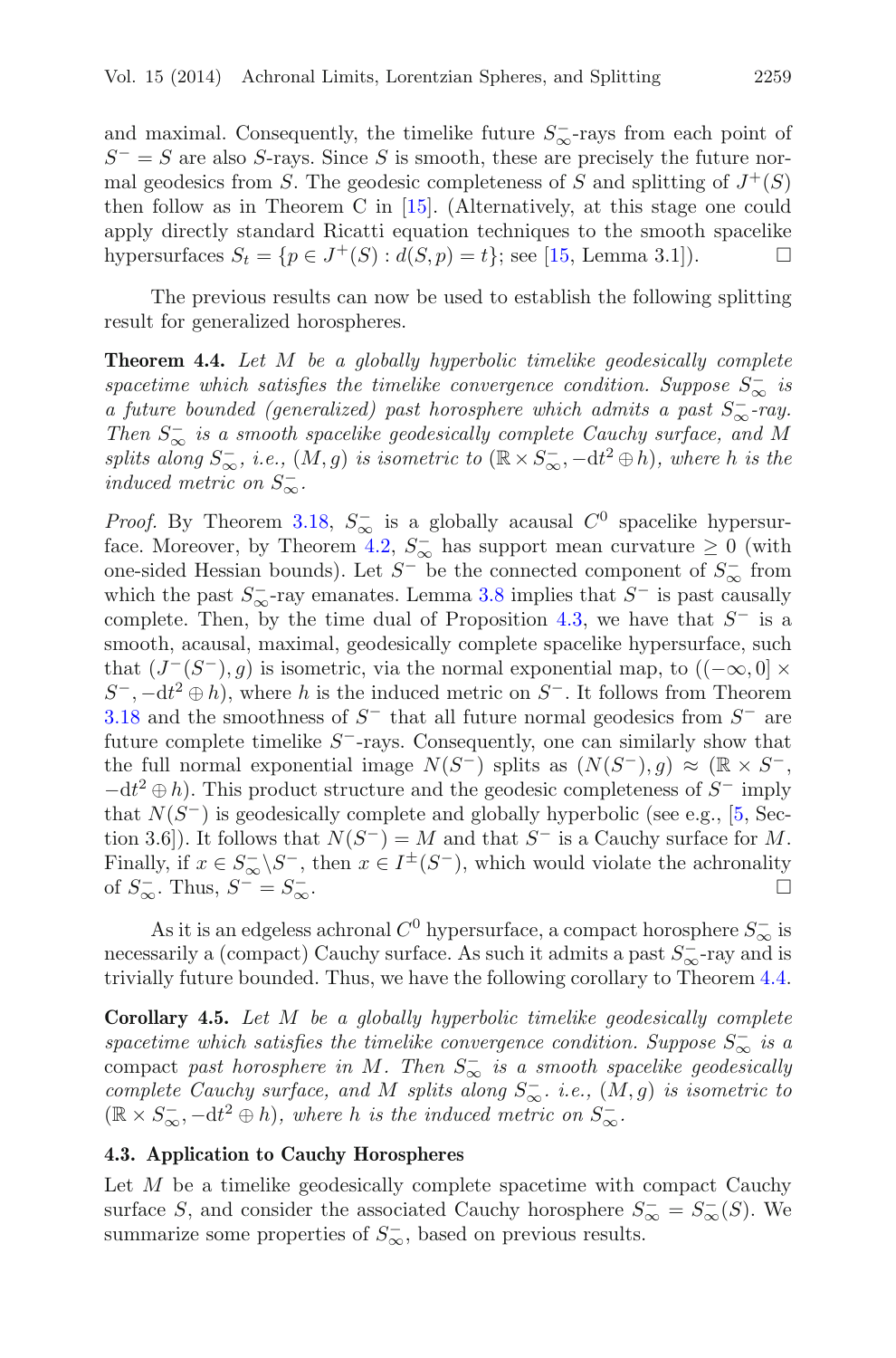and maximal. Consequently, the timelike future  $S_{\infty}^-$ -rays from each point of  $S^- = S$  are also S-rays. Since S is smooth, these are precisely the future normal geodesics from S. The geodesic completeness of S and splitting of  $J^+(S)$ then follow as in Theorem C in [\[15\]](#page-37-15). (Alternatively, at this stage one could apply directly standard Ricatti equation techniques to the smooth spacelike hypersurfaces  $S_t = \{p \in J^+(S) : d(S, p) = t\}$ ; see [\[15,](#page-37-15) Lemma 3.1]).

<span id="page-18-1"></span>The previous results can now be used to establish the following splitting result for generalized horospheres.

**Theorem 4.4.** *Let* M *be a globally hyperbolic timelike geodesically complete spacetime which satisfies the timelike convergence condition. Suppose*  $S_{\infty}^-$  *is a future bounded (generalized) past horosphere which admits a past* S<sup>−</sup> <sup>∞</sup>*-ray. Then*  $S_{\infty}^-$  *is a smooth spacelike geodesically complete Cauchy surface, and M splits along*  $S_{\infty}^-$ *, i.e.,*  $(M, g)$  *is isometric to* ( $\mathbb{R} \times S_{\infty}^-$ ,  $-dt^2 \oplus h$ )*, where h is the induced metric on*  $S_{\infty}^-$ .

*Proof.* By Theorem [3.18,](#page-11-1)  $S_{\infty}^-$  is a globally acausal  $C^0$  spacelike hypersur-face. Moreover, by Theorem [4.2,](#page-17-1)  $S_{\infty}^-$  has support mean curvature  $\geq 0$  (with one-sided Hessian bounds). Let  $S^-$  be the connected component of  $S^-_{\infty}$  from which the past  $S_{\infty}^-$ -ray emanates. Lemma [3.8](#page-8-1) implies that  $S^-$  is past causally complete. Then, by the time dual of Proposition [4.3,](#page-17-2) we have that  $S^-$  is a smooth, acausal, maximal, geodesically complete spacelike hypersurface, such that  $(J^-(S^-), g)$  is isometric, via the normal exponential map, to  $((-\infty, 0] \times$  $S^-$ ,  $-\mathrm{d}t^2 \oplus h$ , where h is the induced metric on  $S^-$ . It follows from Theorem [3.18](#page-11-1) and the smoothness of  $S^-$  that all future normal geodesics from  $S^-$  are future complete timelike  $S^-$ -rays. Consequently, one can similarly show that the full normal exponential image  $N(S^-)$  splits as  $(N(S^-), g) \approx (\mathbb{R} \times S^-$ ,  $-dt^2 \oplus h$ ). This product structure and the geodesic completeness of  $S^-$  imply that  $N(S^-)$  is geodesically complete and globally hyperbolic (see e.g., [\[5,](#page-36-4) Section 3.6]). It follows that  $N(S^-) = M$  and that  $S^-$  is a Cauchy surface for M. Finally, if  $x \in S_{\infty}^{-} \backslash S_{-}^{-}$ , then  $x \in I^{\pm}(S_{-})$ , which would violate the achronality of  $S_{\infty}^-$ . Thus,  $S^- = S_{\infty}^ \overline{\infty}$ .

As it is an edgeless achronal  $C^0$  hypersurface, a compact horosphere  $S_{\infty}^-$  is necessarily a (compact) Cauchy surface. As such it admits a past  $S_{\infty}^-$ -ray and is trivially future bounded. Thus, we have the following corollary to Theorem [4.4.](#page-18-1)

<span id="page-18-2"></span>**Corollary 4.5.** *Let* M *be a globally hyperbolic timelike geodesically complete spacetime which satisfies the timelike convergence condition. Suppose*  $S_{\infty}^-$  *is a* compact *past horosphere in* M*. Then* S<sup>−</sup> <sup>∞</sup> *is a smooth spacelike geodesically complete Cauchy surface, and* M *splits along*  $S_{\infty}^-$ *. i.e.,*  $(M, g)$  *is isometric to*  $(\mathbb{R} \times S_{\infty}^-,-dt^2 \oplus h)$ , where h *is the induced metric on*  $S_{\infty}^-$ .

## <span id="page-18-0"></span>**4.3. Application to Cauchy Horospheres**

Let  $M$  be a timelike geodesically complete spacetime with compact Cauchy surface S, and consider the associated Cauchy horosphere  $S_{\infty}^{-} = S_{\infty}^{-}(S)$ . We summarize some properties of  $S_{\infty}^-$ , based on previous results.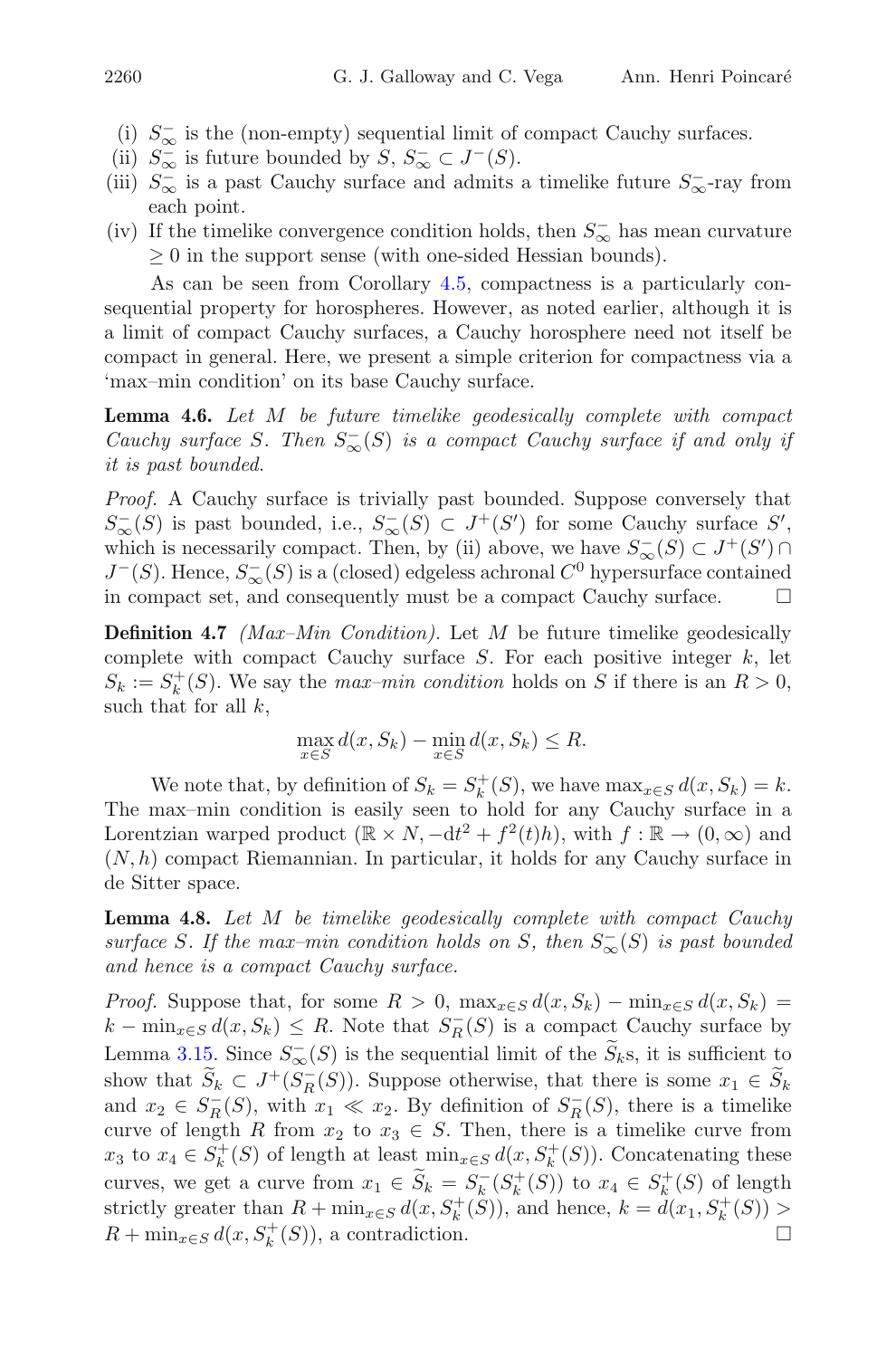- (i)  $S_{\infty}^-$  is the (non-empty) sequential limit of compact Cauchy surfaces.
- (ii)  $S_{\infty}^-$  is future bounded by  $S, S_{\infty}^- \subset J^-(S)$ .
- (iii)  $S_{\infty}^-$  is a past Cauchy surface and admits a timelike future  $S_{\infty}^-$ -ray from each point.
- (iv) If the timelike convergence condition holds, then  $S_{\infty}^-$  has mean curvature  $\geq 0$  in the support sense (with one-sided Hessian bounds).

As can be seen from Corollary [4.5,](#page-18-2) compactness is a particularly consequential property for horospheres. However, as noted earlier, although it is a limit of compact Cauchy surfaces, a Cauchy horosphere need not itself be compact in general. Here, we present a simple criterion for compactness via a 'max–min condition' on its base Cauchy surface.

**Lemma 4.6.** *Let* M *be future timelike geodesically complete with compact Cauchy surface* S. Then  $S_{\infty}^{-}(S)$  *is a compact Cauchy surface if and only if it is past bounded.*

*Proof.* A Cauchy surface is trivially past bounded. Suppose conversely that  $S_{\infty}^{-}(S)$  is past bounded, i.e.,  $S_{\infty}^{-}(S) \subset J^{+}(S')$  for some Cauchy surface  $S'$ , which is necessarily compact. Then, by (ii) above, we have  $S_{\infty}^{-}(S) \subset J^{+}(S') \cap$  $J^-(S)$ . Hence,  $S^-_{\infty}(S)$  is a (closed) edgeless achronal  $C^0$  hypersurface contained in compact set, and consequently must be a compact Cauchy surface.

<span id="page-19-0"></span>**Definition 4.7** *(Max–Min Condition).* Let M be future timelike geodesically complete with compact Cauchy surface  $S$ . For each positive integer  $k$ , let  $S_k := S_k^+(S)$ . We say the *max-min condition* holds on S if there is an  $R > 0$ , such that for all  $k$ ,

$$
\max_{x \in S} d(x, S_k) - \min_{x \in S} d(x, S_k) \le R.
$$

We note that, by definition of  $S_k = S_k^+(S)$ , we have  $\max_{x \in S} d(x, S_k) = k$ . The max–min condition is easily seen to hold for any Cauchy surface in a Lorentzian warped product  $(\mathbb{R} \times N, -dt^2 + f^2(t)h)$ , with  $f : \mathbb{R} \to (0, \infty)$  and  $(N,h)$  compact Riemannian. In particular, it holds for any Cauchy surface in de Sitter space.

<span id="page-19-1"></span>**Lemma 4.8.** *Let* M *be timelike geodesically complete with compact Cauchy*  $\textit{surface } S$ . If the max–min condition holds on S, then  $S_{\infty}^{-}(S)$  is past bounded *and hence is a compact Cauchy surface.*

*Proof.* Suppose that, for some  $R > 0$ ,  $\max_{x \in S} d(x, S_k) - \min_{x \in S} d(x, S_k) =$  $k - \min_{x \in S} d(x, S_k) \leq R$ . Note that  $S_R^-(S)$  is a compact Cauchy surface by Lemma [3.15.](#page-10-0) Since  $S_{\infty}^{-}(S)$  is the sequential limit of the  $S_k$ s, it is sufficient to show that  $S_k \subset J^+(S_R^-(S))$ . Suppose otherwise, that there is some  $x_1 \in S_k$ and  $x_2 \in S_R^-(S)$ , with  $x_1 \ll x_2$ . By definition of  $S_R^-(S)$ , there is a timelike curve of length R from  $x_2$  to  $x_3 \in S$ . Then, there is a timelike curve from  $x_3$  to  $x_4 \in S_k^+(S)$  of length at least  $\min_{x \in S} d(x, S_k^+(S))$ . Concatenating these curves, we get a curve from  $x_1 \in \widetilde{S}_k = S_k^-(S_k^+(S))$  to  $x_4 \in S_k^+(S)$  of length strictly greater than  $R + \min_{x \in S} d(x, S_k^+(S))$ , and hence,  $k = d(x_1, S_k^+(S))$  $R + \min_{x \in S} d(x, S_k^+(S))$ , a contradiction.  $\Box$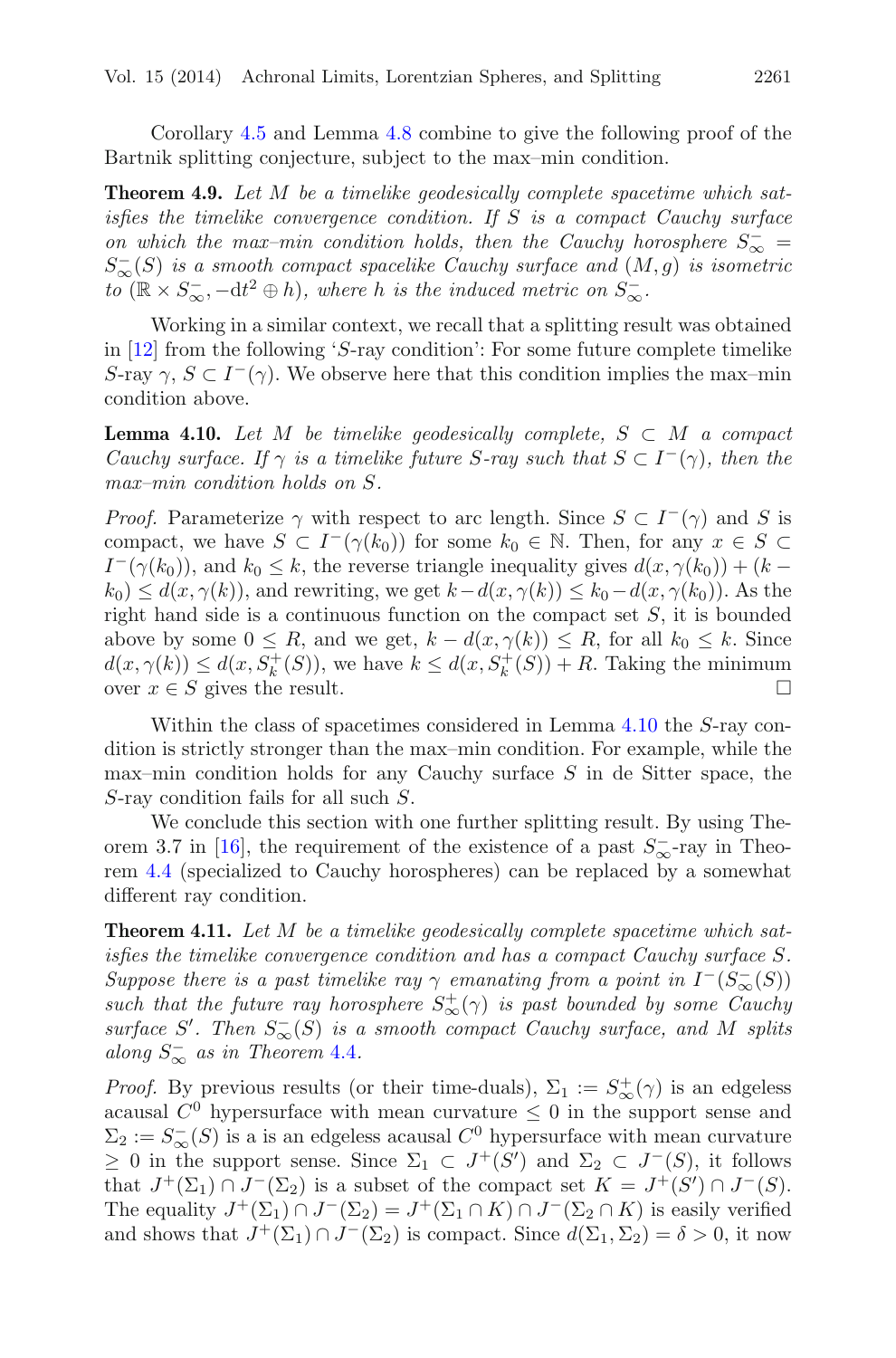Corollary [4.5](#page-18-2) and Lemma [4.8](#page-19-1) combine to give the following proof of the Bartnik splitting conjecture, subject to the max–min condition.

**Theorem 4.9.** *Let* M *be a timelike geodesically complete spacetime which satisfies the timelike convergence condition. If* S *is a compact Cauchy surface on which the max–min condition holds, then the Cauchy horosphere*  $S_{\infty}^{-} =$  $S_{\infty}^{-}(S)$  *is a smooth compact spacelike Cauchy surface and*  $(M,g)$  *is isometric to* ( $\mathbb{R} \times S_{\infty}^-$ ,  $-\mathrm{d}t^2 \oplus h$ ), where *h is the induced metric on*  $S_{\infty}^-$ .

Working in a similar context, we recall that a splitting result was obtained in [\[12](#page-37-4)] from the following 'S-ray condition': For some future complete timelike S-ray  $\gamma$ ,  $S \subset I^-(\gamma)$ . We observe here that this condition implies the max–min condition above.

<span id="page-20-0"></span>**Lemma 4.10.** Let M be timelike geodesically complete,  $S \subset M$  a compact *Cauchy surface. If*  $\gamma$  *is a timelike future S*-ray such that  $S \subset I^{-}(\gamma)$ , then the *max–min condition holds on* S*.*

*Proof.* Parameterize  $\gamma$  with respect to arc length. Since  $S \subset I^{-}(\gamma)$  and S is compact, we have  $S \subset I^-(\gamma(k_0))$  for some  $k_0 \in \mathbb{N}$ . Then, for any  $x \in S \subset$  $I^-(\gamma(k_0))$ , and  $k_0 \leq k$ , the reverse triangle inequality gives  $d(x, \gamma(k_0)) + (k$  $k_0 \leq d(x, \gamma(k))$ , and rewriting, we get  $k - d(x, \gamma(k)) \leq k_0 - d(x, \gamma(k_0))$ . As the right hand side is a continuous function on the compact set  $S$ , it is bounded above by some  $0 \leq R$ , and we get,  $k - d(x, \gamma(k)) \leq R$ , for all  $k_0 \leq k$ . Since  $d(x, \gamma(k)) \leq d(x, S_k^+(S))$ , we have  $k \leq d(x, S_k^+(S)) + R$ . Taking the minimum over  $x \in S$  gives the result.  $\Box$ 

Within the class of spacetimes considered in Lemma [4.10](#page-20-0) the S-ray condition is strictly stronger than the max–min condition. For example, while the max–min condition holds for any Cauchy surface  $S$  in de Sitter space, the S-ray condition fails for all such S.

We conclude this section with one further splitting result. By using The-orem 3.7 in [\[16\]](#page-37-10), the requirement of the existence of a past  $S_{\infty}^-$ -ray in Theorem [4.4](#page-18-1) (specialized to Cauchy horospheres) can be replaced by a somewhat different ray condition.

<span id="page-20-1"></span>**Theorem 4.11.** *Let* M *be a timelike geodesically complete spacetime which satisfies the timelike convergence condition and has a compact Cauchy surface* S*. Suppose there is a past timelike ray*  $\gamma$  *emanating from a point in*  $I^-(S^-_{\infty}(S))$ *such that the future ray horosphere*  $S^+_{\infty}(\gamma)$  *is past bounded by some Cauchy*  $\text{surface } S'.$  Then  $S_{\infty}^{-}(S)$  *is a smooth compact Cauchy surface, and* M *splits along*  $S_{\infty}^-$  *as in Theorem* [4.4](#page-18-1)*.* 

*Proof.* By previous results (or their time-duals),  $\Sigma_1 := S^+_{\infty}(\gamma)$  is an edgeless acausal  $C^0$  hypersurface with mean curvature  $\leq 0$  in the support sense and  $\Sigma_2 := S_{\infty}^-(S)$  is a is an edgeless acausal  $C^0$  hypersurface with mean curvature  $\geq$  0 in the support sense. Since  $\Sigma_1$  ⊂  $J^+(S')$  and  $\Sigma_2$  ⊂  $J^-(S)$ , it follows that  $J^+(\Sigma_1) \cap J^-(\Sigma_2)$  is a subset of the compact set  $K = J^+(S') \cap J^-(S)$ . The equality  $J^+(\Sigma_1) \cap J^-(\Sigma_2) = J^+(\Sigma_1 \cap K) \cap J^-(\Sigma_2 \cap K)$  is easily verified and shows that  $J^+(\Sigma_1) \cap J^-(\Sigma_2)$  is compact. Since  $d(\Sigma_1, \Sigma_2) = \delta > 0$ , it now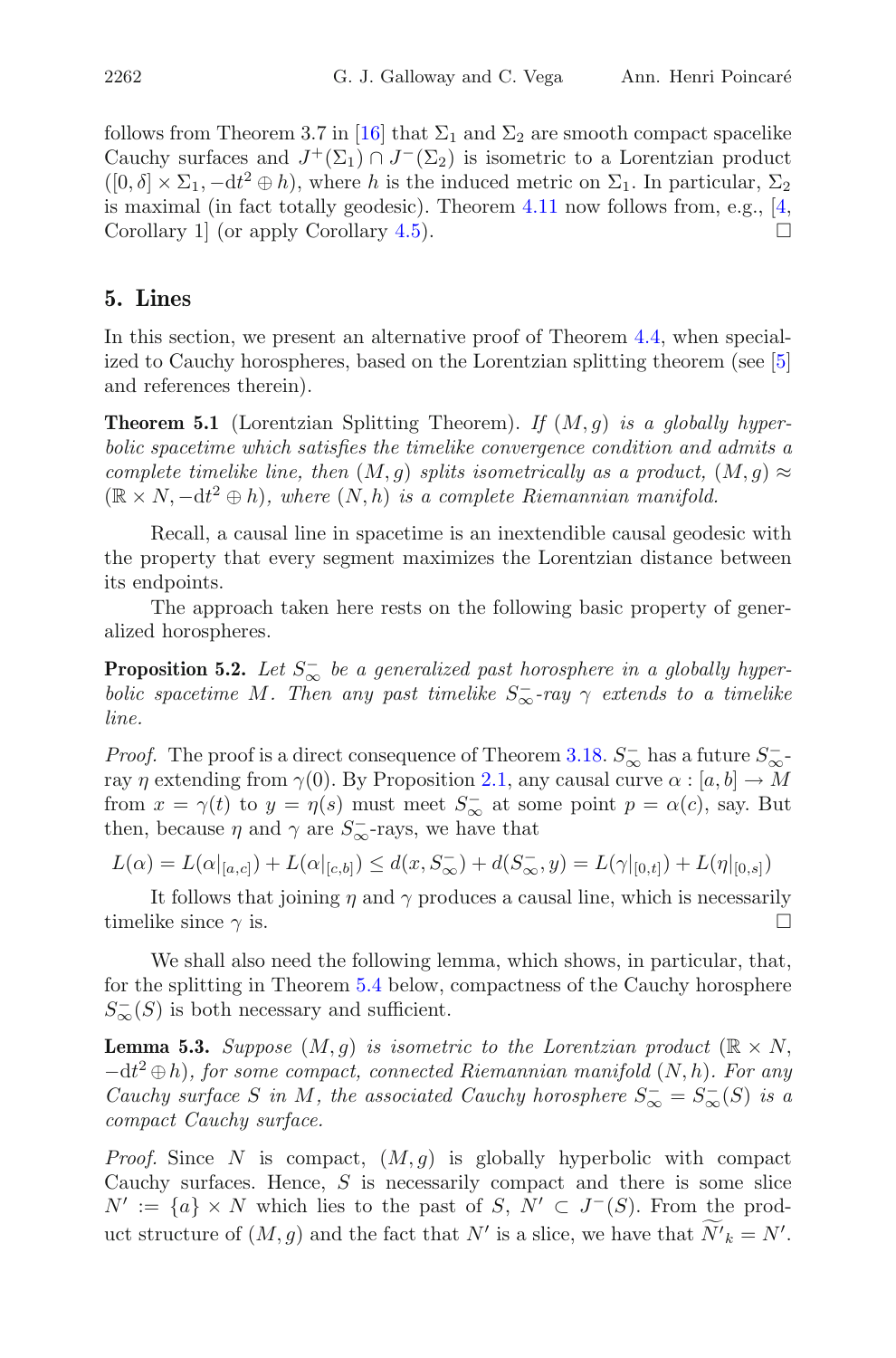follows from Theorem 3.7 in [\[16\]](#page-37-10) that  $\Sigma_1$  and  $\Sigma_2$  are smooth compact spacelike Cauchy surfaces and  $J^+(\Sigma_1) \cap J^-(\Sigma_2)$  is isometric to a Lorentzian product  $([0, \delta] \times \Sigma_1, -dt^2 \oplus h)$ , where h is the induced metric on  $\Sigma_1$ . In particular,  $\Sigma_2$ is maximal (in fact totally geodesic). Theorem  $4.11$  now follows from, e.g., [\[4,](#page-36-3)] Corollary 1 (or apply Corollary [4.5\)](#page-18-2).  $\Box$ 

# <span id="page-21-0"></span>**5. Lines**

In this section, we present an alternative proof of Theorem [4.4,](#page-18-1) when specialized to Cauchy horospheres, based on the Lorentzian splitting theorem (see [\[5\]](#page-36-4) and references therein).

<span id="page-21-2"></span>**Theorem 5.1** (Lorentzian Splitting Theorem). *If* (M,g) *is a globally hyperbolic spacetime which satisfies the timelike convergence condition and admits a complete timelike line, then*  $(M, g)$  *splits isometrically as a product,*  $(M, g) \approx$  $(\mathbb{R} \times N, -dt^2 \oplus h)$ , where  $(N, h)$  is a complete Riemannian manifold.

Recall, a causal line in spacetime is an inextendible causal geodesic with the property that every segment maximizes the Lorentzian distance between its endpoints.

<span id="page-21-1"></span>The approach taken here rests on the following basic property of generalized horospheres.

**Proposition 5.2.** *Let*  $S_{\infty}^-$  *be a generalized past horosphere in a globally hyperbolic spacetime* M. Then any past timelike  $S_{\infty}^-$ -ray  $\gamma$  extends to a timelike *line.*

*Proof.* The proof is a direct consequence of Theorem [3.18.](#page-11-1)  $S_{\infty}^-$  has a future  $S_{\infty}^$ ray  $\eta$  extending from  $\gamma(0)$ . By Proposition [2.1,](#page-2-1) any causal curve  $\alpha : [a, b] \to M$ from  $x = \gamma(t)$  to  $y = \eta(s)$  must meet  $S_{\infty}^-$  at some point  $p = \alpha(c)$ , say. But then, because  $\eta$  and  $\gamma$  are  $S_{\infty}^-$ -rays, we have that

 $L(\alpha) = L(\alpha|_{[a,c]}) + L(\alpha|_{[c,b]}) \leq d(x, S_{\infty}) + d(S_{\infty}^-, y) = L(\gamma|_{[0,t]}) + L(\eta|_{[0,s]})$ 

It follows that joining  $\eta$  and  $\gamma$  produces a causal line, which is necessarily timelike since  $\gamma$  is.

We shall also need the following lemma, which shows, in particular, that, for the splitting in Theorem [5.4](#page-22-2) below, compactness of the Cauchy horosphere  $S_{\infty}^{-}(S)$  is both necessary and sufficient.

<span id="page-21-3"></span>**Lemma 5.3.** *Suppose*  $(M, q)$  *is isometric to the Lorentzian product*  $(\mathbb{R} \times N,$ −dt <sup>2</sup> ⊕h)*, for some compact, connected Riemannian manifold* (N,h)*. For any Cauchy surface* S *in* M, the associated Cauchy horosphere  $S_{\infty}^{-} = S_{\infty}^{-}(S)$  *is a compact Cauchy surface.*

*Proof.* Since N is compact,  $(M, g)$  is globally hyperbolic with compact Cauchy surfaces. Hence,  $S$  is necessarily compact and there is some slice  $N' := \{a\} \times N$  which lies to the past of S,  $N' \subset J^{-1}(S)$ . From the product structure of  $(M, g)$  and the fact that  $N'$  is a slice, we have that  $N'_{k} = N'$ .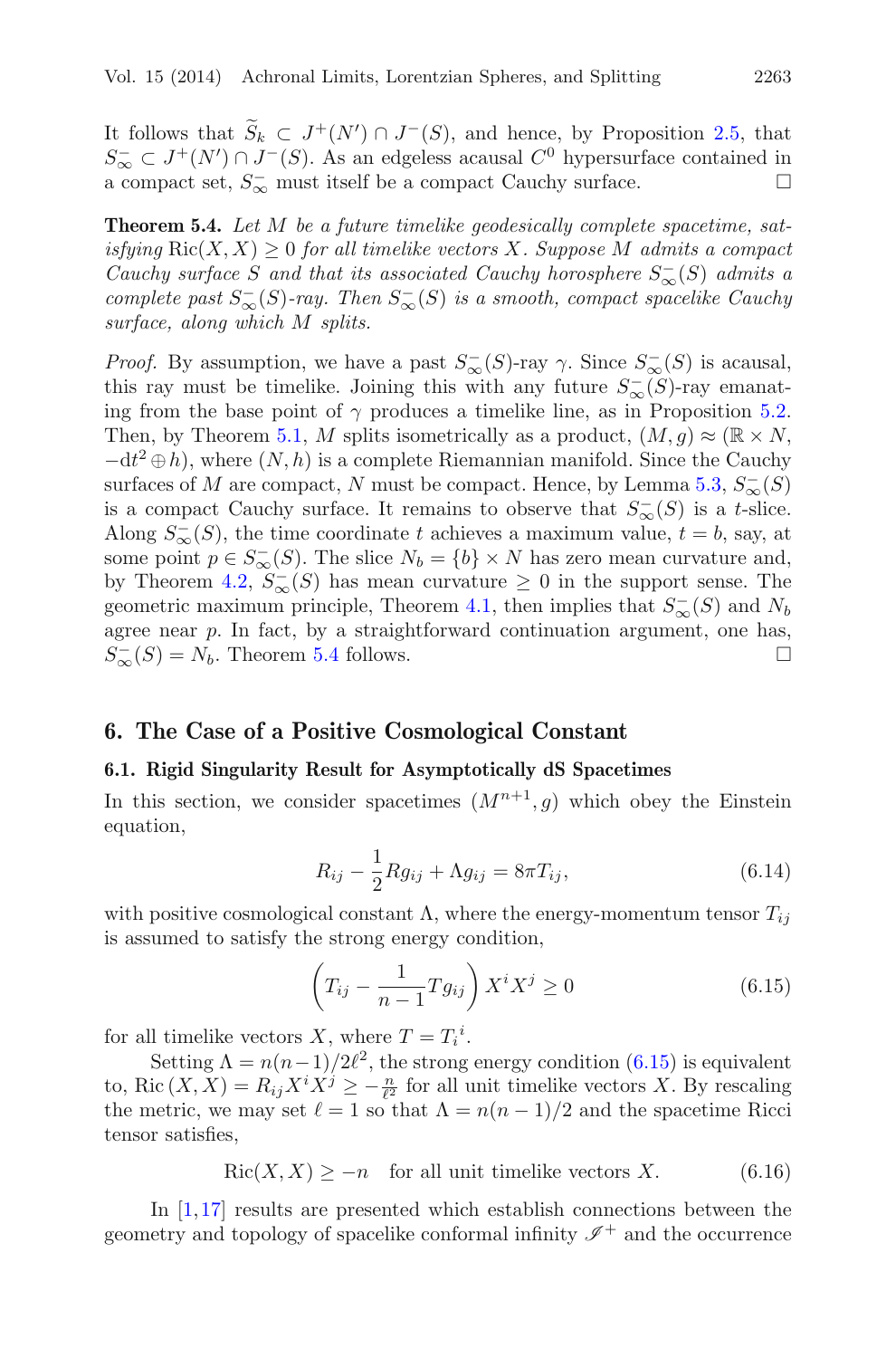It follows that  $S_k \subset J^+(N') \cap J^-(S)$ , and hence, by Proposition [2.5,](#page-4-0) that  $S^- \subset J^+(N') \cap J^-(S)$ ,  $\Lambda_{\text{even}}$  and  $\Lambda_{\text{even}}$  and  $\Lambda_{\text{even}}$  are  $\Lambda_{\text{even}}$  and  $\Lambda_{\text{even}}$  are  $\Lambda_{\text{even}}$  and  $\Lambda_{\text{even}}$  are  $\Lambda_{\text{even}}$  and  $\Lambda_{\text{even}}$  $S_{\infty}^- \subset J^+(N') \cap J^-(S)$ . As an edgeless acausal  $C^0$  hypersurface contained in a compact set,  $S_{\infty}^-$  must itself be a compact Cauchy surface.

<span id="page-22-2"></span>**Theorem 5.4.** *Let* M *be a future timelike geodesically complete spacetime, satisfying*  $\text{Ric}(X, X) \geq 0$  *for all timelike vectors* X. Suppose M *admits a compact Cauchy surface* S and that its associated Cauchy horosphere  $S_{\infty}^{-}(S)$  *admits a*  $complete$  past  $S_{\infty}^-(S)$ -ray. Then  $S_{\infty}^-(S)$  is a smooth, compact spacelike Cauchy *surface, along which* M *splits.*

*Proof.* By assumption, we have a past  $S_{\infty}^{-}(S)$ -ray  $\gamma$ . Since  $S_{\infty}^{-}(S)$  is acausal, this ray must be timelike. Joining this with any future  $S_{\infty}^{-}(S)$ -ray emanating from the base point of  $\gamma$  produces a timelike line, as in Proposition [5.2.](#page-21-1) Then, by Theorem [5.1,](#page-21-2) M splits isometrically as a product,  $(M, q) \approx (\mathbb{R} \times N,$  $-dt^2 \oplus h$ , where  $(N,h)$  is a complete Riemannian manifold. Since the Cauchy surfaces of M are compact, N must be compact. Hence, by Lemma [5.3,](#page-21-3)  $S_{\infty}^{-}(S)$ is a compact Cauchy surface. It remains to observe that  $S_{\infty}^{-}(S)$  is a t-slice. Along  $S_{\infty}^{-}(S)$ , the time coordinate t achieves a maximum value,  $t = b$ , say, at some point  $p \in S_{\infty}^{-}(S)$ . The slice  $N_b = \{b\} \times N$  has zero mean curvature and, by Theorem [4.2,](#page-17-1)  $S_{\infty}^{-}(S)$  has mean curvature  $\geq 0$  in the support sense. The geometric maximum principle, Theorem [4.1,](#page-16-4) then implies that  $S_{\infty}(S)$  and  $N_b$ agree near p. In fact, by a straightforward continuation argument, one has,  $S_{\infty}^{-}(S) = N_b$ . Theorem [5.4](#page-22-2) follows.

# <span id="page-22-1"></span><span id="page-22-0"></span>**6. The Case of a Positive Cosmological Constant**

#### **6.1. Rigid Singularity Result for Asymptotically dS Spacetimes**

In this section, we consider spacetimes  $(M^{n+1}, g)$  which obey the Einstein equation,

$$
R_{ij} - \frac{1}{2} R g_{ij} + \Lambda g_{ij} = 8\pi T_{ij},
$$
\n(6.14)

with positive cosmological constant  $\Lambda$ , where the energy-momentum tensor  $T_{ij}$ is assumed to satisfy the strong energy condition,

$$
\left(T_{ij} - \frac{1}{n-1} T g_{ij}\right) X^i X^j \ge 0 \tag{6.15}
$$

<span id="page-22-3"></span>for all timelike vectors X, where  $T = T_i^i$ .

Setting  $\Lambda = n(n-1)/2\ell^2$ , the strong energy condition [\(6.15\)](#page-22-3) is equivalent to, Ric  $(X, X) = R_{ij} X^i X^j \ge -\frac{n}{\ell^2}$  for all unit timelike vectors X. By rescaling the metric, we may set  $\ell = 1$  so that  $\Lambda = n(n-1)/2$  and the spacetime Ricci tensor satisfies,

 $\text{Ric}(X, X) \ge -n$  for all unit timelike vectors X. (6.16)

<span id="page-22-4"></span>In  $[1,17]$  $[1,17]$  $[1,17]$  results are presented which establish connections between the geometry and topology of spacelike conformal infinity  $\mathscr{I}^+$  and the occurrence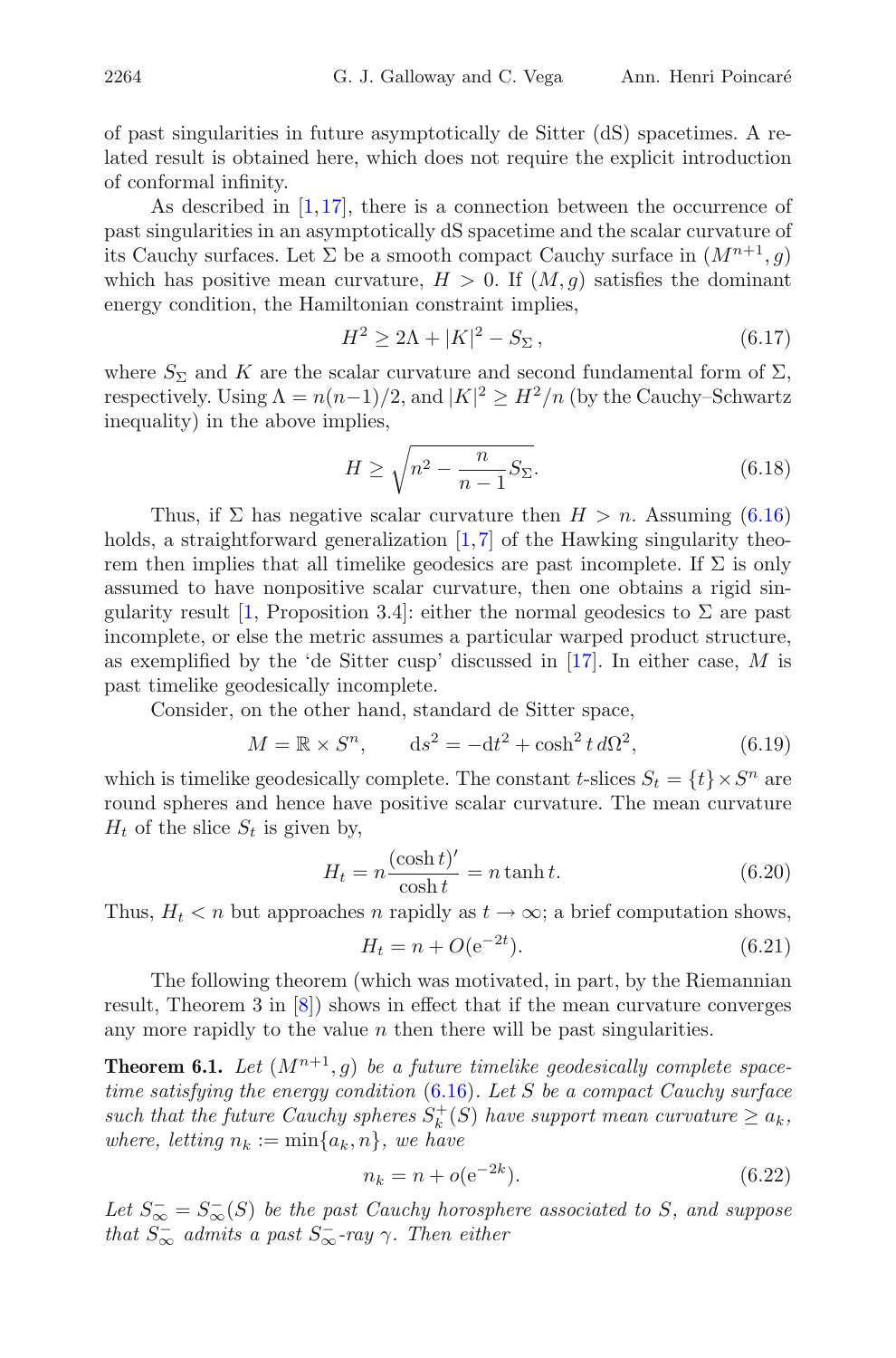of past singularities in future asymptotically de Sitter (dS) spacetimes. A related result is obtained here, which does not require the explicit introduction of conformal infinity.

As described in [\[1,](#page-36-0)[17\]](#page-37-16), there is a connection between the occurrence of past singularities in an asymptotically dS spacetime and the scalar curvature of its Cauchy surfaces. Let  $\Sigma$  be a smooth compact Cauchy surface in  $(M^{n+1}, g)$ which has positive mean curvature,  $H > 0$ . If  $(M, q)$  satisfies the dominant energy condition, the Hamiltonian constraint implies,

$$
H^2 \ge 2\Lambda + |K|^2 - S_{\Sigma}, \tag{6.17}
$$

where  $S_{\Sigma}$  and K are the scalar curvature and second fundamental form of  $\Sigma$ , respectively. Using  $\Lambda = n(n-1)/2$ , and  $|K|^2 \geq H^2/n$  (by the Cauchy–Schwartz inequality) in the above implies,

$$
H \ge \sqrt{n^2 - \frac{n}{n-1} S_{\Sigma}}.\tag{6.18}
$$

Thus, if  $\Sigma$  has negative scalar curvature then  $H > n$ . Assuming [\(6.16\)](#page-22-4) holds, a straightforward generalization [\[1](#page-36-0),[7\]](#page-36-7) of the Hawking singularity theorem then implies that all timelike geodesics are past incomplete. If  $\Sigma$  is only assumed to have nonpositive scalar curvature, then one obtains a rigid sin-gularity result [\[1](#page-36-0), Proposition 3.4]: either the normal geodesics to  $\Sigma$  are past incomplete, or else the metric assumes a particular warped product structure, as exemplified by the 'de Sitter cusp' discussed in  $[17]$  $[17]$ . In either case, M is past timelike geodesically incomplete.

Consider, on the other hand, standard de Sitter space,

$$
M = \mathbb{R} \times S^n, \qquad ds^2 = -dt^2 + \cosh^2 t \, d\Omega^2,\tag{6.19}
$$

which is timelike geodesically complete. The constant t-slices  $S_t = \{t\} \times S^n$  are round spheres and hence have positive scalar curvature. The mean curvature  $H_t$  of the slice  $S_t$  is given by,

$$
H_t = n \frac{(\cosh t)'}{\cosh t} = n \tanh t.
$$
 (6.20)

<span id="page-23-2"></span>Thus,  $H_t < n$  but approaches n rapidly as  $t \to \infty$ ; a brief computation shows,

$$
H_t = n + O(e^{-2t}).
$$
\n(6.21)

The following theorem (which was motivated, in part, by the Riemannian result, Theorem 3 in [\[8](#page-36-1)]) shows in effect that if the mean curvature converges any more rapidly to the value  $n$  then there will be past singularities.

<span id="page-23-0"></span>**Theorem 6.1.** Let  $(M^{n+1}, g)$  be a future timelike geodesically complete space*time satisfying the energy condition* [\(6.16\)](#page-22-4)*. Let* S *be a compact Cauchy surface* such that the future Cauchy spheres  $S_k^+(S)$  have support mean curvature  $\geq a_k$ , *where, letting*  $n_k := \min\{a_k, n\}$ *, we have* 

$$
n_k = n + o(e^{-2k}).
$$
\n(6.22)

<span id="page-23-1"></span>Let  $S_{\infty}^{-} = S_{\infty}^{-}(S)$  be the past Cauchy horosphere associated to S, and suppose *that*  $S_{\infty}^-$  *admits a past*  $S_{\infty}^-$ -ray  $\gamma$ *. Then either*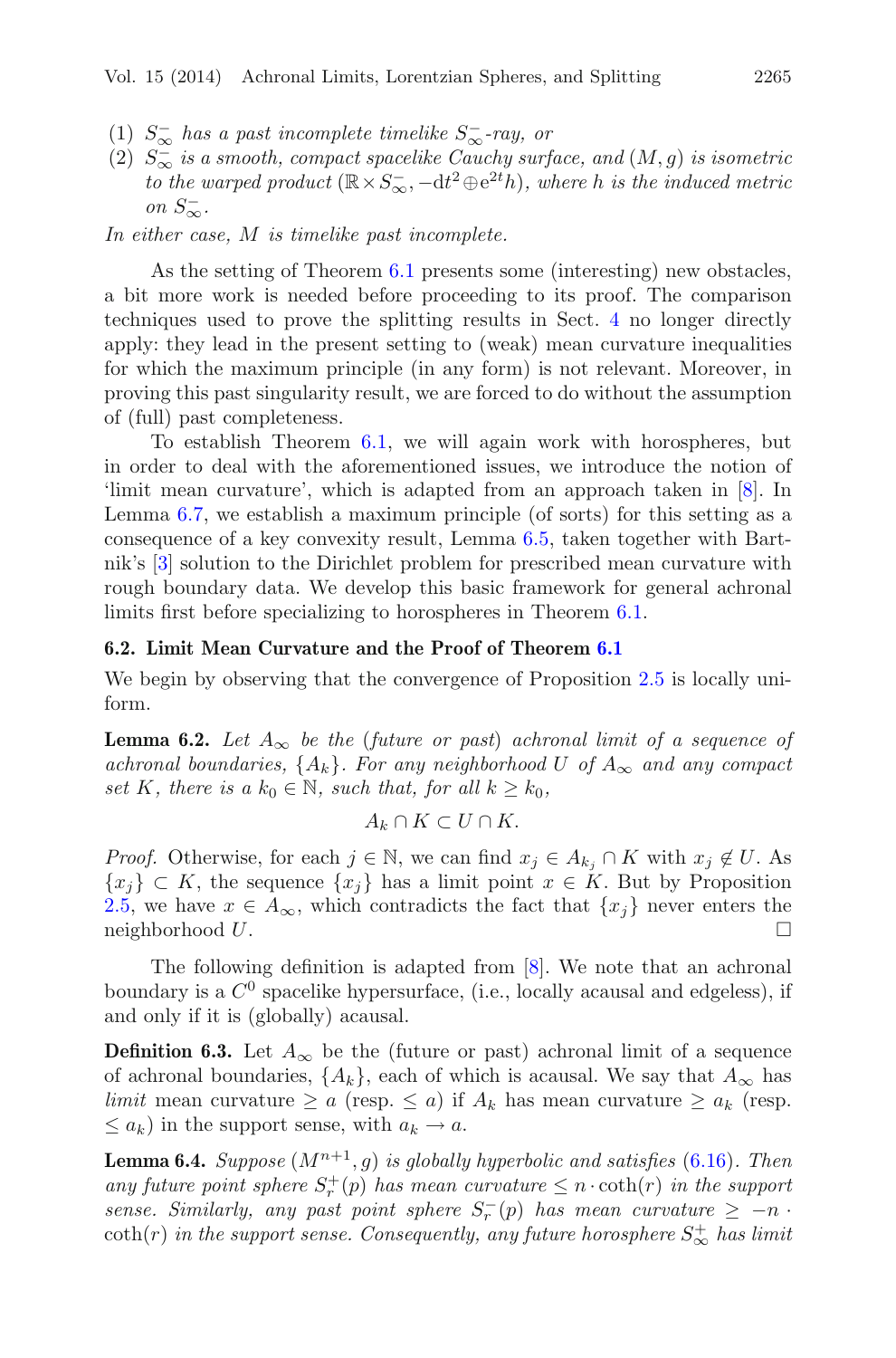- (1) S<sup>−</sup> <sup>∞</sup> *has a past incomplete timelike* S<sup>−</sup> <sup>∞</sup>*-ray, or*
- (2)  $S_{\infty}^-$  *is a smooth, compact spacelike Cauchy surface, and*  $(M, g)$  *is isometric to the warped product*  $(\mathbb{R} \times S_{\infty}^{-}, -dt^{2} \oplus e^{2t}h)$ *, where h is the induced metric on*  $S_{\infty}^-$ .

*In either case,* M *is timelike past incomplete.*

As the setting of Theorem [6.1](#page-23-0) presents some (interesting) new obstacles, a bit more work is needed before proceeding to its proof. The comparison techniques used to prove the splitting results in Sect. [4](#page-16-0) no longer directly apply: they lead in the present setting to (weak) mean curvature inequalities for which the maximum principle (in any form) is not relevant. Moreover, in proving this past singularity result, we are forced to do without the assumption of (full) past completeness.

To establish Theorem [6.1,](#page-23-0) we will again work with horospheres, but in order to deal with the aforementioned issues, we introduce the notion of 'limit mean curvature', which is adapted from an approach taken in [\[8](#page-36-1)]. In Lemma [6.7,](#page-29-0) we establish a maximum principle (of sorts) for this setting as a consequence of a key convexity result, Lemma [6.5,](#page-25-1) taken together with Bartnik's [\[3](#page-36-8)] solution to the Dirichlet problem for prescribed mean curvature with rough boundary data. We develop this basic framework for general achronal limits first before specializing to horospheres in Theorem [6.1.](#page-23-0)

#### <span id="page-24-0"></span>**6.2. Limit Mean Curvature and the Proof of Theorem [6.1](#page-23-0)**

<span id="page-24-1"></span>We begin by observing that the convergence of Proposition [2.5](#page-4-0) is locally uniform.

**Lemma 6.2.** *Let*  $A_{\infty}$  *be the (future or past) achronal limit of a sequence of achronal boundaries,*  $\{A_k\}$ *. For any neighborhood* U of  $A_{\infty}$  *and any compact set* K*, there is a*  $k_0 \in \mathbb{N}$ *, such that, for all*  $k \geq k_0$ *,* 

$$
A_k \cap K \subset U \cap K.
$$

*Proof.* Otherwise, for each  $j \in \mathbb{N}$ , we can find  $x_j \in A_{k_j} \cap K$  with  $x_j \notin U$ . As  $\{x_i\} \subset K$ , the sequence  $\{x_i\}$  has a limit point  $x \in K$ . But by Proposition [2.5,](#page-4-0) we have  $x \in A_{\infty}$ , which contradicts the fact that  $\{x_j\}$  never enters the neighborhood U. neighborhood  $U$ .

The following definition is adapted from [\[8](#page-36-1)]. We note that an achronal boundary is a  $C^0$  spacelike hypersurface, (i.e., locally acausal and edgeless), if and only if it is (globally) acausal.

**Definition 6.3.** Let  $A_{\infty}$  be the (future or past) achronal limit of a sequence of achronal boundaries,  $\{A_k\}$ , each of which is acausal. We say that  $A_{\infty}$  has *limit* mean curvature  $\geq a$  (resp.  $\leq a$ ) if  $A_k$  has mean curvature  $\geq a_k$  (resp.  $\leq a_k$ ) in the support sense, with  $a_k \to a$ .

<span id="page-24-2"></span>**Lemma 6.4.** *Suppose*  $(M^{n+1}, g)$  *is globally hyperbolic and satisfies* [\(6.16\)](#page-22-4)*. Then any future point sphere*  $S_r^+(p)$  *has mean curvature*  $\leq n \cdot \coth(r)$  *in the support sense. Similarly, any past point sphere*  $S_r^-(p)$  *has mean curvature*  $\geq -n$ .  $\coth(r)$  *in the support sense. Consequently, any future horosphere*  $S^+_{\infty}$  *has limit*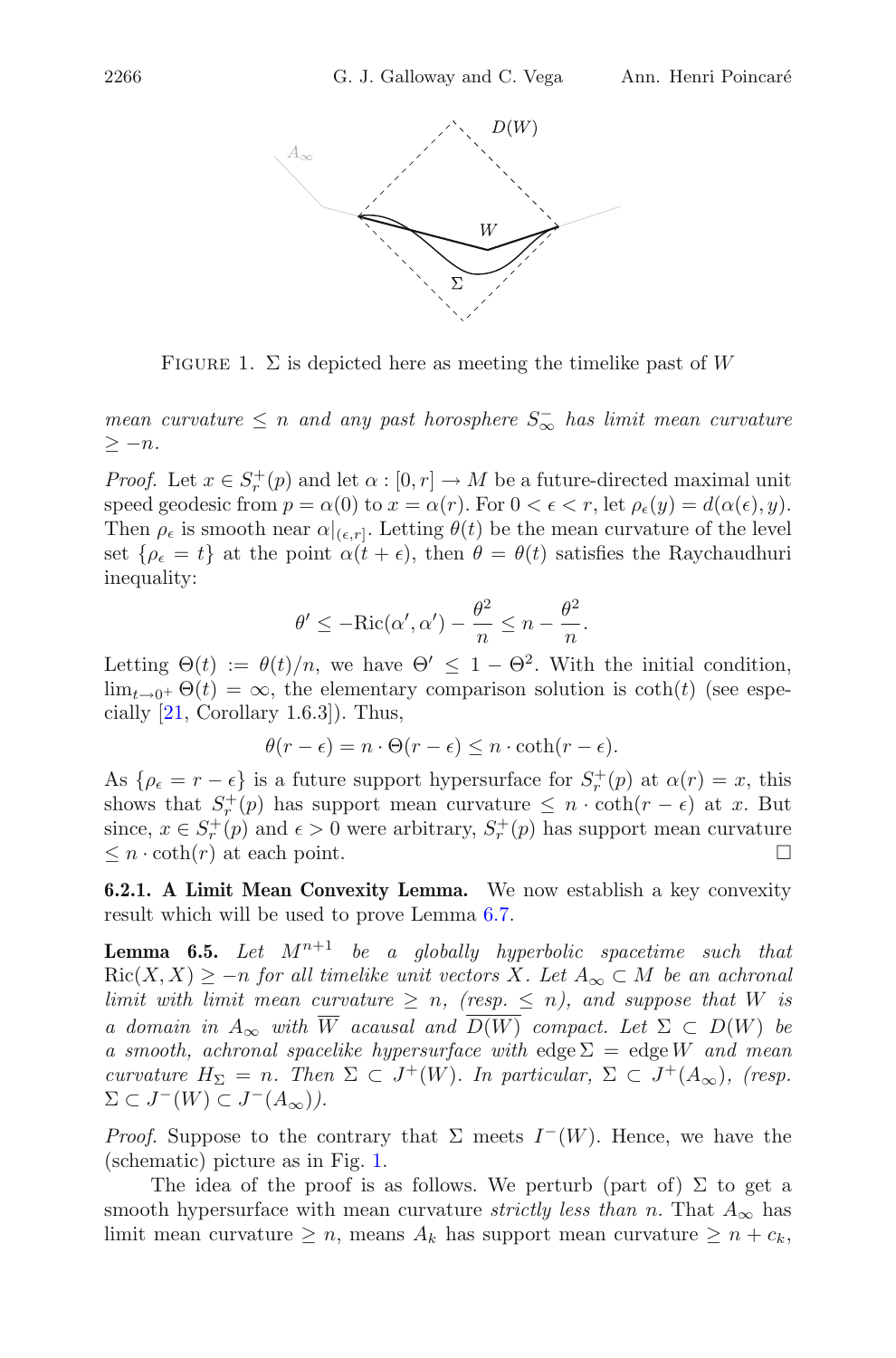

FIGURE 1.  $\Sigma$  is depicted here as meeting the timelike past of W

<span id="page-25-2"></span>*mean curvature* ≤ n *and any past horosphere* S<sup>−</sup> <sup>∞</sup> *has limit mean curvature* ≥ −n*.*

*Proof.* Let  $x \in S_r^+(p)$  and let  $\alpha : [0, r] \to M$  be a future-directed maximal unit speed geodesic from  $p = \alpha(0)$  to  $x = \alpha(r)$ . For  $0 < \epsilon < r$ , let  $\rho_{\epsilon}(y) = d(\alpha(\epsilon), y)$ . Then  $\rho_{\epsilon}$  is smooth near  $\alpha|_{(\epsilon,r]}$ . Letting  $\theta(t)$  be the mean curvature of the level set  $\{\rho_{\epsilon} = t\}$  at the point  $\alpha(t + \epsilon)$ , then  $\theta = \theta(t)$  satisfies the Raychaudhuri inequality:

$$
\theta' \le -\text{Ric}(\alpha', \alpha') - \frac{\theta^2}{n} \le n - \frac{\theta^2}{n}.
$$

Letting  $\Theta(t) := \theta(t)/n$ , we have  $\Theta' \leq 1 - \Theta^2$ . With the initial condition,  $\lim_{t\to 0^+} \Theta(t) = \infty$ , the elementary comparison solution is  $\coth(t)$  (see especially  $[21, Corollary 1.6.3]$  $[21, Corollary 1.6.3]$ . Thus,

$$
\theta(r - \epsilon) = n \cdot \Theta(r - \epsilon) \le n \cdot \coth(r - \epsilon).
$$

As  $\{\rho_{\epsilon} = r - \epsilon\}$  is a future support hypersurface for  $S_r^+(p)$  at  $\alpha(r) = x$ , this shows that  $S_r^+(p)$  has support mean curvature  $\leq n \cdot \coth(r - \epsilon)$  at x. But since,  $x \in S_r^+(p)$  and  $\epsilon > 0$  were arbitrary,  $S_r^+(p)$  has support mean curvature  $\leq n \cdot \coth(r)$  at each point.  $\square$ 

<span id="page-25-1"></span><span id="page-25-0"></span>**6.2.1. A Limit Mean Convexity Lemma.** We now establish a key convexity result which will be used to prove Lemma [6.7.](#page-29-0)

**Lemma 6.5.** Let  $M^{n+1}$  be a globally hyperbolic spacetime such that  $\text{Ric}(X, X) \ge -n$  *for all timelike unit vectors* X. Let  $A_{\infty} \subset M$  *be an achronal limit with limit mean curvature*  $\geq n$ , (resp.  $\leq n$ ), and suppose that W is *a domain in*  $A_{\infty}$  *with*  $\overline{W}$  *acausal and*  $\overline{D(W)}$  *compact. Let*  $\Sigma \subset D(W)$  *be a smooth, achronal spacelike hypersurface with*  $\text{edge } \Sigma = \text{edge } W$  *and mean curvature*  $H_{\Sigma} = n$ . Then  $\Sigma \subset J^+(W)$ . In particular,  $\Sigma \subset J^+(A_{\infty})$ , (resp.  $\Sigma \subset J^{-}(W) \subset J^{-}(A_{\infty})$ .

*Proof.* Suppose to the contrary that  $\Sigma$  meets  $I^-(W)$ . Hence, we have the (schematic) picture as in Fig. [1.](#page-25-2)

The idea of the proof is as follows. We perturb (part of)  $\Sigma$  to get a smooth hypersurface with mean curvature *strictly less than* n. That  $A_{\infty}$  has limit mean curvature  $\geq n$ , means  $A_k$  has support mean curvature  $\geq n + c_k$ ,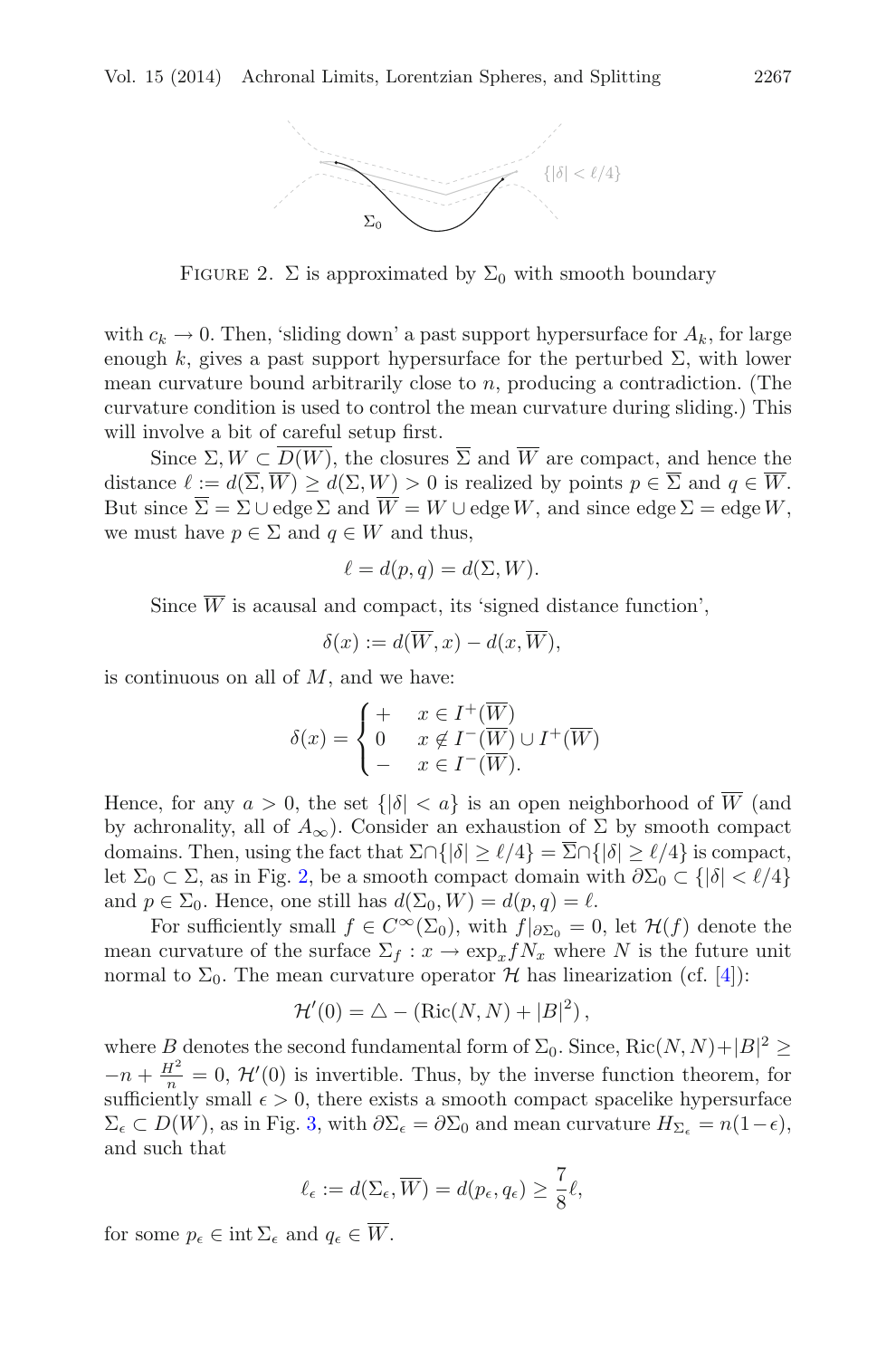

<span id="page-26-0"></span>FIGURE 2.  $\Sigma$  is approximated by  $\Sigma_0$  with smooth boundary

with  $c_k \to 0$ . Then, 'sliding down' a past support hypersurface for  $A_k$ , for large enough k, gives a past support hypersurface for the perturbed  $\Sigma$ , with lower mean curvature bound arbitrarily close to  $n$ , producing a contradiction. (The curvature condition is used to control the mean curvature during sliding.) This will involve a bit of careful setup first.

Since  $\Sigma, W \subset \overline{D(W)}$ , the closures  $\overline{\Sigma}$  and  $\overline{W}$  are compact, and hence the distance  $\ell := d(\Sigma, W) \geq d(\Sigma, W) > 0$  is realized by points  $p \in \Sigma$  and  $q \in W$ . But since  $\overline{\Sigma} = \Sigma \cup \text{edge } \Sigma$  and  $\overline{W} = W \cup \text{edge } W$ , and since edge  $\Sigma = \text{edge } W$ , we must have  $p \in \Sigma$  and  $q \in W$  and thus,

$$
\ell = d(p, q) = d(\Sigma, W).
$$

Since  $\overline{W}$  is acausal and compact, its 'signed distance function',

$$
\delta(x) := d(\overline{W}, x) - d(x, \overline{W}),
$$

is continuous on all of  $M$ , and we have:

$$
\delta(x) = \begin{cases}\n+ & x \in I^+(\overline{W}) \\
0 & x \notin I^-(\overline{W}) \cup I^+(\overline{W}) \\
- & x \in I^-(\overline{W}).\n\end{cases}
$$

Hence, for any  $a > 0$ , the set  $\{|\delta| < a\}$  is an open neighborhood of  $\overline{W}$  (and by achronality, all of  $A_{\infty}$ ). Consider an exhaustion of  $\Sigma$  by smooth compact domains. Then, using the fact that  $\Sigma \cap \{ |\delta| \ge \ell/4 \} = \Sigma \cap \{ |\delta| \ge \ell/4 \}$  is compact, let  $\Sigma_0 \subset \Sigma$ , as in Fig. [2,](#page-26-0) be a smooth compact domain with  $\partial \Sigma_0 \subset \{ |\delta| < \ell/4 \}$ and  $p \in \Sigma_0$ . Hence, one still has  $d(\Sigma_0, W) = d(p, q) = \ell$ .

For sufficiently small  $f \in C^{\infty}(\Sigma_0)$ , with  $f|_{\partial \Sigma_0} = 0$ , let  $\mathcal{H}(f)$  denote the mean curvature of the surface  $\Sigma_f : x \to \exp_x f N_x$  where N is the future unit normal to  $\Sigma_0$ . The mean curvature operator H has linearization (cf. [\[4\]](#page-36-3)):

$$
\mathcal{H}'(0) = \triangle - (\text{Ric}(N, N) + |B|^2),
$$

where B denotes the second fundamental form of  $\Sigma_0$ . Since,  $\text{Ric}(N, N) + |B|^2 \geq$  $-n+\frac{H^2}{n}=0, \mathcal{H}'(0)$  is invertible. Thus, by the inverse function theorem, for sufficiently small  $\epsilon > 0$ , there exists a smooth compact spacelike hypersurface  $\Sigma_{\epsilon} \subset D(W)$ , as in Fig. [3,](#page-27-0) with  $\partial \Sigma_{\epsilon} = \partial \Sigma_{0}$  and mean curvature  $H_{\Sigma_{\epsilon}} = n(1-\epsilon)$ , and such that

$$
\ell_{\epsilon} := d(\Sigma_{\epsilon}, \overline{W}) = d(p_{\epsilon}, q_{\epsilon}) \ge \frac{7}{8} \ell,
$$

for some  $p_{\epsilon} \in \text{int } \Sigma_{\epsilon}$  and  $q_{\epsilon} \in \overline{W}$ .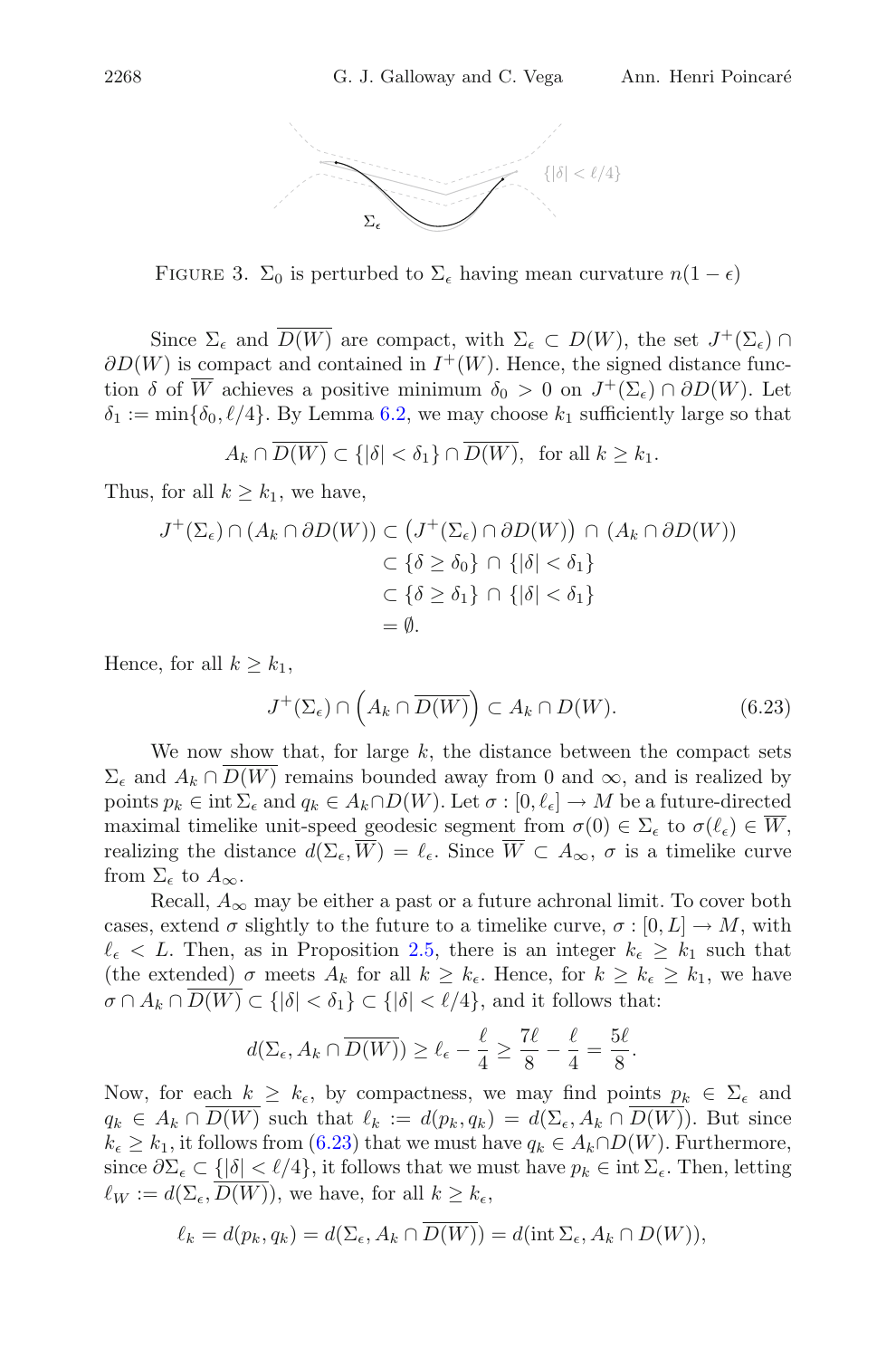

<span id="page-27-0"></span>FIGURE 3.  $\Sigma_0$  is perturbed to  $\Sigma_\epsilon$  having mean curvature  $n(1-\epsilon)$ 

Since  $\Sigma_{\epsilon}$  and  $\overline{D(W)}$  are compact, with  $\Sigma_{\epsilon} \subset D(W)$ , the set  $J^{+}(\Sigma_{\epsilon}) \cap$  $\partial D(W)$  is compact and contained in  $I^+(W)$ . Hence, the signed distance function  $\delta$  of  $\overline{W}$  achieves a positive minimum  $\delta_0 > 0$  on  $J^+(\Sigma_\epsilon) \cap \partial D(W)$ . Let  $\delta_1 := \min\{\delta_0, \ell/4\}.$  By Lemma [6.2,](#page-24-1) we may choose  $k_1$  sufficiently large so that

$$
A_k \cap \overline{D(W)} \subset \{ |\delta| < \delta_1 \} \cap \overline{D(W)}, \text{ for all } k \ge k_1.
$$

Thus, for all  $k > k_1$ , we have,

$$
J^+(\Sigma_{\epsilon}) \cap (A_k \cap \partial D(W)) \subset (J^+(\Sigma_{\epsilon}) \cap \partial D(W)) \cap (A_k \cap \partial D(W))
$$
  

$$
\subset \{\delta \ge \delta_0\} \cap \{|\delta| < \delta_1\}
$$
  

$$
\subset \{\delta \ge \delta_1\} \cap \{|\delta| < \delta_1\}
$$
  

$$
= \emptyset.
$$

<span id="page-27-1"></span>Hence, for all  $k \geq k_1$ ,

$$
J^+(\Sigma_\epsilon) \cap \left(A_k \cap \overline{D(W)}\right) \subset A_k \cap D(W). \tag{6.23}
$$

We now show that, for large  $k$ , the distance between the compact sets  $\Sigma_{\epsilon}$  and  $A_k \cap D(W)$  remains bounded away from 0 and  $\infty$ , and is realized by points  $p_k \in \text{int } \Sigma_\epsilon$  and  $q_k \in A_k \cap D(W)$ . Let  $\sigma : [0, \ell_\epsilon] \to M$  be a future-directed maximal timelike unit-speed geodesic segment from  $\sigma(0) \in \Sigma_{\epsilon}$  to  $\sigma(\ell_{\epsilon}) \in W$ , realizing the distance  $d(\Sigma_{\epsilon}, W) = \ell_{\epsilon}$ . Since  $W \subset A_{\infty}, \sigma$  is a timelike curve from  $\Sigma_{\epsilon}$  to  $A_{\infty}$ .

Recall,  $A_{\infty}$  may be either a past or a future achronal limit. To cover both cases, extend  $\sigma$  slightly to the future to a timelike curve,  $\sigma : [0, L] \to M$ , with  $\ell_{\epsilon} < L$ . Then, as in Proposition [2.5,](#page-4-0) there is an integer  $k_{\epsilon} \geq k_1$  such that (the extended)  $\sigma$  meets  $A_k$  for all  $k \geq k_{\epsilon}$ . Hence, for  $k \geq k_{\epsilon} \geq k_1$ , we have  $\sigma \cap A_k \cap D(W) \subset \{|\delta| < \delta_1\} \subset \{|\delta| < \ell/4\}$ , and it follows that:

$$
d(\Sigma_{\epsilon}, A_k \cap \overline{D(W)}) \geq \ell_{\epsilon} - \frac{\ell}{4} \geq \frac{7\ell}{8} - \frac{\ell}{4} = \frac{5\ell}{8}.
$$

Now, for each  $k \geq k_{\epsilon}$ , by compactness, we may find points  $p_k \in \Sigma_{\epsilon}$  and  $q_k \in A_k \cap D(W)$  such that  $\ell_k := d(p_k, q_k) = d(\Sigma_{\epsilon}, A_k \cap D(W))$ . But since  $k_{\epsilon} \geq k_1$ , it follows from [\(6.23\)](#page-27-1) that we must have  $q_k \in A_k \cap D(W)$ . Furthermore, since  $\partial \Sigma_{\epsilon} \subset \{ |\delta| < \ell/4 \},$  it follows that we must have  $p_k \in \text{int } \Sigma_{\epsilon}$ . Then, letting  $\ell_W := d(\Sigma_{\epsilon}, D(W)),$  we have, for all  $k \geq k_{\epsilon},$ 

$$
\ell_k = d(p_k, q_k) = d(\Sigma_{\epsilon}, A_k \cap \overline{D(W)}) = d(\text{int }\Sigma_{\epsilon}, A_k \cap D(W)),
$$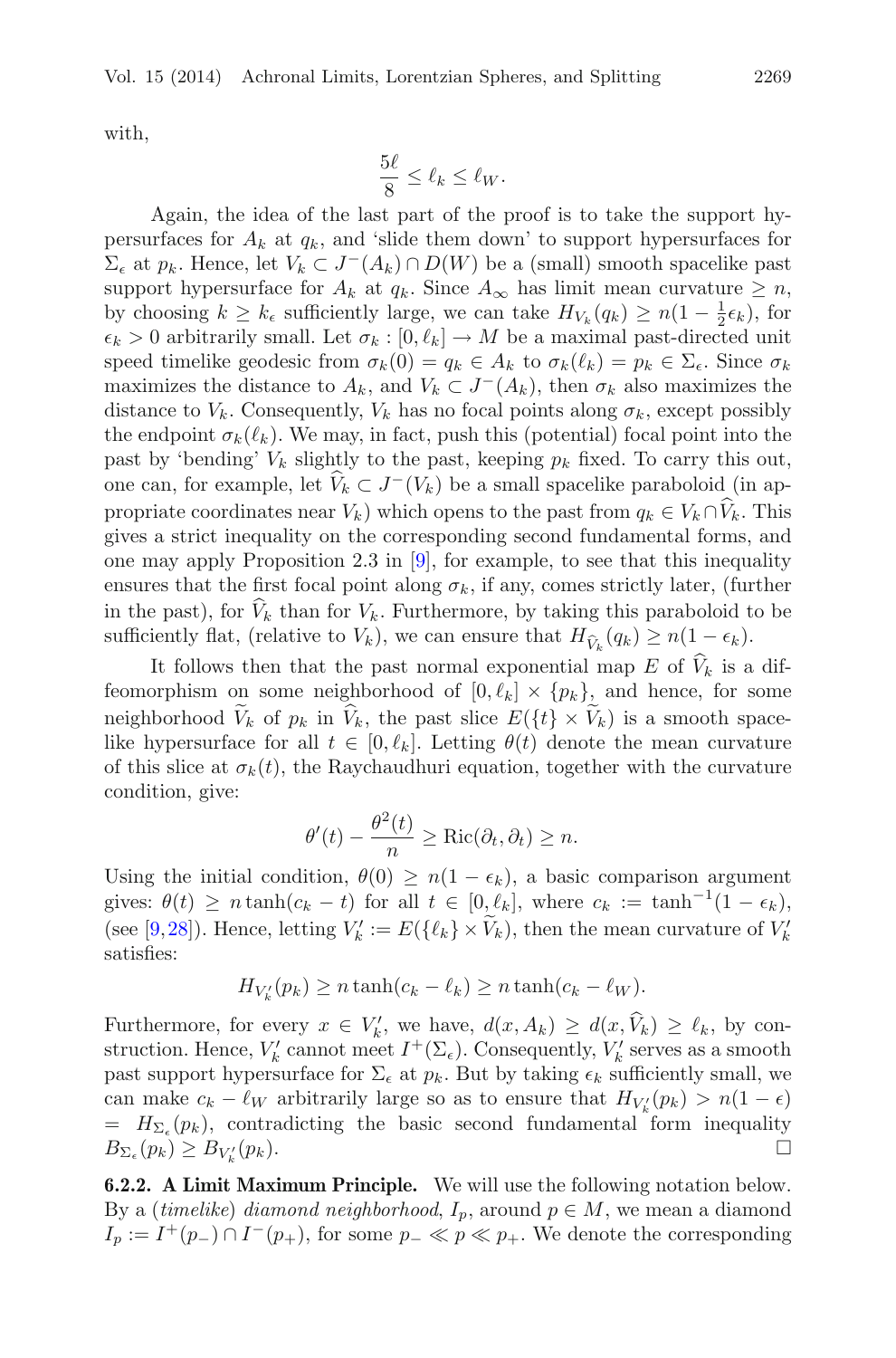with,

$$
\frac{5\ell}{8} \le \ell_k \le \ell_W.
$$

Again, the idea of the last part of the proof is to take the support hypersurfaces for  $A_k$  at  $q_k$ , and 'slide them down' to support hypersurfaces for  $\Sigma_{\epsilon}$  at  $p_k$ . Hence, let  $V_k \subset J^-(A_k) \cap D(W)$  be a (small) smooth spacelike past support hypersurface for  $A_k$  at  $q_k$ . Since  $A_\infty$  has limit mean curvature  $\geq n$ , by choosing  $k \geq k_{\epsilon}$  sufficiently large, we can take  $H_{V_k}(q_k) \geq n(1 - \frac{1}{2}\epsilon_k)$ , for  $\epsilon_k > 0$  arbitrarily small. Let  $\sigma_k : [0, \ell_k] \to M$  be a maximal past-directed unit speed timelike geodesic from  $\sigma_k(0) = q_k \in A_k$  to  $\sigma_k(\ell_k) = p_k \in \Sigma_{\epsilon}$ . Since  $\sigma_k$ maximizes the distance to  $A_k$ , and  $V_k \subset J^-(A_k)$ , then  $\sigma_k$  also maximizes the distance to  $V_k$ . Consequently,  $V_k$  has no focal points along  $\sigma_k$ , except possibly the endpoint  $\sigma_k(\ell_k)$ . We may, in fact, push this (potential) focal point into the past by 'bending'  $V_k$  slightly to the past, keeping  $p_k$  fixed. To carry this out, one can, for example, let  $V_k \subset J^-(V_k)$  be a small spacelike paraboloid (in appropriate coordinates near  $V_k$ ) which opens to the past from  $q_k \in V_k \cap \hat{V}_k$ . This gives a strict inequality on the corresponding second fundamental forms, and one may apply Proposition 2.3 in  $[9]$ , for example, to see that this inequality ensures that the first focal point along  $\sigma_k$ , if any, comes strictly later, (further in the past), for  $V_k$  than for  $V_k$ . Furthermore, by taking this paraboloid to be sufficiently flat, (relative to  $V_k$ ), we can ensure that  $H_{\hat{V}_k}(q_k) \geq n(1 - \epsilon_k)$ .

It follows then that the past normal exponential map E of  $\widehat{V}_k$  is a diffeomorphism on some neighborhood of  $[0, \ell_k] \times \{p_k\}$ , and hence, for some neighborhood  $\widetilde{V}_k$  of  $p_k$  in  $\widehat{V}_k$ , the past slice  $E({t \}\times \widetilde{V}_k)$  is a smooth spacelike hypersurface for all  $t \in [0, \ell_k]$ . Letting  $\theta(t)$  denote the mean curvature of this slice at  $\sigma_k(t)$ , the Raychaudhuri equation, together with the curvature condition, give:

$$
\theta'(t) - \frac{\theta^2(t)}{n} \ge \text{Ric}(\partial_t, \partial_t) \ge n.
$$

Using the initial condition,  $\theta(0) \geq n(1 - \epsilon_k)$ , a basic comparison argument gives:  $\theta(t) \geq n \tanh(c_k - t)$  for all  $t \in [0, \ell_k]$ , where  $c_k := \tanh^{-1}(1 - \epsilon_k)$ , (see [\[9,](#page-37-14)[28](#page-38-1)]). Hence, letting  $V'_k := E({\lbrace \ell_k \rbrace} \times V_k)$ , then the mean curvature of  $V'_k$ satisfies:

$$
H_{V'_{k}}(p_{k}) \geq n \tanh(c_{k} - \ell_{k}) \geq n \tanh(c_{k} - \ell_{W}).
$$

Furthermore, for every  $x \in V'_k$ , we have,  $d(x, A_k) \geq d(x, V_k) \geq \ell_k$ , by construction. Hence,  $V'_k$  cannot meet  $I^+(\Sigma_\epsilon)$ . Consequently,  $V'_k$  serves as a smooth past support hypersurface for  $\Sigma_{\epsilon}$  at  $p_k$ . But by taking  $\epsilon_k$  sufficiently small, we can make  $c_k - \ell_W$  arbitrarily large so as to ensure that  $H_{V'_k}(p_k) > n(1 - \epsilon)$  $= H_{\Sigma_{\epsilon}}(p_k)$ , contradicting the basic second fundamental form inequality  $B_{\Sigma_{\epsilon}}(p_k) \geq B_{V'_k}$  $\mathcal{L}_{k}^{\prime}(p_{k}).$ 

<span id="page-28-0"></span>**6.2.2. A Limit Maximum Principle.** We will use the following notation below. By a (*timelike*) *diamond neighborhood*,  $I_p$ , around  $p \in M$ , we mean a diamond  $I_p := I^+(p_-) \cap I^-(p_+),$  for some  $p_- \ll p \ll p_+$ . We denote the corresponding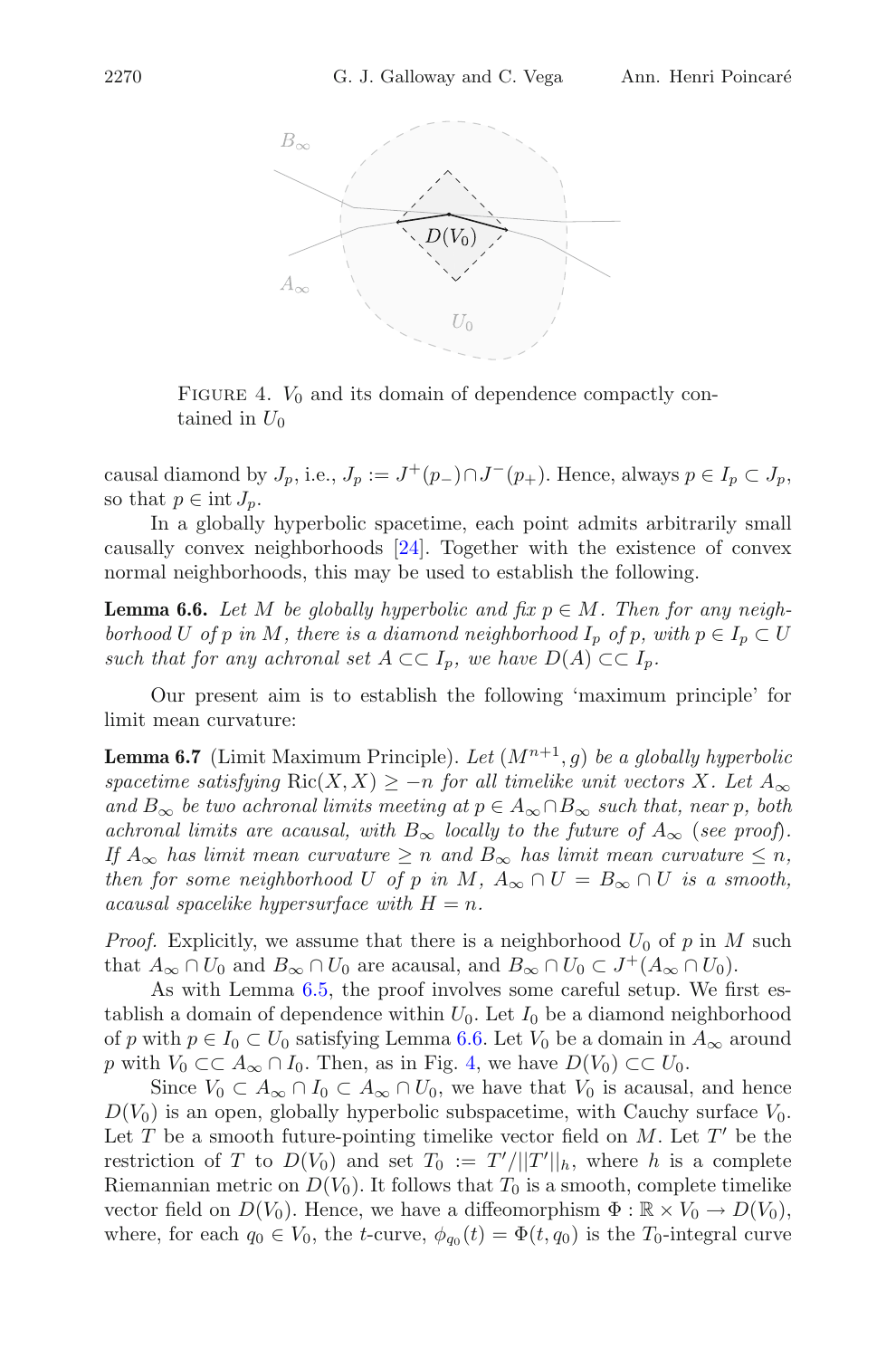

<span id="page-29-2"></span>FIGURE 4.  $V_0$  and its domain of dependence compactly contained in  $U_0$ 

causal diamond by  $J_p$ , i.e.,  $J_p := J^+(p_-) \cap J^-(p_+)$ . Hence, always  $p \in I_p \subset J_p$ , so that  $p \in \text{int } J_p$ .

In a globally hyperbolic spacetime, each point admits arbitrarily small causally convex neighborhoods [\[24\]](#page-37-0). Together with the existence of convex normal neighborhoods, this may be used to establish the following.

<span id="page-29-1"></span>**Lemma 6.6.** *Let*  $M$  *be globally hyperbolic and fix*  $p \in M$ *. Then for any neighborhood* U *of* p *in* M, there is a diamond neighborhood  $I_p$  *of* p, with  $p \in I_p \subset U$ *such that for any achronal set*  $A \subset\subset I_p$ *, we have*  $D(A) \subset\subset I_p$ *.* 

<span id="page-29-0"></span>Our present aim is to establish the following 'maximum principle' for limit mean curvature:

**Lemma 6.7** (Limit Maximum Principle). Let  $(M^{n+1}, g)$  be a globally hyperbolic *spacetime satisfying*  $\text{Ric}(X, X) \ge -n$  *for all timelike unit vectors* X. Let  $A_{\infty}$ *and*  $B_{\infty}$  *be two achronal limits meeting at*  $p \in A_{\infty} \cap B_{\infty}$  *such that, near* p*, both achronal limits are acausal, with*  $B_{\infty}$  *locally to the future of*  $A_{\infty}$  (*see proof*). *If*  $A_{\infty}$  *has limit mean curvature*  $\geq n$  *and*  $B_{\infty}$  *has limit mean curvature*  $\leq n$ *, then for some neighborhood* U *of* p *in* M,  $A_{\infty} \cap U = B_{\infty} \cap U$  *is a smooth, acausal spacelike hypersurface with*  $H = n$ .

*Proof.* Explicitly, we assume that there is a neighborhood  $U_0$  of p in M such that  $A_{\infty} \cap U_0$  and  $B_{\infty} \cap U_0$  are acausal, and  $B_{\infty} \cap U_0 \subset J^+(A_{\infty} \cap U_0)$ .

As with Lemma [6.5,](#page-25-1) the proof involves some careful setup. We first establish a domain of dependence within  $U_0$ . Let  $I_0$  be a diamond neighborhood of p with  $p \in I_0 \subset U_0$  satisfying Lemma [6.6.](#page-29-1) Let  $V_0$  be a domain in  $A_{\infty}$  around p with  $V_0 \subset \subset A_\infty \cap I_0$ . Then, as in Fig. [4,](#page-29-2) we have  $D(V_0) \subset \subset U_0$ .

Since  $V_0 \subset A_\infty \cap I_0 \subset A_\infty \cap U_0$ , we have that  $V_0$  is acausal, and hence  $D(V_0)$  is an open, globally hyperbolic subspacetime, with Cauchy surface  $V_0$ . Let T be a smooth future-pointing timelike vector field on  $M$ . Let T' be the restriction of T to  $D(V_0)$  and set  $T_0 := T'/||T'||_h$ , where h is a complete Riemannian metric on  $D(V_0)$ . It follows that  $T_0$  is a smooth, complete timelike vector field on  $D(V_0)$ . Hence, we have a diffeomorphism  $\Phi : \mathbb{R} \times V_0 \to D(V_0)$ , where, for each  $q_0 \in V_0$ , the t-curve,  $\phi_{q_0}(t) = \Phi(t, q_0)$  is the  $T_0$ -integral curve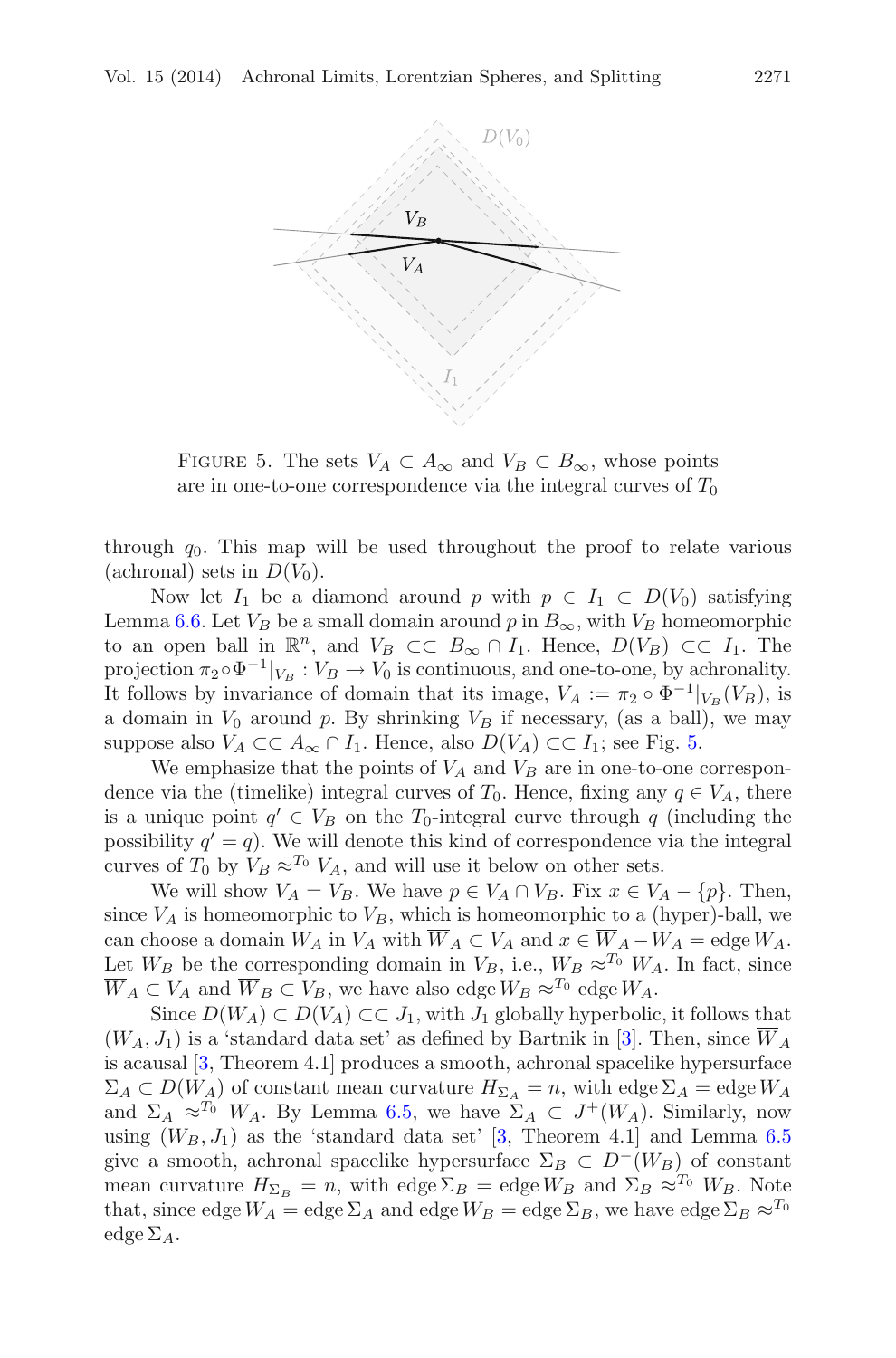

<span id="page-30-0"></span>FIGURE 5. The sets  $V_A \subset A_\infty$  and  $V_B \subset B_\infty$ , whose points are in one-to-one correspondence via the integral curves of  $T_0$ 

through  $q_0$ . This map will be used throughout the proof to relate various (achronal) sets in  $D(V_0)$ .

Now let  $I_1$  be a diamond around p with  $p \in I_1 \subset D(V_0)$  satisfying Lemma [6.6.](#page-29-1) Let  $V_B$  be a small domain around p in  $B_{\infty}$ , with  $V_B$  homeomorphic to an open ball in  $\mathbb{R}^n$ , and  $V_B \subset\subset B_\infty \cap I_1$ . Hence,  $D(V_B) \subset\subset I_1$ . The projection  $\pi_2 \circ \Phi^{-1}|_{V_B} : V_B \to V_0$  is continuous, and one-to-one, by achronality. It follows by invariance of domain that its image,  $V_A := \pi_2 \circ \Phi^{-1}|_{V_B}(V_B)$ , is a domain in  $V_0$  around p. By shrinking  $V_B$  if necessary, (as a ball), we may suppose also  $V_A \subset \subset A_\infty \cap I_1$ . Hence, also  $D(V_A) \subset \subset I_1$ ; see Fig. [5.](#page-30-0)

We emphasize that the points of  $V_A$  and  $V_B$  are in one-to-one correspondence via the (timelike) integral curves of  $T_0$ . Hence, fixing any  $q \in V_A$ , there is a unique point  $q' \in V_B$  on the  $T_0$ -integral curve through q (including the possibility  $q' = q$ ). We will denote this kind of correspondence via the integral curves of  $T_0$  by  $V_B \approx^{T_0} V_A$ , and will use it below on other sets.

We will show  $V_A = V_B$ . We have  $p \in V_A \cap V_B$ . Fix  $x \in V_A - \{p\}$ . Then, since  $V_A$  is homeomorphic to  $V_B$ , which is homeomorphic to a (hyper)-ball, we can choose a domain  $W_A$  in  $V_A$  with  $\overline{W}_A \subset V_A$  and  $x \in \overline{W}_A - W_A =$ edge  $W_A$ . Let  $W_B$  be the corresponding domain in  $V_B$ , i.e.,  $W_B \approx^{T_0} W_A$ . In fact, since  $\overline{W}_A \subset V_A$  and  $\overline{W}_B \subset V_B$ , we have also edge  $W_B \approx^{T_0}$  edge  $W_A$ .

Since  $D(W_A) \subset D(V_A) \subset \subset J_1$ , with  $J_1$  globally hyperbolic, it follows that  $(W_A, J_1)$  is a 'standard data set' as defined by Bartnik in [\[3\]](#page-36-8). Then, since  $\overline{W}_A$ is acausal [\[3](#page-36-8), Theorem 4.1] produces a smooth, achronal spacelike hypersurface  $\Sigma_A \subset D(W_A)$  of constant mean curvature  $H_{\Sigma_A} = n$ , with edge  $\Sigma_A = \text{edge } W_A$ and  $\Sigma_A \approx^{T_0} W_A$ . By Lemma [6.5,](#page-25-1) we have  $\Sigma_A \subset J^+(W_A)$ . Similarly, now using  $(W_B, J_1)$  as the 'standard data set' [\[3,](#page-36-8) Theorem 4.1] and Lemma [6.5](#page-25-1) give a smooth, achronal spacelike hypersurface  $\Sigma_B \subset D^{-}(W_B)$  of constant mean curvature  $H_{\Sigma_B} = n$ , with edge  $\Sigma_B = \text{edge } W_B$  and  $\Sigma_B \approx^{T_0} W_B$ . Note that, since edge  $W_A =$  edge  $\Sigma_A$  and edge  $W_B =$  edge  $\Sigma_B$ , we have edge  $\Sigma_B \approx^{T_0}$ edge  $\Sigma_A$ .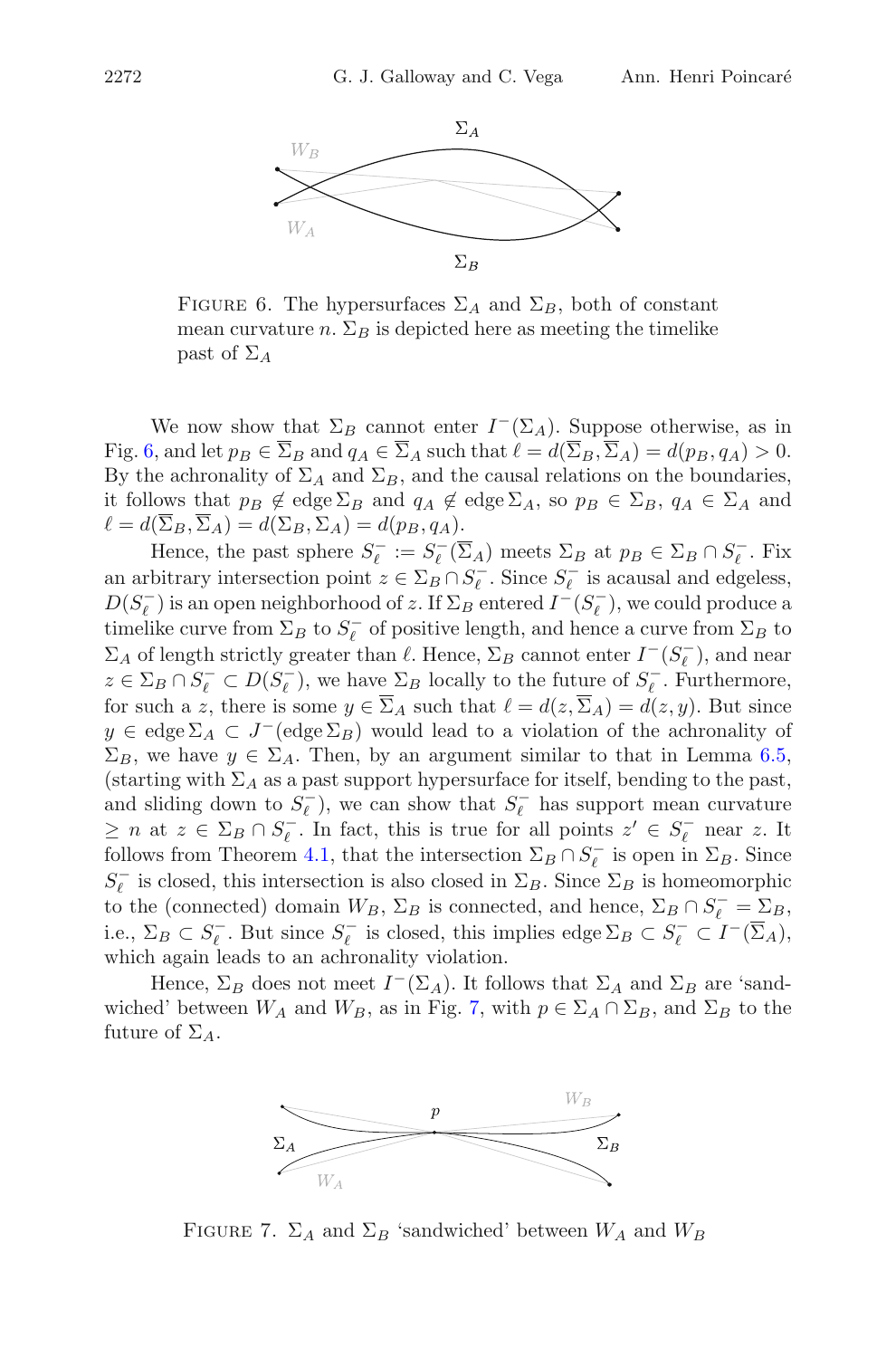

<span id="page-31-0"></span>FIGURE 6. The hypersurfaces  $\Sigma_A$  and  $\Sigma_B$ , both of constant mean curvature n.  $\Sigma_B$  is depicted here as meeting the timelike past of  $\Sigma_A$ 

We now show that  $\Sigma_B$  cannot enter  $I^-(\Sigma_A)$ . Suppose otherwise, as in Fig. [6,](#page-31-0) and let  $p_B \in \Sigma_B$  and  $q_A \in \Sigma_A$  such that  $\ell = d(\Sigma_B, \Sigma_A) = d(p_B, q_A) > 0$ . By the achronality of  $\Sigma_A$  and  $\Sigma_B$ , and the causal relations on the boundaries, it follows that  $p_B \notin \text{edge } \Sigma_B$  and  $q_A \notin \text{edge } \Sigma_A$ , so  $p_B \in \Sigma_B$ ,  $q_A \in \Sigma_A$  and  $\ell = d(\Sigma_B, \Sigma_A) = d(\Sigma_B, \Sigma_A) = d(p_B, q_A).$ 

Hence, the past sphere  $S_{\ell}^- := S_{\ell}^- (\Sigma_A)$  meets  $\Sigma_B$  at  $p_B \in \Sigma_B \cap S_{\ell}^-$ . Fix an arbitrary intersection point  $z \in \Sigma_B \cap S_\ell^-$ . Since  $S_\ell^-$  is acausal and edgeless,  $D(S_{\ell}^-)$  is an open neighborhood of  $z$ . If  $\Sigma_B$  entered  $I^-(S_{\ell}^-)$ , we could produce a timelike curve from  $\Sigma_B$  to  $S_{\ell}^-$  of positive length, and hence a curve from  $\Sigma_B$  to  $\Sigma_A$  of length strictly greater than  $\ell$ . Hence,  $\Sigma_B$  cannot enter  $I^-(S_\ell^-)$ , and near  $z \in \Sigma_B \cap S^-_{\ell} \subset D(S^-_{\ell}),$  we have  $\Sigma_B$  locally to the future of  $S^-_{\ell}$ . Furthermore, for such a z, there is some  $y \in \Sigma_A$  such that  $\ell = d(z, \Sigma_A) = d(z, y)$ . But since  $y \in \text{edge } \Sigma_A \subset J^-(\text{edge } \Sigma_B)$  would lead to a violation of the achronality of  $\Sigma_B$ , we have  $y \in \Sigma_A$ . Then, by an argument similar to that in Lemma [6.5,](#page-25-1) (starting with  $\Sigma_A$  as a past support hypersurface for itself, bending to the past, and sliding down to  $S_{\ell}^-$ ), we can show that  $S_{\ell}^-$  has support mean curvature  $\geq n$  at  $z \in \Sigma_B \cap S_{\ell}^-$ . In fact, this is true for all points  $z' \in S_{\ell}^-$  near z. It follows from Theorem [4.1,](#page-16-4) that the intersection  $\Sigma_B \cap S_{\ell}^-$  is open in  $\Sigma_B$ . Since  $S_{\ell}^-$  is closed, this intersection is also closed in  $\Sigma_B$ . Since  $\Sigma_B$  is homeomorphic to the (connected) domain  $W_B$ ,  $\Sigma_B$  is connected, and hence,  $\Sigma_B \cap S_{\ell}^- = \Sigma_B$ , i.e.,  $\Sigma_B \subset S_\ell^-$ . But since  $S_\ell^-$  is closed, this implies edge  $\Sigma_B \subset S_\ell^- \subset I^-(\Sigma_A)$ , which again leads to an achronality violation.

Hence,  $\Sigma_B$  does not meet  $I^-(\Sigma_A)$ . It follows that  $\Sigma_A$  and  $\Sigma_B$  are 'sandwiched' between  $W_A$  and  $W_B$ , as in Fig. [7,](#page-31-1) with  $p \in \Sigma_A \cap \Sigma_B$ , and  $\Sigma_B$  to the future of  $\Sigma_A$ .



<span id="page-31-1"></span>FIGURE 7.  $\Sigma_A$  and  $\Sigma_B$  'sandwiched' between  $W_A$  and  $W_B$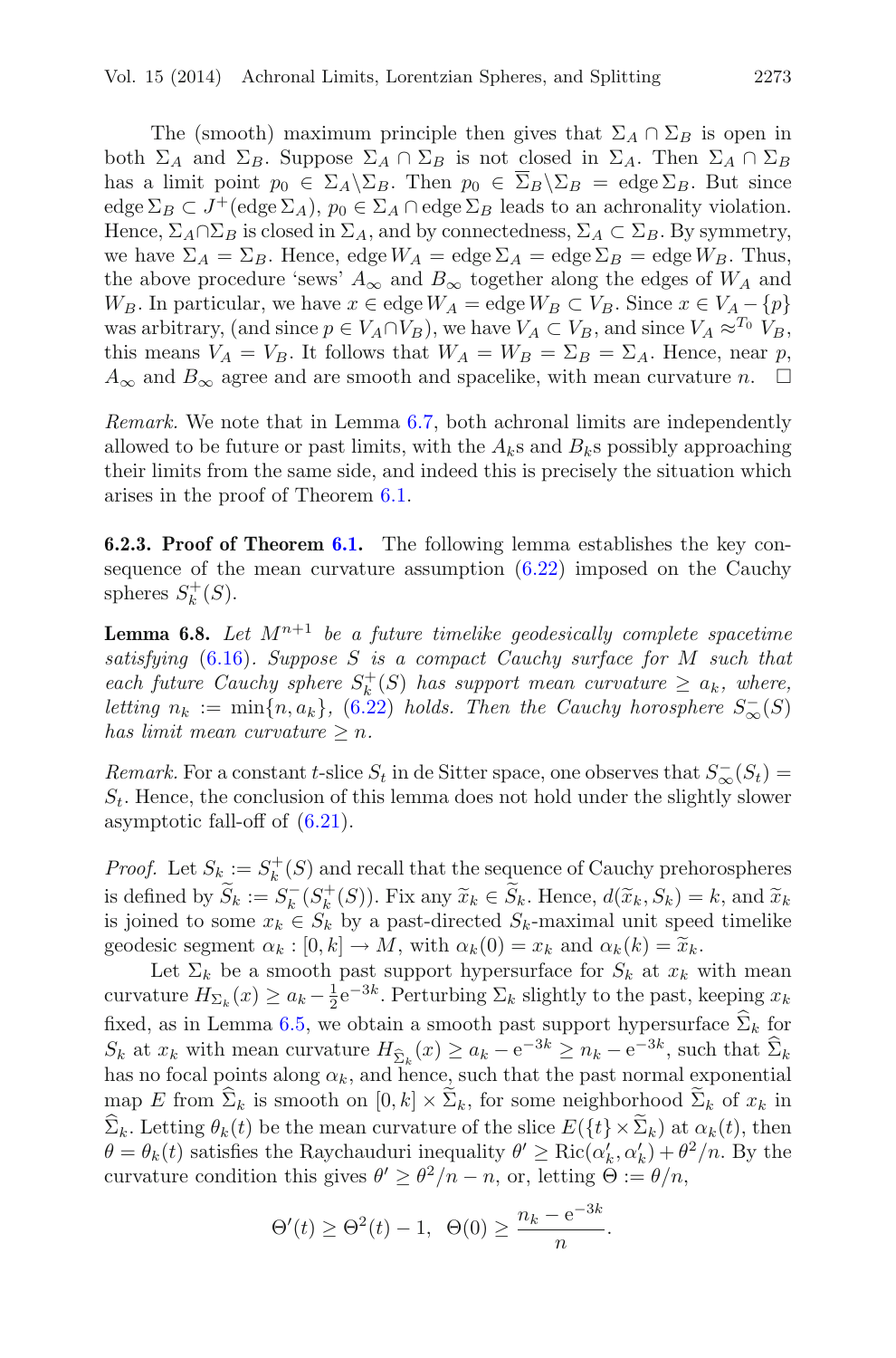The (smooth) maximum principle then gives that  $\Sigma_A \cap \Sigma_B$  is open in both  $\Sigma_A$  and  $\Sigma_B$ . Suppose  $\Sigma_A \cap \Sigma_B$  is not closed in  $\Sigma_A$ . Then  $\Sigma_A \cap \Sigma_B$ has a limit point  $p_0 \in \Sigma_A \backslash \Sigma_B$ . Then  $p_0 \in \overline{\Sigma}_B \backslash \Sigma_B = \text{edge } \Sigma_B$ . But since edge  $\Sigma_B \subset J^+(\text{edge } \Sigma_A)$ ,  $p_0 \in \Sigma_A \cap \text{edge } \Sigma_B$  leads to an achronality violation. Hence,  $\Sigma_A \cap \Sigma_B$  is closed in  $\Sigma_A$ , and by connectedness,  $\Sigma_A \subset \Sigma_B$ . By symmetry, we have  $\Sigma_A = \Sigma_B$ . Hence, edge  $W_A =$  edge  $\Sigma_A =$  edge  $\Sigma_B =$  edge  $W_B$ . Thus, the above procedure 'sews'  $A_{\infty}$  and  $B_{\infty}$  together along the edges of  $W_A$  and  $W_B$ . In particular, we have  $x \in \text{edge } W_A = \text{edge } W_B \subset V_B$ . Since  $x \in V_A - \{p\}$ was arbitrary, (and since  $p \in V_A \cap V_B$ ), we have  $V_A \subset V_B$ , and since  $V_A \approx^{T_0} V_B$ , this means  $V_A = V_B$ . It follows that  $W_A = W_B = \Sigma_B = \Sigma_A$ . Hence, near p,  $A_{\infty}$  and  $B_{\infty}$  agree and are smooth and spacelike, with mean curvature n.  $\Box$ 

*Remark.* We note that in Lemma [6.7,](#page-29-0) both achronal limits are independently allowed to be future or past limits, with the  $A_k$ s and  $B_k$ s possibly approaching their limits from the same side, and indeed this is precisely the situation which arises in the proof of Theorem [6.1.](#page-23-0)

<span id="page-32-0"></span>**6.2.3. Proof of Theorem [6.1.](#page-23-0)** The following lemma establishes the key consequence of the mean curvature assumption  $(6.22)$  imposed on the Cauchy spheres  $S_k^+(S)$ .

<span id="page-32-1"></span>**Lemma 6.8.** Let  $M^{n+1}$  be a future timelike geodesically complete spacetime *satisfying* [\(6.16\)](#page-22-4)*. Suppose* S *is a compact Cauchy surface for* M *such that each future Cauchy sphere*  $S_k^+(S)$  *has support mean curvature*  $\geq a_k$ *, where, letting*  $n_k := \min\{n, a_k\}$ , [\(6.22\)](#page-23-1) *holds. Then the Cauchy horosphere*  $S_{\infty}^-(S)$ *has limit mean curvature*  $\geq n$ *.* 

*Remark.* For a constant t-slice  $S_t$  in de Sitter space, one observes that  $S_{\infty}^-(S_t) =$  $S_t$ . Hence, the conclusion of this lemma does not hold under the slightly slower asymptotic fall-off of [\(6.21\)](#page-23-2).

*Proof.* Let  $S_k := S_k^+(S)$  and recall that the sequence of Cauchy prehorospheres is defined by  $\widetilde{S}_k := S_k^-(S_k^+(S))$ . Fix any  $\widetilde{x}_k \in \widetilde{S}_k$ . Hence,  $d(\widetilde{x}_k, S_k) = k$ , and  $\widetilde{x}_k$ <br>is joined to some  $x_k \in S_k$ , by a past-directed  $S_k$ -maximal unit speed timelike is joined to some  $x_k \in S_k$  by a past-directed  $S_k$ -maximal unit speed timelike geodesic segment  $\alpha_k : [0, k] \to M$ , with  $\alpha_k(0) = x_k$  and  $\alpha_k(k) = \tilde{x}_k$ .

Let  $\Sigma_k$  be a smooth past support hypersurface for  $S_k$  at  $x_k$  with mean curvature  $H_{\Sigma_k}(x) \ge a_k - \frac{1}{2} e^{-3k}$ . Perturbing  $\Sigma_k$  slightly to the past, keeping  $x_k$ fixed, as in Lemma [6.5,](#page-25-1) we obtain a smooth past support hypersurface  $\hat{\Sigma}_k$  for  $S_k$  at  $x_k$  with mean curvature  $H_{\widehat{\Sigma}_k}(x) \ge a_k - e^{-3k} \ge n_k - e^{-3k}$ , such that  $\widehat{\Sigma}_k$ has no focal points along  $\alpha_k$ , and hence, such that the past normal exponential map E from  $\Sigma_k$  is smooth on  $[0, k] \times \Sigma_k$ , for some neighborhood  $\Sigma_k$  of  $x_k$  in  $\widehat{\Sigma}_k$ . Letting  $\theta_k(t)$  be the mean curvature of the slice  $E(\lbrace t \rbrace \times \widetilde{\Sigma}_k)$  at  $\alpha_k(t)$ , then  $\theta = \theta_k(t)$  satisfies the Raychauduri inequality  $\theta' \ge \text{Ric}(\alpha'_k, \alpha'_k) + \theta^2/n$ . By the curvature condition this gives  $\theta' \geq \theta^2/n - n$ , or, letting  $\Theta := \theta/n$ ,

$$
\Theta'(t) \ge \Theta^2(t) - 1, \ \Theta(0) \ge \frac{n_k - e^{-3k}}{n}.
$$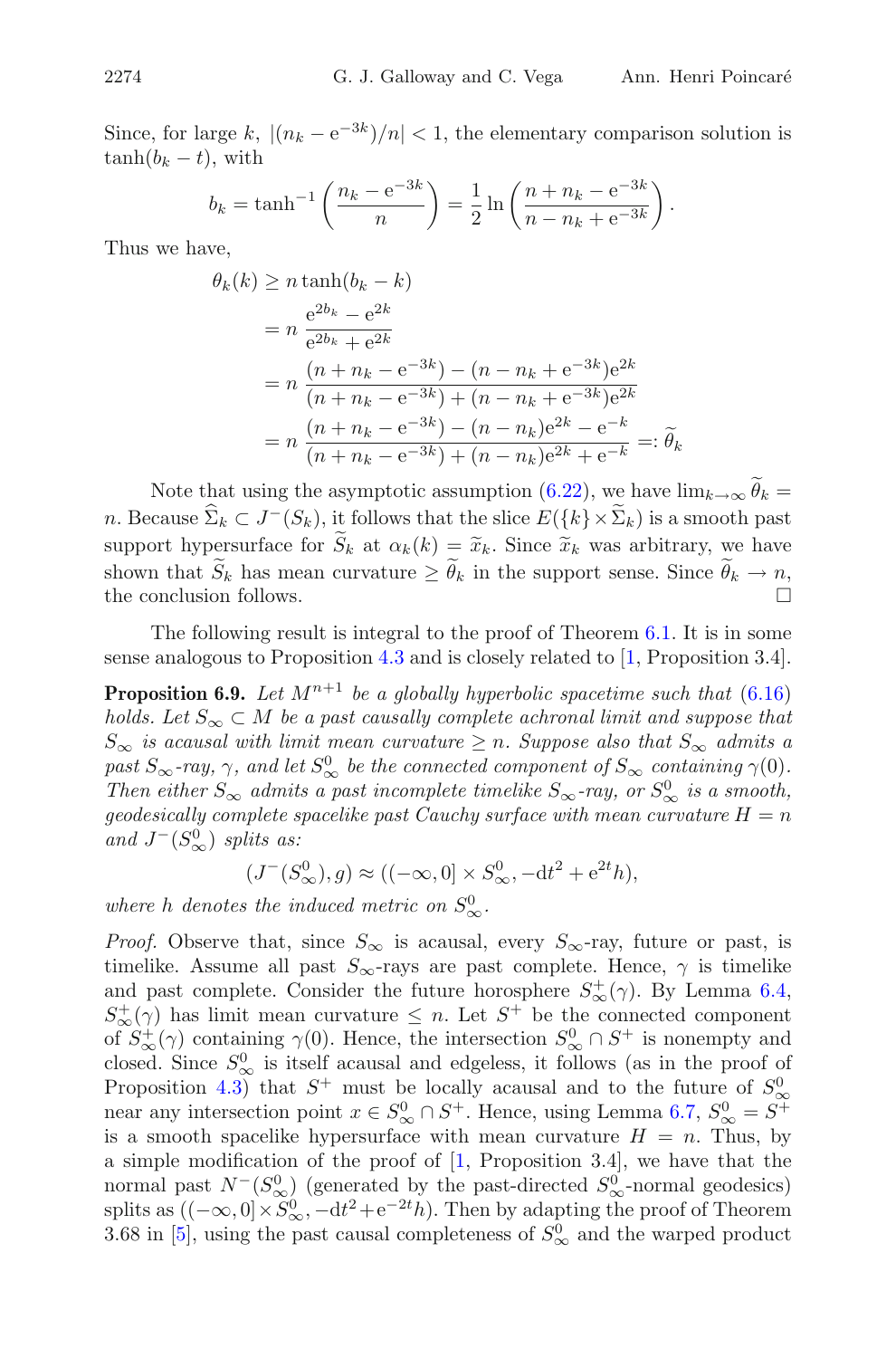Since, for large k,  $|(n_k - e^{-3k})/n| < 1$ , the elementary comparison solution is  $tanh(b_k - t)$ , with

$$
b_k = \tanh^{-1}\left(\frac{n_k - e^{-3k}}{n}\right) = \frac{1}{2}\ln\left(\frac{n + n_k - e^{-3k}}{n - n_k + e^{-3k}}\right).
$$

Thus we have,

$$
\theta_k(k) \ge n \tanh(b_k - k)
$$
  
=  $n \frac{e^{2b_k} - e^{2k}}{e^{2b_k} + e^{2k}}$   
=  $n \frac{(n + n_k - e^{-3k}) - (n - n_k + e^{-3k})e^{2k}}{(n + n_k - e^{-3k}) + (n - n_k + e^{-3k})e^{2k}}$   
=  $n \frac{(n + n_k - e^{-3k}) - (n - n_k)e^{2k} - e^{-k}}{(n + n_k - e^{-3k}) + (n - n_k)e^{2k} + e^{-k}} =: \widetilde{\theta}_k$ 

Note that using the asymptotic assumption  $(6.22)$ , we have  $\lim_{k\to\infty} \theta_k =$ n. Because  $\widehat{\Sigma}_k \subset J^-(S_k)$ , it follows that the slice  $E({k} \times \widetilde{\Sigma}_k)$  is a smooth past support hypersurface for  $\widetilde{S}_k$  at  $\alpha_k(k) = \widetilde{x}_k$ . Since  $\widetilde{x}_k$  was arbitrary, we have shown that  $S_k$  has mean curvature  $\geq \theta_k$  in the support sense. Since  $\theta_k \to n$ , the conclusion follows.

<span id="page-33-0"></span>The following result is integral to the proof of Theorem  $6.1$ . It is in some sense analogous to Proposition [4.3](#page-17-2) and is closely related to [\[1,](#page-36-0) Proposition 3.4].

**Proposition 6.9.** Let  $M^{n+1}$  be a globally hyperbolic spacetime such that  $(6.16)$ *holds. Let*  $S_{\infty} \subset M$  *be a past causally complete achronal limit and suppose that*  $S_{\infty}$  *is acausal with limit mean curvature*  $\geq n$ *. Suppose also that*  $S_{\infty}$  *admits a*  $\frac{past S_{\infty} - ray}{\gamma}$ , and let  $S_{\infty}^0$  be the connected component of  $S_{\infty}$  containing  $\gamma(0)$ . *Then either*  $S_{\infty}$  *admits a past incomplete timelike*  $S_{\infty}$ *-ray, or*  $S_{\infty}^{0}$  *is a smooth, geodesically complete spacelike past Cauchy surface with mean curvature*  $H = n$ *and*  $J^-(S^0_\infty)$  *splits as:* 

$$
(J^-(S^0_{\infty}), g) \approx ((-\infty, 0] \times S^0_{\infty}, -dt^2 + e^{2t}h),
$$

where *h* denotes the induced metric on  $S^0_{\infty}$ .

*Proof.* Observe that, since  $S_{\infty}$  is acausal, every  $S_{\infty}$ -ray, future or past, is timelike. Assume all past  $S_{\infty}$ -rays are past complete. Hence,  $\gamma$  is timelike and past complete. Consider the future horosphere  $S^+_{\infty}(\gamma)$ . By Lemma [6.4,](#page-24-2)  $S^+_{\infty}(\gamma)$  has limit mean curvature  $\leq n$ . Let  $S^+$  be the connected component of  $S^+_{\infty}(\gamma)$  containing  $\gamma(0)$ . Hence, the intersection  $S^0_{\infty} \cap S^+$  is nonempty and closed. Since  $S^0_{\infty}$  is itself acausal and edgeless, it follows (as in the proof of Proposition [4.3\)](#page-17-2) that  $S^+$  must be locally acausal and to the future of  $S^0_{\infty}$ near any intersection point  $x \in S^0_\infty \cap S^+$ . Hence, using Lemma [6.7,](#page-29-0)  $S^0_\infty = S^+$ is a smooth spacelike hypersurface with mean curvature  $H = n$ . Thus, by a simple modification of the proof of [\[1](#page-36-0), Proposition 3.4], we have that the normal past  $N^{-}(S^{0}_{\infty})$  (generated by the past-directed  $S^{0}_{\infty}$ -normal geodesics) splits as  $((-\infty, 0] \times S^0_{\infty}, -dt^2 + e^{-2t}h)$ . Then by adapting the proof of Theorem 3.68 in [\[5](#page-36-4)], using the past causal completeness of  $S^0_{\infty}$  and the warped product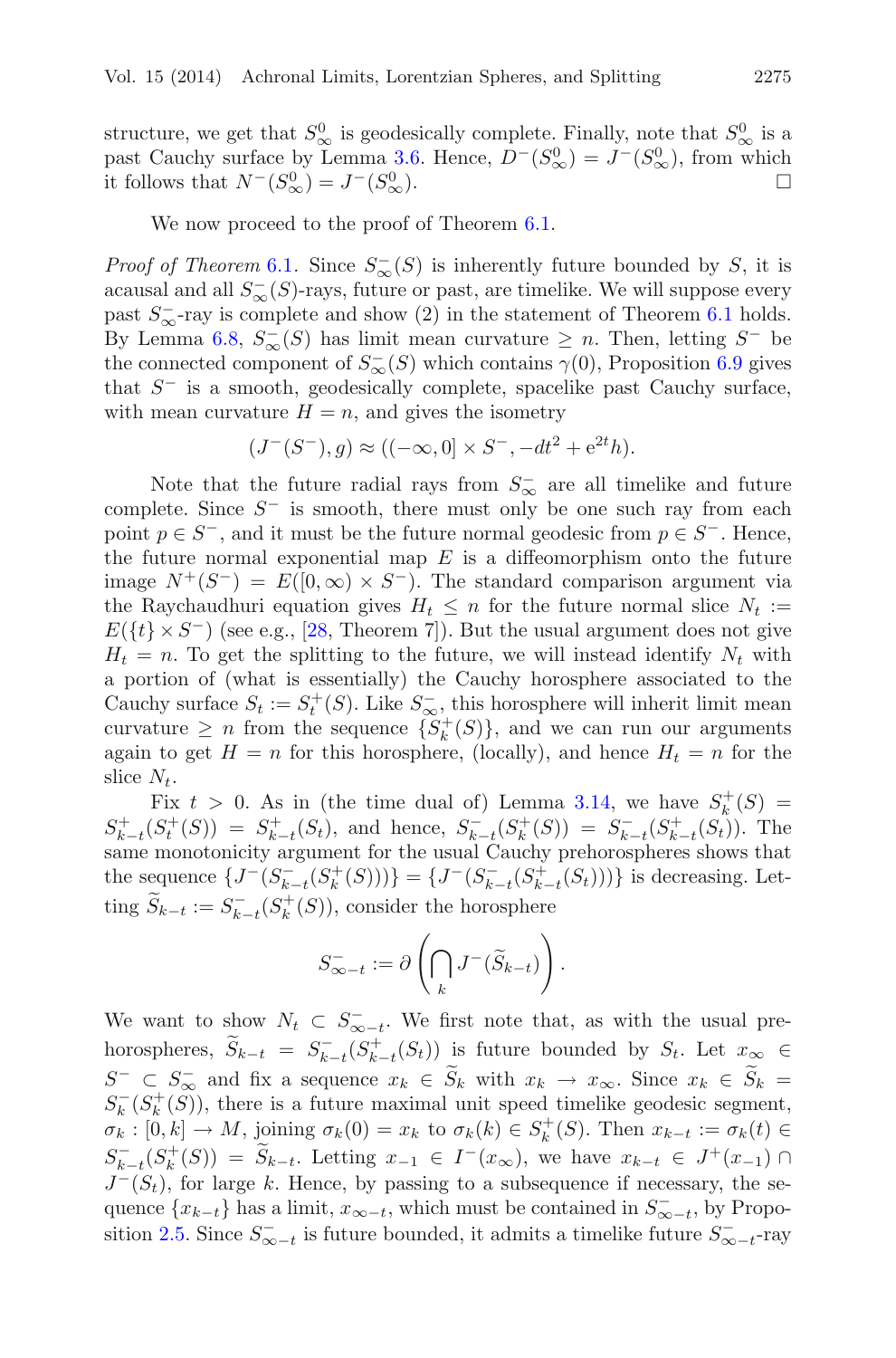structure, we get that  $S^0_{\infty}$  is geodesically complete. Finally, note that  $S^0_{\infty}$  is a past Cauchy surface by Lemma [3.6.](#page-7-1) Hence,  $D^{-}(S_{\infty}^{0}) = J^{-}(S_{\infty}^{0})$ , from which it follows that  $N^-(S^0_\infty) = J^-(S^0_\infty)$  $\overline{\infty}$ ).

We now proceed to the proof of Theorem  $6.1$ .

*Proof of Theorem* [6.1](#page-23-0). Since  $S_{\infty}^{-}(S)$  is inherently future bounded by S, it is acausal and all  $S_{\infty}^{-}(S)$ -rays, future or past, are timelike. We will suppose every past  $S_{\infty}^-$ -ray is complete and show (2) in the statement of Theorem [6.1](#page-23-0) holds. By Lemma [6.8,](#page-32-1)  $S_{\infty}(S)$  has limit mean curvature  $\geq n$ . Then, letting  $S^{-}$  be the connected component of  $S_{\infty}^{-}(S)$  which contains  $\gamma(0)$ , Proposition [6.9](#page-33-0) gives that  $S^-$  is a smooth, geodesically complete, spacelike past Cauchy surface, with mean curvature  $H = n$ , and gives the isometry

$$
(J^-(S^-), g) \approx ((-\infty, 0] \times S^-, -dt^2 + e^{2t}h).
$$

Note that the future radial rays from  $S_{\infty}^-$  are all timelike and future complete. Since  $S^-$  is smooth, there must only be one such ray from each point  $p \in S^-$ , and it must be the future normal geodesic from  $p \in S^-$ . Hence, the future normal exponential map  $E$  is a diffeomorphism onto the future image  $N^+(S^-) = E([0,\infty) \times S^-)$ . The standard comparison argument via the Raychaudhuri equation gives  $H_t \leq n$  for the future normal slice  $N_t :=$  $E({t} \times S^-)$  (see e.g., [\[28,](#page-38-1) Theorem 7]). But the usual argument does not give  $H_t = n$ . To get the splitting to the future, we will instead identify  $N_t$  with a portion of (what is essentially) the Cauchy horosphere associated to the Cauchy surface  $S_t := S_t^+(S)$ . Like  $S_{\infty}^-$ , this horosphere will inherit limit mean curvature  $\geq n$  from the sequence  $\{S_k^+(S)\}\$ , and we can run our arguments again to get  $H = n$  for this horosphere, (locally), and hence  $H_t = n$  for the slice  $N_t$ .

Fix  $t > 0$ . As in (the time dual of) Lemma [3.14,](#page-9-3) we have  $S_k^+(S)$  $S_{k-t}^+(S_t^+(S)) = S_{k-t}^+(S_t)$ , and hence,  $S_{k-t}^-(S_k^+(S)) = S_{k-t}^-(S_{k-t}^+(S_t))$ . The same monotonicity argument for the usual Cauchy prehorospheres shows that the sequence  $\{J^-(S_{k-t}^-(S_k^+(S)))\} = \{J^-(S_{k-t}^-(S_{k-t}^+(S_t)))\}$  is decreasing. Letting  $\widetilde{S}_{k-t} := S_{k-t}^{-}(S_k^+(S))$ , consider the horosphere

$$
S_{\infty-t}^- := \partial \left( \bigcap_k J^-(\widetilde{S}_{k-t}) \right).
$$

We want to show  $N_t \subset S_{\infty-t}$ . We first note that, as with the usual prehorospheres,  $\widetilde{S}_{k-t} = S_{k-t}^{-}(S_{k-t}^{+}(S_t))$  is future bounded by  $S_t$ . Let  $x_{\infty} \in$  $S^- \subset S^-_{\infty}$  and fix a sequence  $x_k \in S_k$  with  $x_k \to x_{\infty}$ . Since  $x_k \in S_k =$  $S_k^-(S_k^+(S))$ , there is a future maximal unit speed timelike geodesic segment,  $\sigma_k : [0, k] \to M$ , joining  $\sigma_k(0) = x_k$  to  $\sigma_k(k) \in S_k^+(S)$ . Then  $x_{k-t} := \sigma_k(t) \in$  $S_{k-t}^{-}(S_k^+(S)) = \widetilde{S}_{k-t}$ . Letting  $x_{-1} \in I^-(x_{\infty})$ , we have  $x_{k-t} \in J^+(x_{-1}) \cap I$  $J^-(S_t)$ , for large k. Hence, by passing to a subsequence if necessary, the sequence  $\{x_{k-t}\}\$  has a limit,  $x_{\infty-t}$ , which must be contained in  $S_{\infty-t}^{\sim}$ , by Propo-sition [2.5.](#page-4-0) Since  $S_{\infty-t}^-$  is future bounded, it admits a timelike future  $S_{\infty-t}^-$ -ray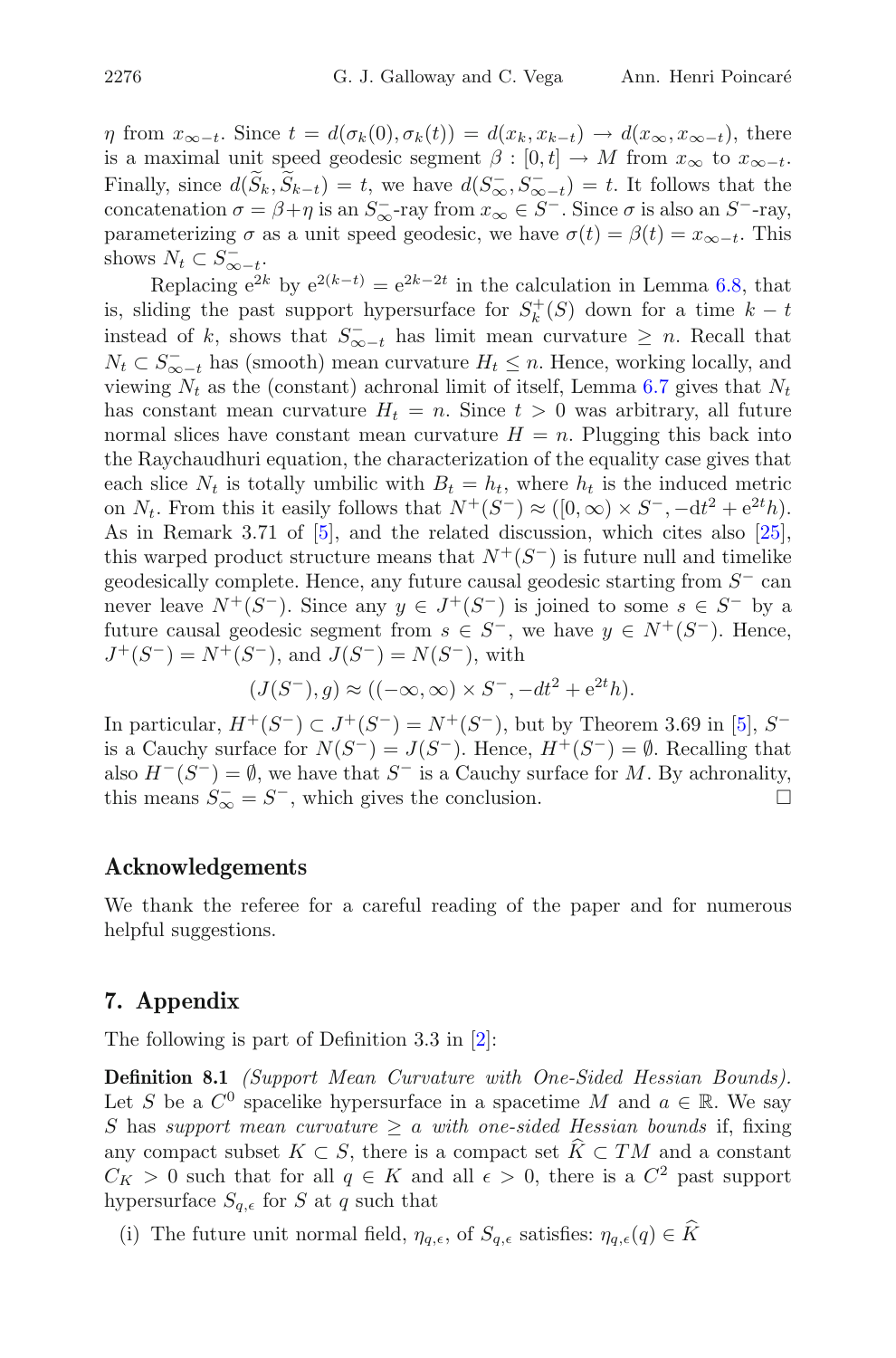$\eta$  from  $x_{\infty-t}$ . Since  $t = d(\sigma_k(0), \sigma_k(t)) = d(x_k, x_{k-t}) \to d(x_{\infty}, x_{\infty-t})$ , there is a maximal unit speed geodesic segment  $\beta : [0, t] \to M$  from  $x_{\infty}$  to  $x_{\infty-t}$ . Finally, since  $d(S_k, S_{k-t}) = t$ , we have  $d(S_{\infty}, S_{\infty-t}^+) = t$ . It follows that the concatenation  $\sigma = \beta + \eta$  is an  $S_{\infty}^-$ -ray from  $x_{\infty} \in S^-$ . Since  $\sigma$  is also an  $S^-$ -ray, parameterizing  $\sigma$  as a unit speed geodesic, we have  $\sigma(t) = \beta(t) = x_{\infty-t}$ . This shows  $N_t \subset S_{\infty-t}^-$ .

Replacing  $e^{2k}$  by  $e^{2(k-t)} = e^{2k-2t}$  in the calculation in Lemma [6.8,](#page-32-1) that is, sliding the past support hypersurface for  $S_k^+(S)$  down for a time  $k-t$ instead of k, shows that  $S_{\infty-t}^-$  has limit mean curvature  $\geq n$ . Recall that  $N_t \subset S_{\infty-t}^-$  has (smooth) mean curvature  $H_t \leq n$ . Hence, working locally, and viewing  $N_t$  as the (constant) achronal limit of itself, Lemma [6.7](#page-29-0) gives that  $N_t$ has constant mean curvature  $H_t = n$ . Since  $t > 0$  was arbitrary, all future normal slices have constant mean curvature  $H = n$ . Plugging this back into the Raychaudhuri equation, the characterization of the equality case gives that each slice  $N_t$  is totally umbilic with  $B_t = h_t$ , where  $h_t$  is the induced metric on  $N_t$ . From this it easily follows that  $N^+(S^-) \approx ([0,\infty) \times S^-, -dt^2 + e^{2t}h)$ . As in Remark 3.71 of [\[5](#page-36-4)], and the related discussion, which cites also [\[25\]](#page-37-18), this warped product structure means that  $N^{+}(S^{-})$  is future null and timelike geodesically complete. Hence, any future causal geodesic starting from  $S^-$  can never leave  $N^+(S^-)$ . Since any  $y \in J^+(S^-)$  is joined to some  $s \in S^-$  by a future causal geodesic segment from  $s \in S^-$ , we have  $y \in N^+(S^-)$ . Hence,  $J^+(S^-) = N^+(S^-)$ , and  $J(S^-) = N(S^-)$ , with

$$
(J(S^-), g) \approx ((-\infty, \infty) \times S^-, -dt^2 + e^{2t}h).
$$

In particular,  $H^+(S^-)$  ⊂  $J^+(S^-) = N^+(S^-)$ , but by Theorem 3.69 in [\[5](#page-36-4)],  $S^$ is a Cauchy surface for  $N(S^-) = J(S^-)$ . Hence,  $H^+(S^-) = \emptyset$ . Recalling that also  $H^-(S^-) = \emptyset$ , we have that  $S^-$  is a Cauchy surface for M. By achronality, this means  $S_{\infty}^- = S^-$ , which gives the conclusion.  $\Box$ 

# <span id="page-35-0"></span>**Acknowledgements**

We thank the referee for a careful reading of the paper and for numerous helpful suggestions.

# <span id="page-35-1"></span>**7. Appendix**

The following is part of Definition 3.3 in [\[2](#page-36-6)]:

**Definition 8.1** *(Support Mean Curvature with One-Sided Hessian Bounds).* Let S be a  $C^0$  spacelike hypersurface in a spacetime M and  $a \in \mathbb{R}$ . We say S has support mean curvature  $\ge a$  with one-sided Hessian bounds if, fixing any compact subset  $K \subset S$ , there is a compact set  $\overline{K} \subset TM$  and a constant  $C_K > 0$  such that for all  $q \in K$  and all  $\epsilon > 0$ , there is a  $C^2$  past support hypersurface  $S_{q,\epsilon}$  for S at q such that

(i) The future unit normal field,  $\eta_{q,\epsilon}$ , of  $S_{q,\epsilon}$  satisfies:  $\eta_{q,\epsilon}(q) \in \widehat{K}$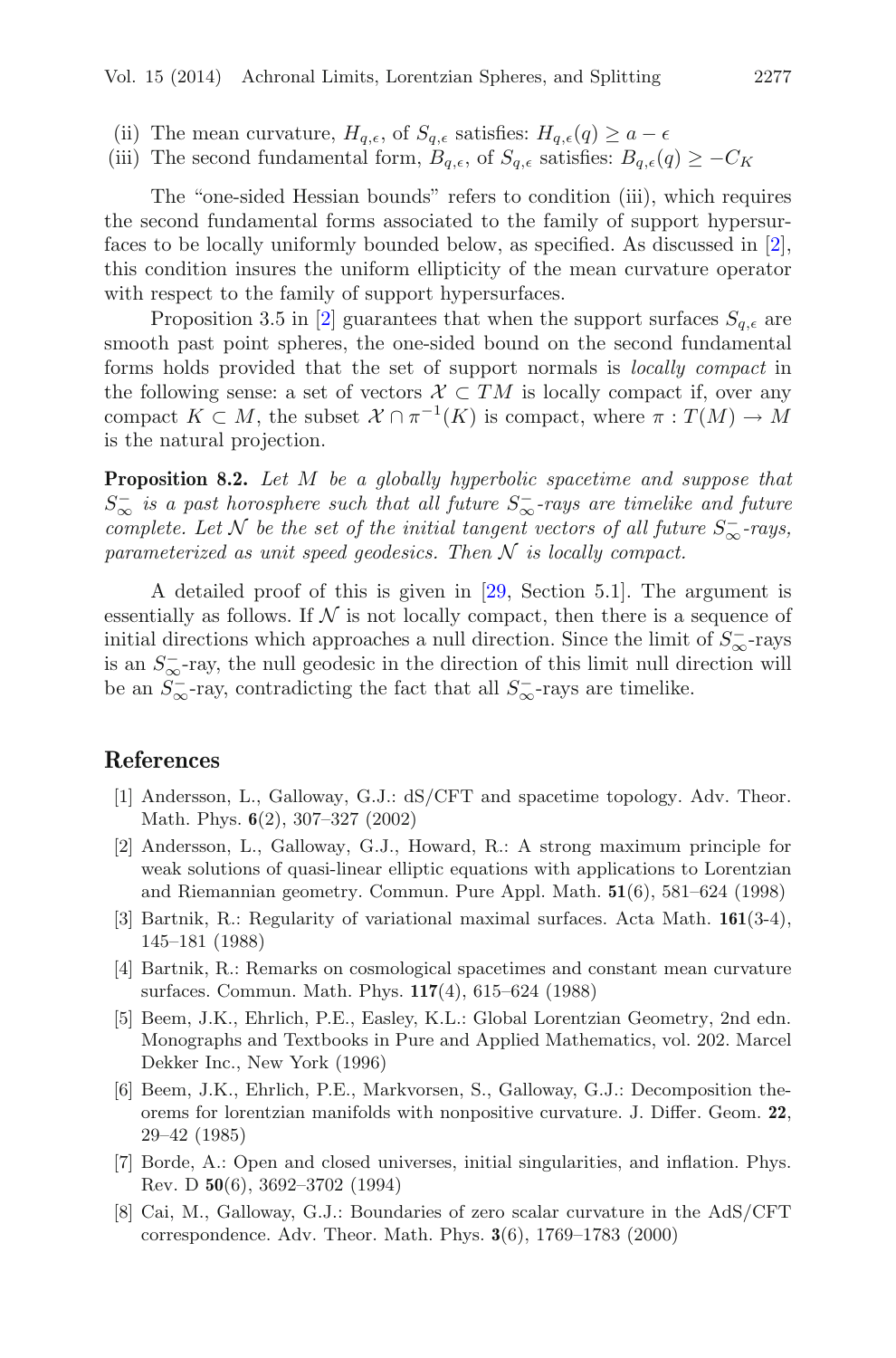- (ii) The mean curvature,  $H_{q,\epsilon}$ , of  $S_{q,\epsilon}$  satisfies:  $H_{q,\epsilon}(q) \geq a \epsilon$
- (iii) The second fundamental form,  $B_{q,\epsilon}$ , of  $S_{q,\epsilon}$  satisfies:  $B_{q,\epsilon}(q) \geq -C_K$

The "one-sided Hessian bounds" refers to condition (iii), which requires the second fundamental forms associated to the family of support hypersurfaces to be locally uniformly bounded below, as specified. As discussed in [\[2\]](#page-36-6), this condition insures the uniform ellipticity of the mean curvature operator with respect to the family of support hypersurfaces.

Proposition 3.5 in [\[2](#page-36-6)] guarantees that when the support surfaces  $S_{q,\epsilon}$  are smooth past point spheres, the one-sided bound on the second fundamental forms holds provided that the set of support normals is *locally compact* in the following sense: a set of vectors  $\mathcal{X} \subset TM$  is locally compact if, over any compact  $K \subset M$ , the subset  $\mathcal{X} \cap \pi^{-1}(K)$  is compact, where  $\pi : T(M) \to M$ is the natural projection.

**Proposition 8.2.** *Let* M *be a globally hyperbolic spacetime and suppose that* S<sup>−</sup> <sup>∞</sup> *is a past horosphere such that all future* S<sup>−</sup> <sup>∞</sup>*-rays are timelike and future complete. Let*  $N$  *be the set of the initial tangent vectors of all future*  $S_{\infty}^-$ -rays, *parameterized as unit speed geodesics. Then* N *is locally compact.*

A detailed proof of this is given in [\[29,](#page-38-2) Section 5.1]. The argument is essentially as follows. If  $N$  is not locally compact, then there is a sequence of initial directions which approaches a null direction. Since the limit of  $S_{\infty}^-$ -rays is an  $S_{\infty}^-$ -ray, the null geodesic in the direction of this limit null direction will be an  $S_{\infty}^-$ -ray, contradicting the fact that all  $S_{\infty}^-$ -rays are timelike.

# <span id="page-36-2"></span><span id="page-36-0"></span>**References**

- [1] Andersson, L., Galloway, G.J.: dS/CFT and spacetime topology. Adv. Theor. Math. Phys. **6**(2), 307–327 (2002)
- <span id="page-36-6"></span>[2] Andersson, L., Galloway, G.J., Howard, R.: A strong maximum principle for weak solutions of quasi-linear elliptic equations with applications to Lorentzian and Riemannian geometry. Commun. Pure Appl. Math. **51**(6), 581–624 (1998)
- <span id="page-36-8"></span>[3] Bartnik, R.: Regularity of variational maximal surfaces. Acta Math. **161**(3-4), 145–181 (1988)
- <span id="page-36-3"></span>[4] Bartnik, R.: Remarks on cosmological spacetimes and constant mean curvature surfaces. Commun. Math. Phys. **117**(4), 615–624 (1988)
- <span id="page-36-4"></span>[5] Beem, J.K., Ehrlich, P.E., Easley, K.L.: Global Lorentzian Geometry, 2nd edn. Monographs and Textbooks in Pure and Applied Mathematics, vol. 202. Marcel Dekker Inc., New York (1996)
- <span id="page-36-5"></span>[6] Beem, J.K., Ehrlich, P.E., Markvorsen, S., Galloway, G.J.: Decomposition theorems for lorentzian manifolds with nonpositive curvature. J. Differ. Geom. **22**, 29–42 (1985)
- <span id="page-36-7"></span>[7] Borde, A.: Open and closed universes, initial singularities, and inflation. Phys. Rev. D **50**(6), 3692–3702 (1994)
- <span id="page-36-1"></span>[8] Cai, M., Galloway, G.J.: Boundaries of zero scalar curvature in the AdS/CFT correspondence. Adv. Theor. Math. Phys. **3**(6), 1769–1783 (2000)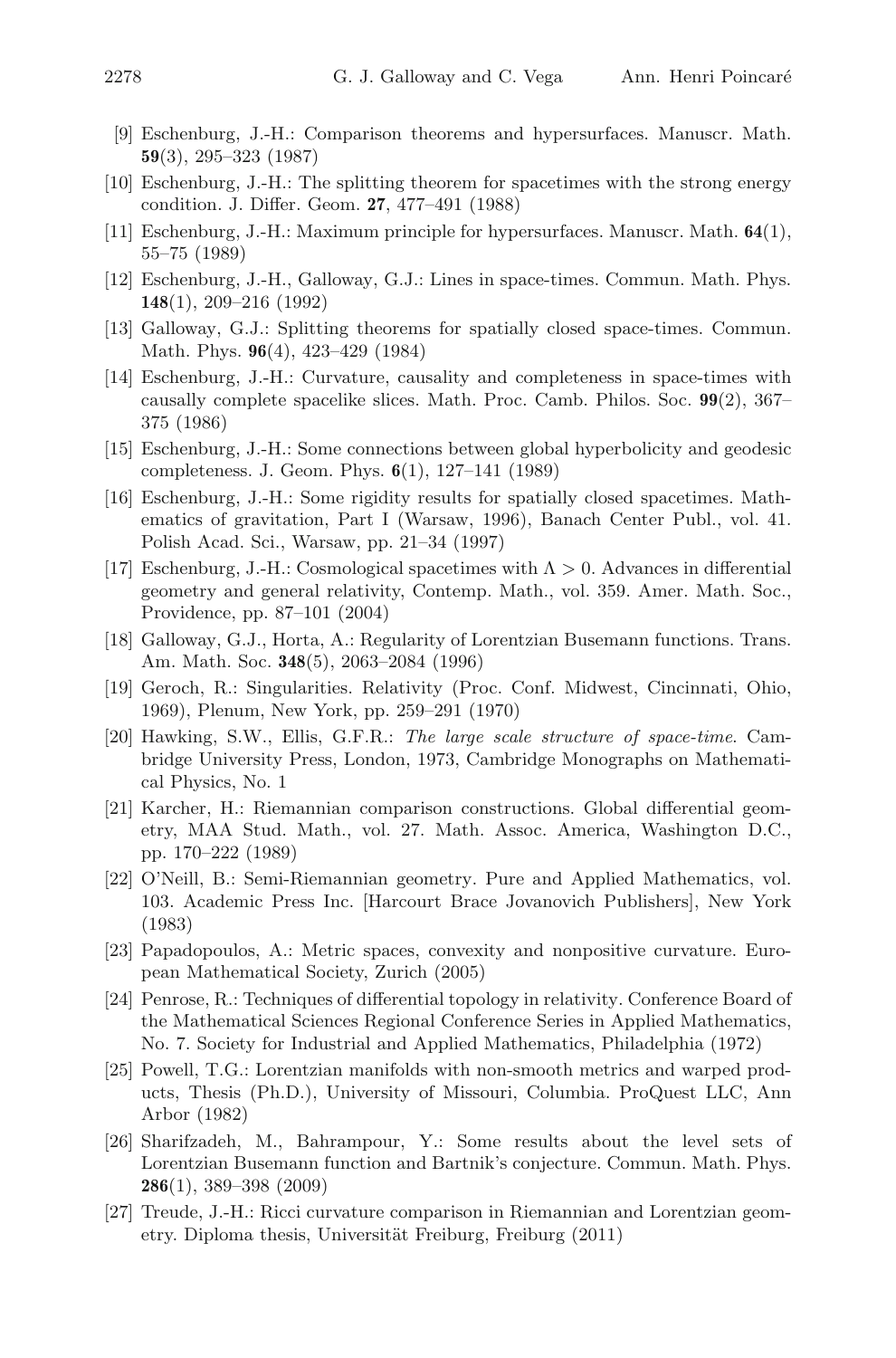- <span id="page-37-14"></span>[9] Eschenburg, J.-H.: Comparison theorems and hypersurfaces. Manuscr. Math. **59**(3), 295–323 (1987)
- <span id="page-37-11"></span>[10] Eschenburg, J.-H.: The splitting theorem for spacetimes with the strong energy condition. J. Differ. Geom. **27**, 477–491 (1988)
- <span id="page-37-13"></span>[11] Eschenburg, J.-H.: Maximum principle for hypersurfaces. Manuscr. Math. **64**(1), 55–75 (1989)
- <span id="page-37-4"></span>[12] Eschenburg, J.-H., Galloway, G.J.: Lines in space-times. Commun. Math. Phys. **148**(1), 209–216 (1992)
- <span id="page-37-5"></span>[13] Galloway, G.J.: Splitting theorems for spatially closed space-times. Commun. Math. Phys. **96**(4), 423–429 (1984)
- <span id="page-37-8"></span>[14] Eschenburg, J.-H.: Curvature, causality and completeness in space-times with causally complete spacelike slices. Math. Proc. Camb. Philos. Soc. **99**(2), 367– 375 (1986)
- <span id="page-37-15"></span>[15] Eschenburg, J.-H.: Some connections between global hyperbolicity and geodesic completeness. J. Geom. Phys. **6**(1), 127–141 (1989)
- <span id="page-37-10"></span>[16] Eschenburg, J.-H.: Some rigidity results for spatially closed spacetimes. Mathematics of gravitation, Part I (Warsaw, 1996), Banach Center Publ., vol. 41. Polish Acad. Sci., Warsaw, pp. 21–34 (1997)
- <span id="page-37-16"></span>[17] Eschenburg, J.-H.: Cosmological spacetimes with Λ *>* 0. Advances in differential geometry and general relativity, Contemp. Math., vol. 359. Amer. Math. Soc., Providence, pp. 87–101 (2004)
- <span id="page-37-12"></span>[18] Galloway, G.J., Horta, A.: Regularity of Lorentzian Busemann functions. Trans. Am. Math. Soc. **348**(5), 2063–2084 (1996)
- <span id="page-37-3"></span>[19] Geroch, R.: Singularities. Relativity (Proc. Conf. Midwest, Cincinnati, Ohio, 1969), Plenum, New York, pp. 259–291 (1970)
- <span id="page-37-2"></span>[20] Hawking, S.W., Ellis, G.F.R.: *The large scale structure of space-time*. Cambridge University Press, London, 1973, Cambridge Monographs on Mathematical Physics, No. 1
- <span id="page-37-17"></span>[21] Karcher, H.: Riemannian comparison constructions. Global differential geometry, MAA Stud. Math., vol. 27. Math. Assoc. America, Washington D.C., pp. 170–222 (1989)
- <span id="page-37-6"></span>[22] O'Neill, B.: Semi-Riemannian geometry. Pure and Applied Mathematics, vol. 103. Academic Press Inc. [Harcourt Brace Jovanovich Publishers], New York (1983)
- <span id="page-37-7"></span>[23] Papadopoulos, A.: Metric spaces, convexity and nonpositive curvature. European Mathematical Society, Zurich (2005)
- <span id="page-37-0"></span>[24] Penrose, R.: Techniques of differential topology in relativity. Conference Board of the Mathematical Sciences Regional Conference Series in Applied Mathematics, No. 7. Society for Industrial and Applied Mathematics, Philadelphia (1972)
- <span id="page-37-18"></span>[25] Powell, T.G.: Lorentzian manifolds with non-smooth metrics and warped products, Thesis (Ph.D.), University of Missouri, Columbia. ProQuest LLC, Ann Arbor (1982)
- <span id="page-37-1"></span>[26] Sharifzadeh, M., Bahrampour, Y.: Some results about the level sets of Lorentzian Busemann function and Bartnik's conjecture. Commun. Math. Phys. **286**(1), 389–398 (2009)
- <span id="page-37-9"></span>[27] Treude, J.-H.: Ricci curvature comparison in Riemannian and Lorentzian geometry. Diploma thesis, Universität Freiburg, Freiburg (2011)